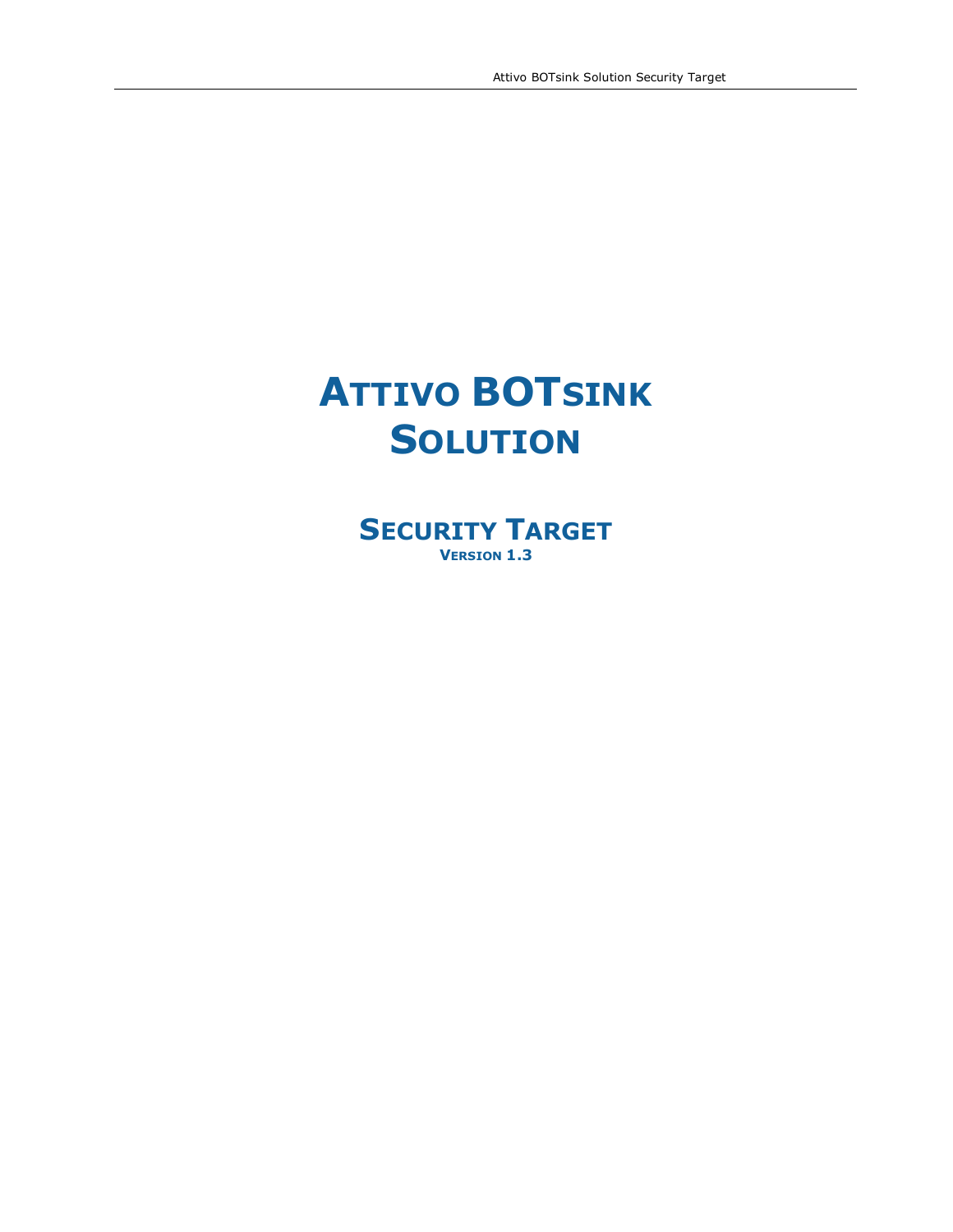# **ATTIVO BOTSINK SOLUTION**

**SECURITY TARGET VERSION 1.3**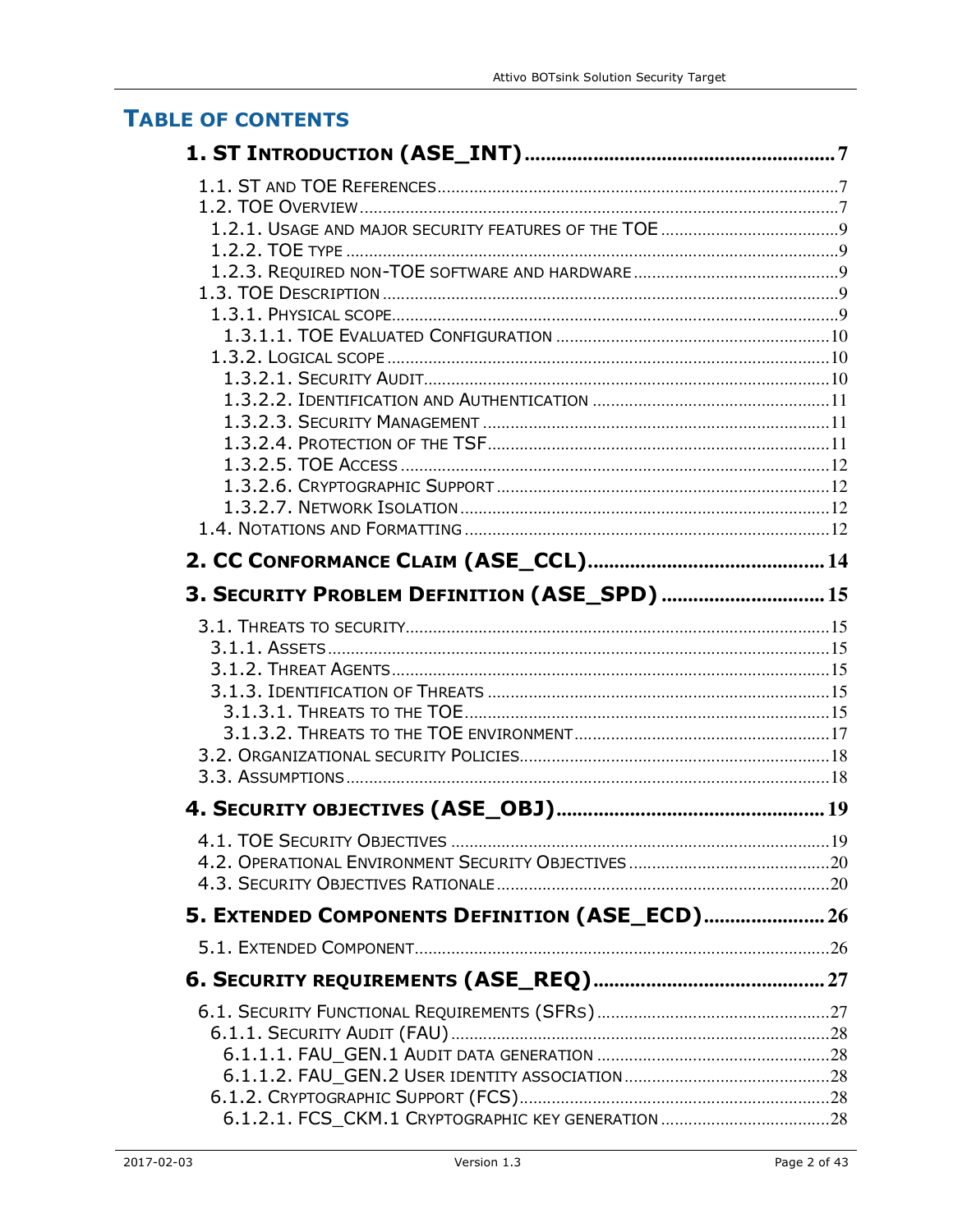# **TABLE OF CONTENTS**

| 3. SECURITY PROBLEM DEFINITION (ASE_SPD)  15   |  |
|------------------------------------------------|--|
|                                                |  |
|                                                |  |
|                                                |  |
|                                                |  |
|                                                |  |
|                                                |  |
|                                                |  |
|                                                |  |
|                                                |  |
|                                                |  |
|                                                |  |
|                                                |  |
| 5. EXTENDED COMPONENTS DEFINITION (ASE_ECD) 26 |  |
|                                                |  |
|                                                |  |
|                                                |  |
|                                                |  |
|                                                |  |
|                                                |  |
|                                                |  |
|                                                |  |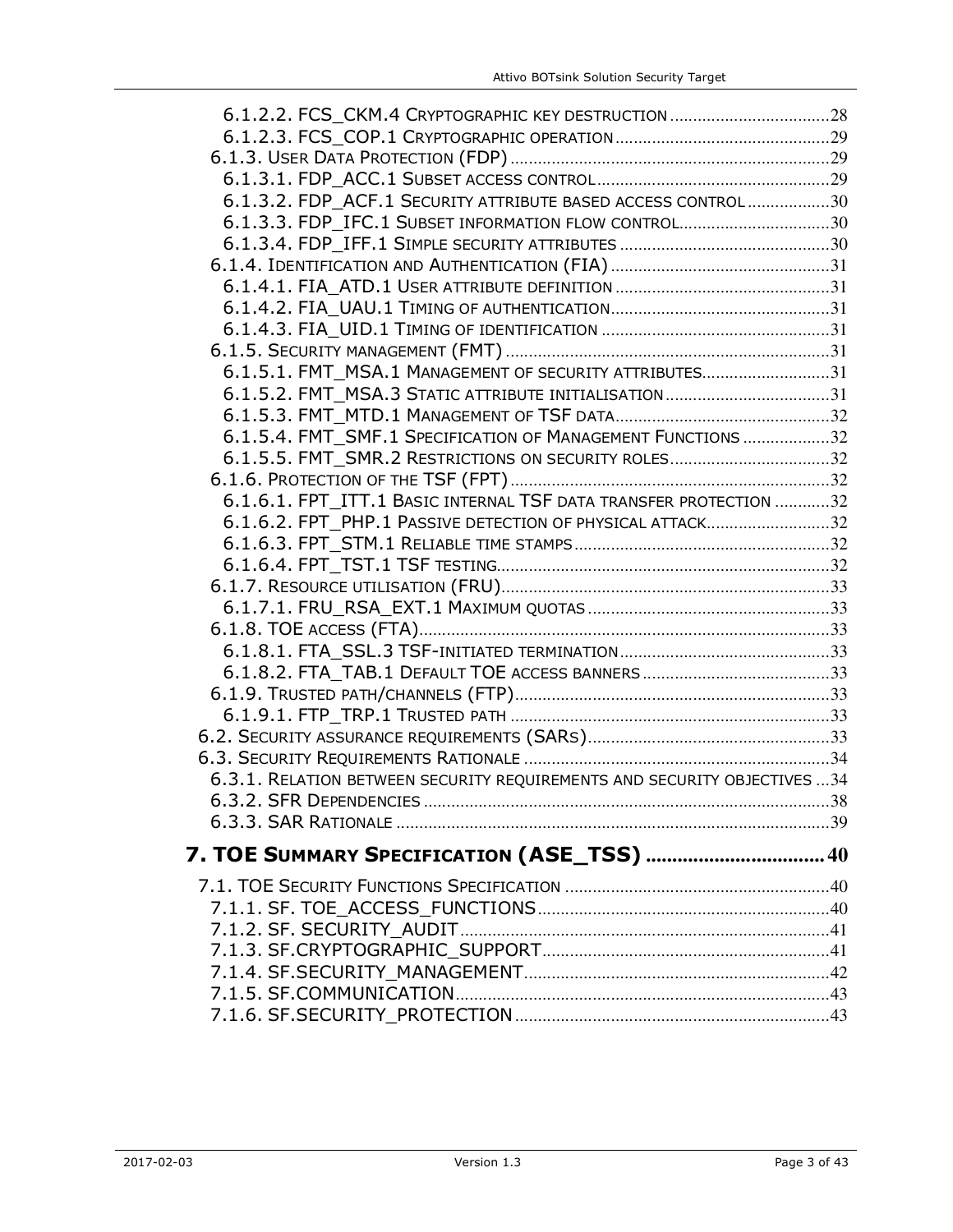| 6.1.3.2. FDP ACF.1 SECURITY ATTRIBUTE BASED ACCESS CONTROL30              |  |
|---------------------------------------------------------------------------|--|
| 6.1.3.3. FDP IFC.1 SUBSET INFORMATION FLOW CONTROL30                      |  |
|                                                                           |  |
|                                                                           |  |
|                                                                           |  |
|                                                                           |  |
|                                                                           |  |
|                                                                           |  |
| 6.1.5.1. FMT_MSA.1 MANAGEMENT OF SECURITY ATTRIBUTES31                    |  |
| 6.1.5.2. FMT_MSA.3 STATIC ATTRIBUTE INITIALISATION31                      |  |
|                                                                           |  |
| 6.1.5.4. FMT_SMF.1 SPECIFICATION OF MANAGEMENT FUNCTIONS 32               |  |
| 6.1.5.5. FMT SMR.2 RESTRICTIONS ON SECURITY ROLES32                       |  |
|                                                                           |  |
| 6.1.6.1. FPT_ITT.1 BASIC INTERNAL TSF DATA TRANSFER PROTECTION 32         |  |
| 6.1.6.2. FPT_PHP.1 PASSIVE DETECTION OF PHYSICAL ATTACK32                 |  |
|                                                                           |  |
|                                                                           |  |
|                                                                           |  |
|                                                                           |  |
|                                                                           |  |
|                                                                           |  |
|                                                                           |  |
|                                                                           |  |
|                                                                           |  |
|                                                                           |  |
| 6.3.1. RELATION BETWEEN SECURITY REQUIREMENTS AND SECURITY OBJECTIVES  34 |  |
|                                                                           |  |
|                                                                           |  |
|                                                                           |  |
| 7. TOE SUMMARY SPECIFICATION (ASE_TSS)  40                                |  |
|                                                                           |  |
|                                                                           |  |
|                                                                           |  |
|                                                                           |  |
|                                                                           |  |
|                                                                           |  |
|                                                                           |  |
|                                                                           |  |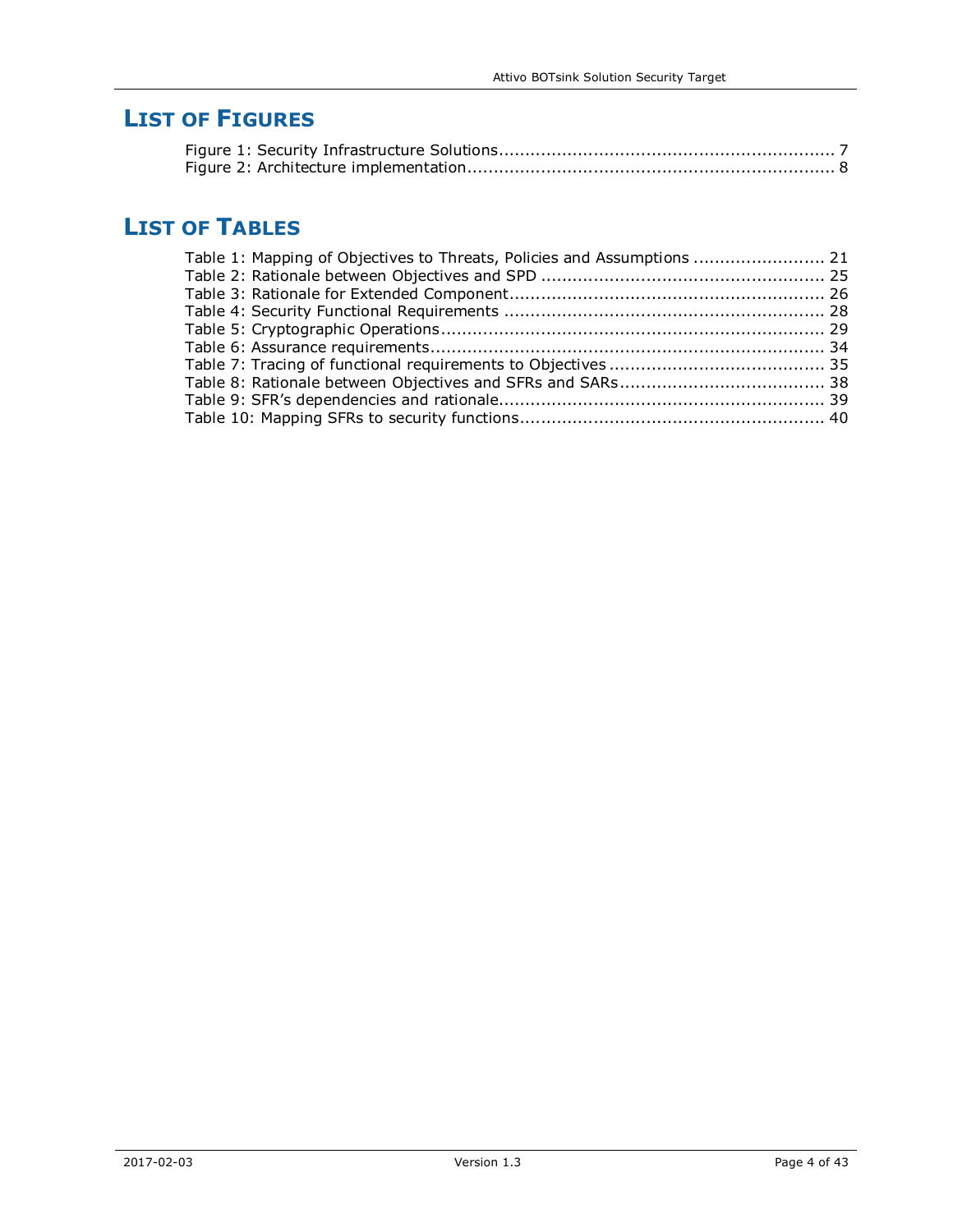# **LIST OF FIGURES**

# **LIST OF TABLES**

| Table 1: Mapping of Objectives to Threats, Policies and Assumptions  21 |  |
|-------------------------------------------------------------------------|--|
|                                                                         |  |
|                                                                         |  |
|                                                                         |  |
|                                                                         |  |
|                                                                         |  |
|                                                                         |  |
|                                                                         |  |
|                                                                         |  |
|                                                                         |  |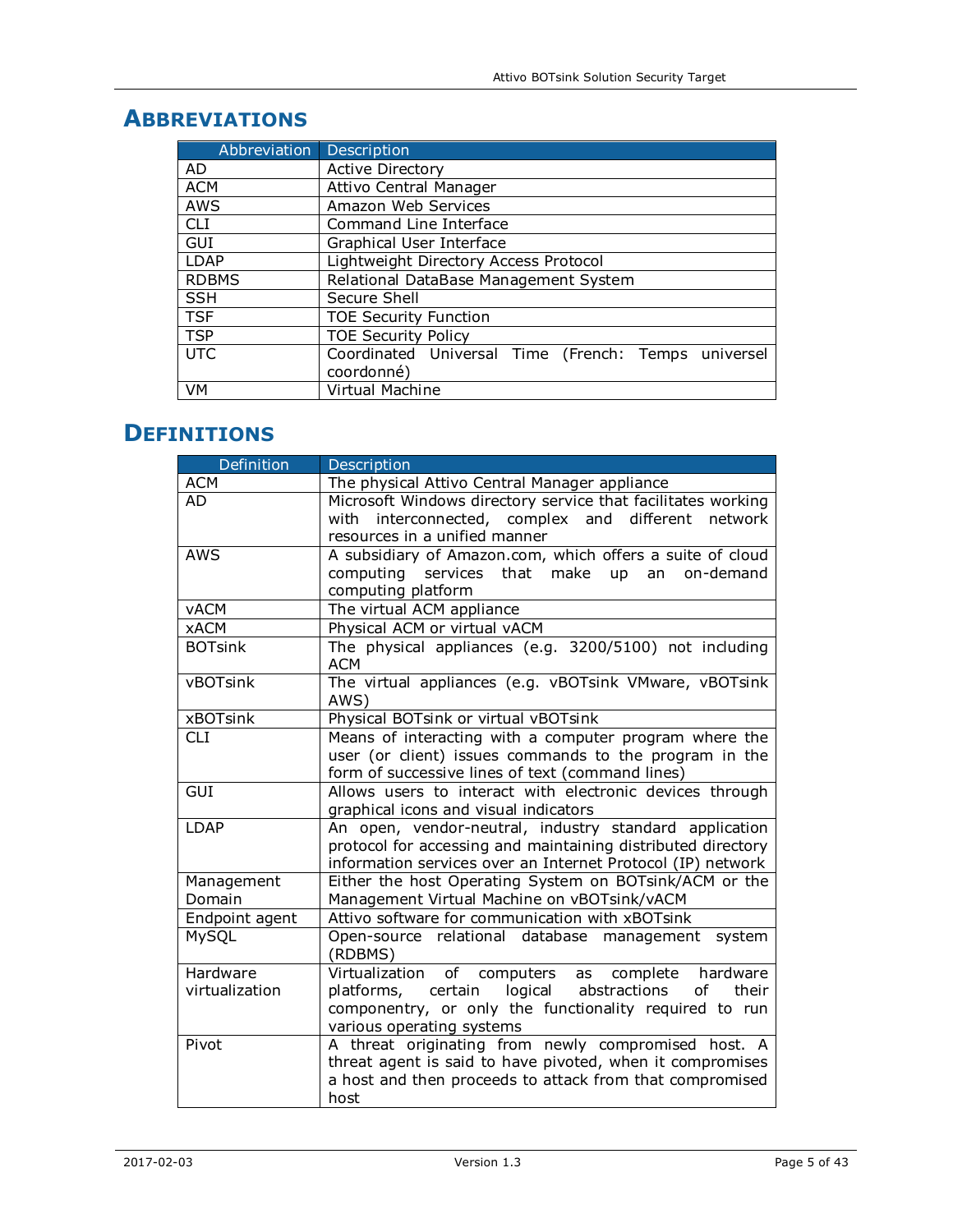| Abbreviation Description |                                                     |  |  |
|--------------------------|-----------------------------------------------------|--|--|
| AD                       | <b>Active Directory</b>                             |  |  |
| <b>ACM</b>               | Attivo Central Manager                              |  |  |
| AWS                      | Amazon Web Services                                 |  |  |
| <b>CLI</b>               | Command Line Interface                              |  |  |
| GUI                      | Graphical User Interface                            |  |  |
| LDAP                     | Lightweight Directory Access Protocol               |  |  |
| <b>RDBMS</b>             | Relational DataBase Management System               |  |  |
| <b>SSH</b>               | Secure Shell                                        |  |  |
| <b>TSF</b>               | <b>TOE Security Function</b>                        |  |  |
| <b>TSP</b>               | <b>TOE Security Policy</b>                          |  |  |
| <b>UTC</b>               | Coordinated Universal Time (French: Temps universel |  |  |
|                          | coordonné)                                          |  |  |
| VM                       | Virtual Machine                                     |  |  |

# **ABBREVIATIONS**

# **DEFINITIONS**

| <b>Example 1</b> Definition | Description                                                          |
|-----------------------------|----------------------------------------------------------------------|
| <b>ACM</b>                  | The physical Attivo Central Manager appliance                        |
| AD                          | Microsoft Windows directory service that facilitates working         |
|                             | interconnected, complex and different network<br>with                |
|                             | resources in a unified manner                                        |
| <b>AWS</b>                  | A subsidiary of Amazon.com, which offers a suite of cloud            |
|                             | computing services that make up<br>an<br>on-demand                   |
|                             | computing platform                                                   |
| <b>vACM</b>                 | The virtual ACM appliance                                            |
| <b>xACM</b>                 | Physical ACM or virtual vACM                                         |
| <b>BOTsink</b>              | The physical appliances (e.g. 3200/5100) not including<br><b>ACM</b> |
| vBOTsink                    | The virtual appliances (e.g. vBOTsink VMware, vBOTsink<br>AWS)       |
| <b>xBOTsink</b>             | Physical BOTsink or virtual vBOTsink                                 |
| <b>CLI</b>                  | Means of interacting with a computer program where the               |
|                             | user (or client) issues commands to the program in the               |
|                             | form of successive lines of text (command lines)                     |
| <b>GUI</b>                  | Allows users to interact with electronic devices through             |
|                             | graphical icons and visual indicators                                |
| LDAP                        | An open, vendor-neutral, industry standard application               |
|                             | protocol for accessing and maintaining distributed directory         |
|                             | information services over an Internet Protocol (IP) network          |
| Management                  | Either the host Operating System on BOTsink/ACM or the               |
| Domain                      | Management Virtual Machine on vBOTsink/vACM                          |
| Endpoint agent              | Attivo software for communication with xBOTsink                      |
| MySQL                       | Open-source relational database management system<br>(RDBMS)         |
| Hardware                    | Virtualization<br>of computers as complete hardware                  |
| virtualization              | logical abstractions<br>platforms, certain<br>of<br>their            |
|                             | componentry, or only the functionality required to run               |
|                             | various operating systems                                            |
| Pivot                       | A threat originating from newly compromised host. A                  |
|                             | threat agent is said to have pivoted, when it compromises            |
|                             | a host and then proceeds to attack from that compromised             |
|                             | host                                                                 |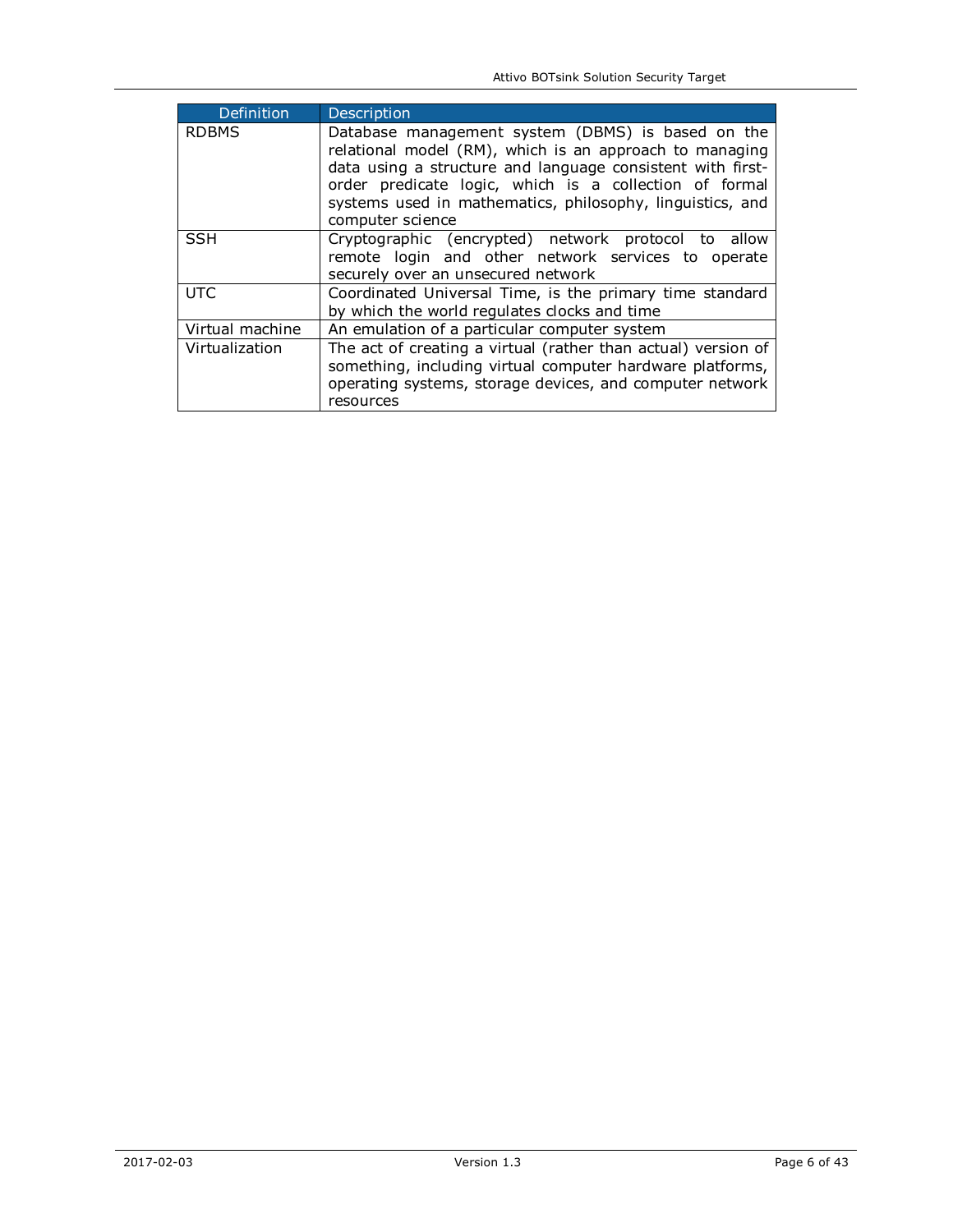| Definition      | <b>Description</b>                                                                                                                                                                                                                                                                                                    |
|-----------------|-----------------------------------------------------------------------------------------------------------------------------------------------------------------------------------------------------------------------------------------------------------------------------------------------------------------------|
| <b>RDBMS</b>    | Database management system (DBMS) is based on the<br>relational model (RM), which is an approach to managing<br>data using a structure and language consistent with first-<br>order predicate logic, which is a collection of formal<br>systems used in mathematics, philosophy, linguistics, and<br>computer science |
| <b>SSH</b>      | Cryptographic (encrypted) network protocol to allow<br>remote login and other network services to operate<br>securely over an unsecured network                                                                                                                                                                       |
| <b>UTC</b>      | Coordinated Universal Time, is the primary time standard<br>by which the world regulates clocks and time                                                                                                                                                                                                              |
| Virtual machine | An emulation of a particular computer system                                                                                                                                                                                                                                                                          |
| Virtualization  | The act of creating a virtual (rather than actual) version of<br>something, including virtual computer hardware platforms,<br>operating systems, storage devices, and computer network<br>resources                                                                                                                   |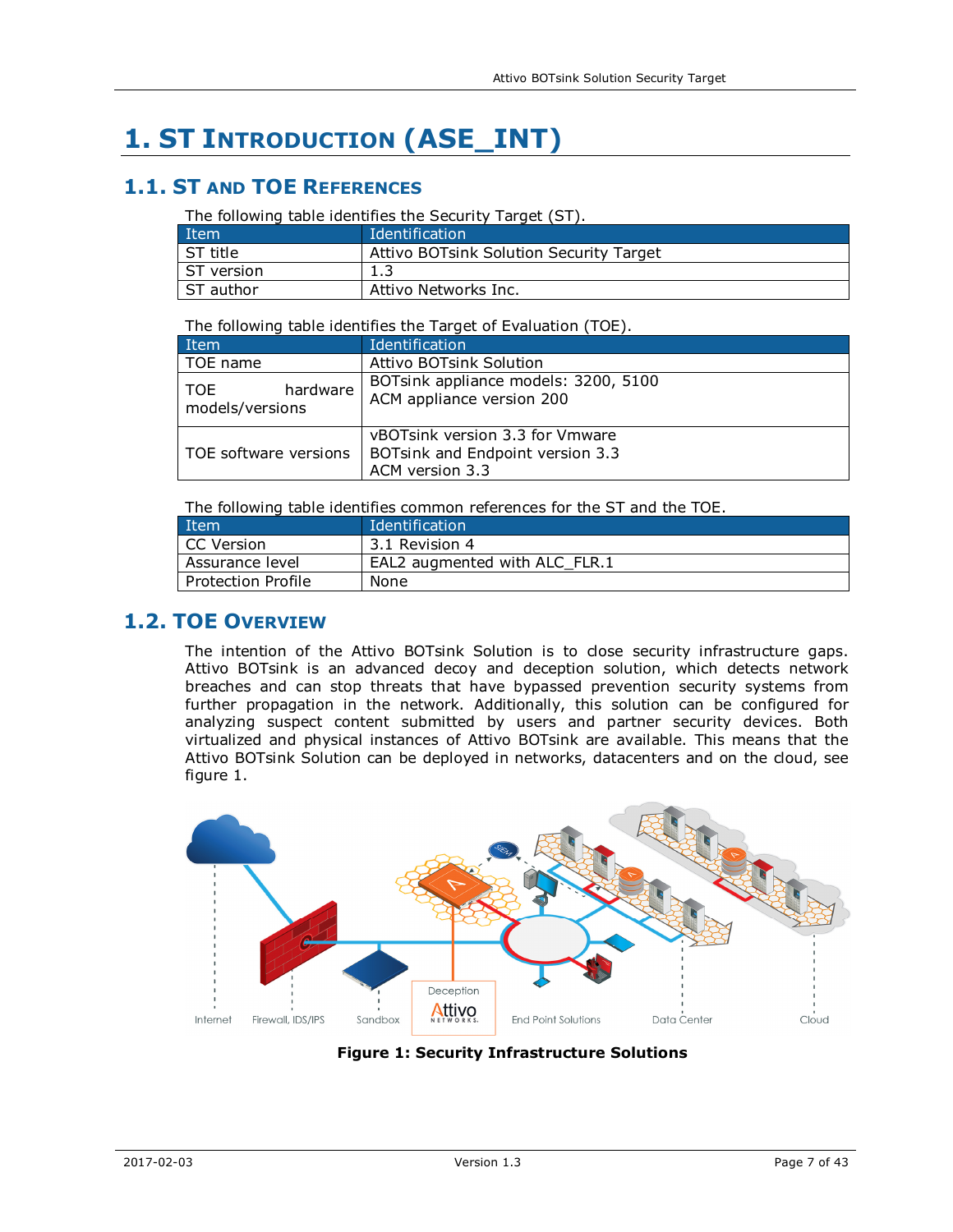# **1. ST INTRODUCTION (ASE\_INT)**

## **1.1. ST AND TOE REFERENCES**

The following table identifies the Security Target (ST).

| Item        | Identification                          |
|-------------|-----------------------------------------|
| l ST title  | Attivo BOTsink Solution Security Target |
| ST version  | 1.3                                     |
| l ST author | Attivo Networks Inc.                    |

The following table identifies the Target of Evaluation (TOE).

| Item                                | Identification                                                                         |  |
|-------------------------------------|----------------------------------------------------------------------------------------|--|
| TOE name                            | <b>Attivo BOTsink Solution</b>                                                         |  |
| hardware<br>TOF.<br>models/versions | BOTsink appliance models: 3200, 5100<br>ACM appliance version 200                      |  |
| TOE software versions               | vBOTsink version 3.3 for Vmware<br>BOTsink and Endpoint version 3.3<br>ACM version 3.3 |  |

The following table identifies common references for the ST and the TOE.

| Item                 | Identification                |
|----------------------|-------------------------------|
| CC Version           | 3.1 Revision 4                |
| Assurance level      | EAL2 augmented with ALC FLR.1 |
| l Protection Profile | None                          |

## **1.2. TOE OVERVIEW**

The intention of the Attivo BOTsink Solution is to close security infrastructure gaps. Attivo BOTsink is an advanced decoy and deception solution, which detects network breaches and can stop threats that have bypassed prevention security systems from further propagation in the network. Additionally, this solution can be configured for analyzing suspect content submitted by users and partner security devices. Both virtualized and physical instances of Attivo BOTsink are available. This means that the Attivo BOTsink Solution can be deployed in networks, datacenters and on the cloud, see figure 1.



**Figure 1: Security Infrastructure Solutions**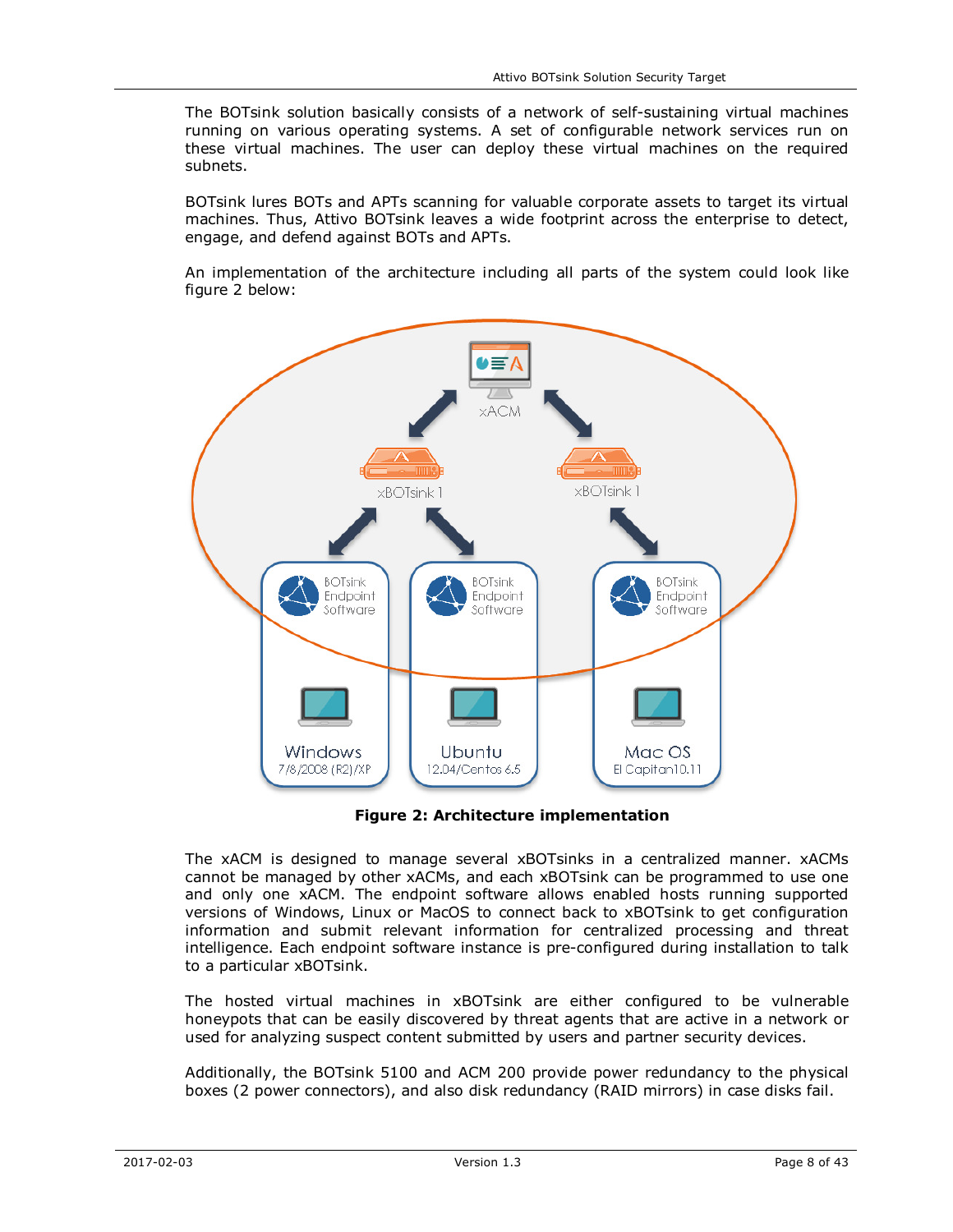The BOTsink solution basically consists of a network of self-sustaining virtual machines running on various operating systems. A set of configurable network services run on these virtual machines. The user can deploy these virtual machines on the required subnets.

BOTsink lures BOTs and APTs scanning for valuable corporate assets to target its virtual machines. Thus, Attivo BOTsink leaves a wide footprint across the enterprise to detect, engage, and defend against BOTs and APTs.

An implementation of the architecture including all parts of the system could look like figure 2 below:



**Figure 2: Architecture implementation** 

The xACM is designed to manage several xBOTsinks in a centralized manner. xACMs cannot be managed by other xACMs, and each xBOTsink can be programmed to use one and only one xACM. The endpoint software allows enabled hosts running supported versions of Windows, Linux or MacOS to connect back to xBOTsink to get configuration information and submit relevant information for centralized processing and threat intelligence. Each endpoint software instance is pre-configured during installation to talk to a particular xBOTsink.

The hosted virtual machines in xBOTsink are either configured to be vulnerable honeypots that can be easily discovered by threat agents that are active in a network or used for analyzing suspect content submitted by users and partner security devices.

Additionally, the BOTsink 5100 and ACM 200 provide power redundancy to the physical boxes (2 power connectors), and also disk redundancy (RAID mirrors) in case disks fail.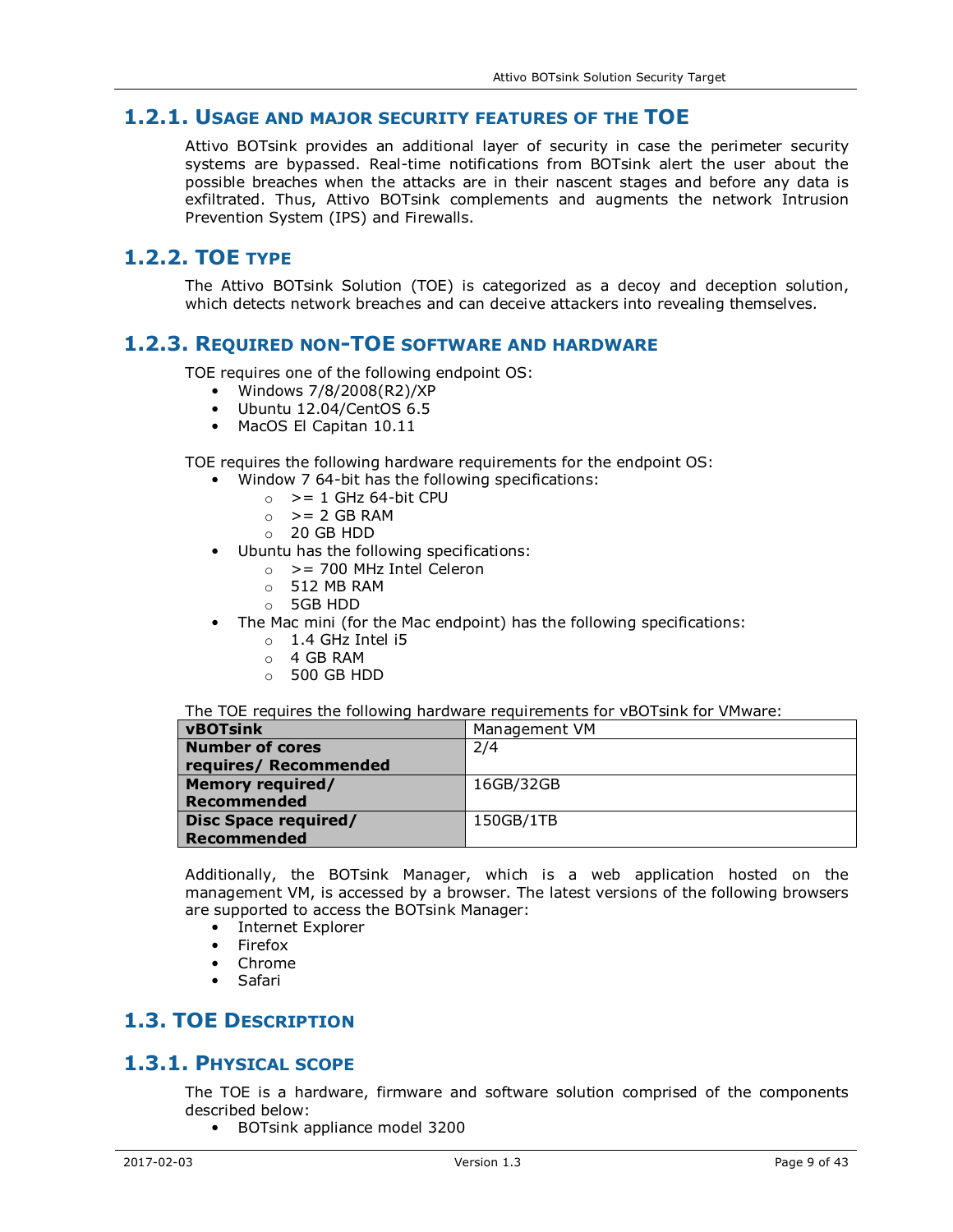## **1.2.1. USAGE AND MAJOR SECURITY FEATURES OF THE TOE**

Attivo BOTsink provides an additional layer of security in case the perimeter security systems are bypassed. Real-time notifications from BOTsink alert the user about the possible breaches when the attacks are in their nascent stages and before any data is exfiltrated. Thus, Attivo BOTsink complements and augments the network Intrusion Prevention System (IPS) and Firewalls.

## **1.2.2. TOE TYPE**

The Attivo BOTsink Solution (TOE) is categorized as a decoy and deception solution, which detects network breaches and can deceive attackers into revealing themselves.

### **1.2.3. REQUIRED NON-TOE SOFTWARE AND HARDWARE**

TOE requires one of the following endpoint OS:

- Windows 7/8/2008(R2)/XP
- Ubuntu 12.04/CentOS 6.5
- MacOS El Capitan 10.11

TOE requires the following hardware requirements for the endpoint OS:

- Window 7 64-bit has the following specifications:
	- $\circ$  > = 1 GHz 64-bit CPU
	- $\circ$  > = 2 GB RAM
	- $O$  20 GB HDD
- Ubuntu has the following specifications:
	- $\circ$  > = 700 MHz Intel Celeron
	- $\circ$  512 MB RAM
	- o 5GB HDD
- The Mac mini (for the Mac endpoint) has the following specifications:
	- $\circ$  1.4 GHz Intel i5
	- $O$  4 GB RAM
	- $\circ$  500 GB HDD

#### The TOE requires the following hardware requirements for vBOTsink for VMware:

| <b>vBOTsink</b>             | Management VM |
|-----------------------------|---------------|
| <b>Number of cores</b>      | 2/4           |
| requires/ Recommended       |               |
| <b>Memory required/</b>     | 16GB/32GB     |
| <b>Recommended</b>          |               |
| <b>Disc Space required/</b> | 150GB/1TB     |
| <b>Recommended</b>          |               |

Additionally, the BOTsink Manager, which is a web application hosted on the management VM, is accessed by a browser. The latest versions of the following browsers are supported to access the BOTsink Manager:

- Internet Explorer
- Firefox
- Chrome
- Safari

# **1.3. TOE DESCRIPTION**

### **1.3.1. PHYSICAL SCOPE**

The TOE is a hardware, firmware and software solution comprised of the components described below:

• BOTsink appliance model 3200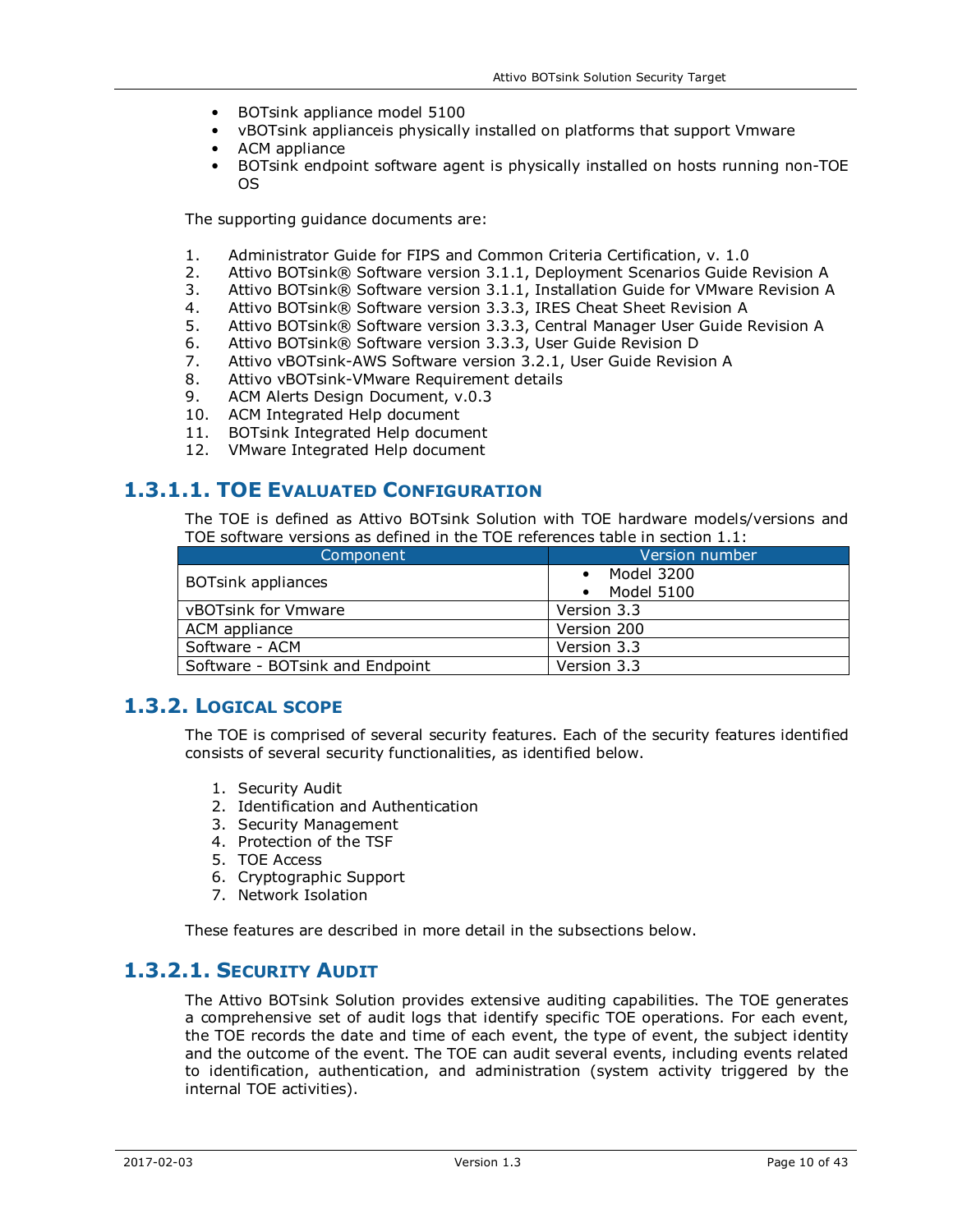- BOTsink appliance model 5100
- vBOTsink applianceis physically installed on platforms that support Vmware
- ACM appliance
- BOTsink endpoint software agent is physically installed on hosts running non-TOE OS

The supporting guidance documents are:

- 1. Administrator Guide for FIPS and Common Criteria Certification, v. 1.0<br>2. Attivo BOTsink® Software version 3.1.1. Deployment Scenarios Guide
- 2. Attivo BOTsink® Software version 3.1.1, Deployment Scenarios Guide Revision A<br>3. Attivo BOTsink® Software version 3.1.1, Installation Guide for VMware Revision A
- Attivo BOTsink® Software version 3.1.1, Installation Guide for VMware Revision A
- 4. Attivo BOTsink® Software version 3.3.3, IRES Cheat Sheet Revision A
- 5. Attivo BOTsink® Software version 3.3.3, Central Manager User Guide Revision A
- 6. Attivo BOTsink® Software version 3.3.3, User Guide Revision D
- 7. Attivo vBOTsink-AWS Software version 3.2.1, User Guide Revision A
- 8. Attivo vBOTsink-VMware Requirement details
- 9. ACM Alerts Design Document, v.0.3
- 10. ACM Integrated Help document
- 11. BOTsink Integrated Help document
- 12. VMware Integrated Help document

### **1.3.1.1. TOE EVALUATED CONFIGURATION**

The TOE is defined as Attivo BOTsink Solution with TOE hardware models/versions and TOE software versions as defined in the TOE references table in section 1.1:

| Component                       | Version number           |
|---------------------------------|--------------------------|
| <b>BOTsink appliances</b>       | Model 3200<br>Model 5100 |
| vBOTsink for Vmware             | Version 3.3              |
| ACM appliance                   | Version 200              |
| Software - ACM                  | Version 3.3              |
| Software - BOTsink and Endpoint | Version 3.3              |

## **1.3.2. LOGICAL SCOPE**

The TOE is comprised of several security features. Each of the security features identified consists of several security functionalities, as identified below.

- 1. Security Audit
- 2. Identification and Authentication
- 3. Security Management
- 4. Protection of the TSF
- 5. TOE Access
- 6. Cryptographic Support
- 7. Network Isolation

These features are described in more detail in the subsections below.

# **1.3.2.1. SECURITY AUDIT**

The Attivo BOTsink Solution provides extensive auditing capabilities. The TOE generates a comprehensive set of audit logs that identify specific TOE operations. For each event, the TOE records the date and time of each event, the type of event, the subject identity and the outcome of the event. The TOE can audit several events, including events related to identification, authentication, and administration (system activity triggered by the internal TOE activities).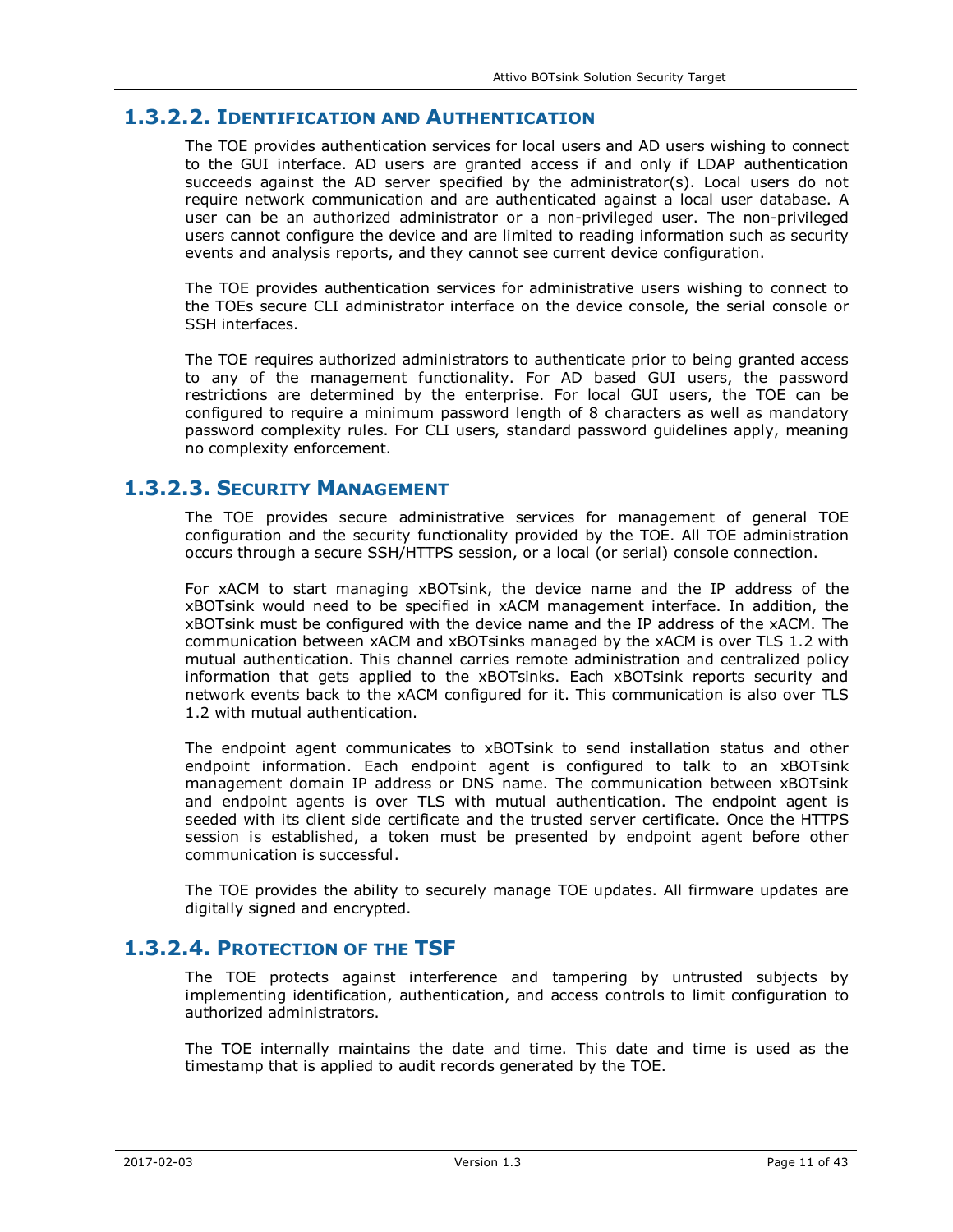## **1.3.2.2. IDENTIFICATION AND AUTHENTICATION**

The TOE provides authentication services for local users and AD users wishing to connect to the GUI interface. AD users are granted access if and only if LDAP authentication succeeds against the AD server specified by the administrator(s). Local users do not require network communication and are authenticated against a local user database. A user can be an authorized administrator or a non-privileged user. The non-privileged users cannot configure the device and are limited to reading information such as security events and analysis reports, and they cannot see current device configuration.

The TOE provides authentication services for administrative users wishing to connect to the TOEs secure CLI administrator interface on the device console, the serial console or SSH interfaces.

The TOE requires authorized administrators to authenticate prior to being granted access to any of the management functionality. For AD based GUI users, the password restrictions are determined by the enterprise. For local GUI users, the TOE can be configured to require a minimum password length of 8 characters as well as mandatory password complexity rules. For CLI users, standard password guidelines apply, meaning no complexity enforcement.

### **1.3.2.3. SECURITY MANAGEMENT**

The TOE provides secure administrative services for management of general TOE configuration and the security functionality provided by the TOE. All TOE administration occurs through a secure SSH/HTTPS session, or a local (or serial) console connection.

For xACM to start managing xBOTsink, the device name and the IP address of the xBOTsink would need to be specified in xACM management interface. In addition, the xBOTsink must be configured with the device name and the IP address of the xACM. The communication between xACM and xBOTsinks managed by the xACM is over TLS 1.2 with mutual authentication. This channel carries remote administration and centralized policy information that gets applied to the xBOTsinks. Each xBOTsink reports security and network events back to the xACM configured for it. This communication is also over TLS 1.2 with mutual authentication.

The endpoint agent communicates to xBOTsink to send installation status and other endpoint information. Each endpoint agent is configured to talk to an xBOTsink management domain IP address or DNS name. The communication between xBOTsink and endpoint agents is over TLS with mutual authentication. The endpoint agent is seeded with its client side certificate and the trusted server certificate. Once the HTTPS session is established, a token must be presented by endpoint agent before other communication is successful.

The TOE provides the ability to securely manage TOE updates. All firmware updates are digitally signed and encrypted.

## **1.3.2.4. PROTECTION OF THE TSF**

The TOE protects against interference and tampering by untrusted subjects by implementing identification, authentication, and access controls to limit configuration to authorized administrators.

The TOE internally maintains the date and time. This date and time is used as the timestamp that is applied to audit records generated by the TOE.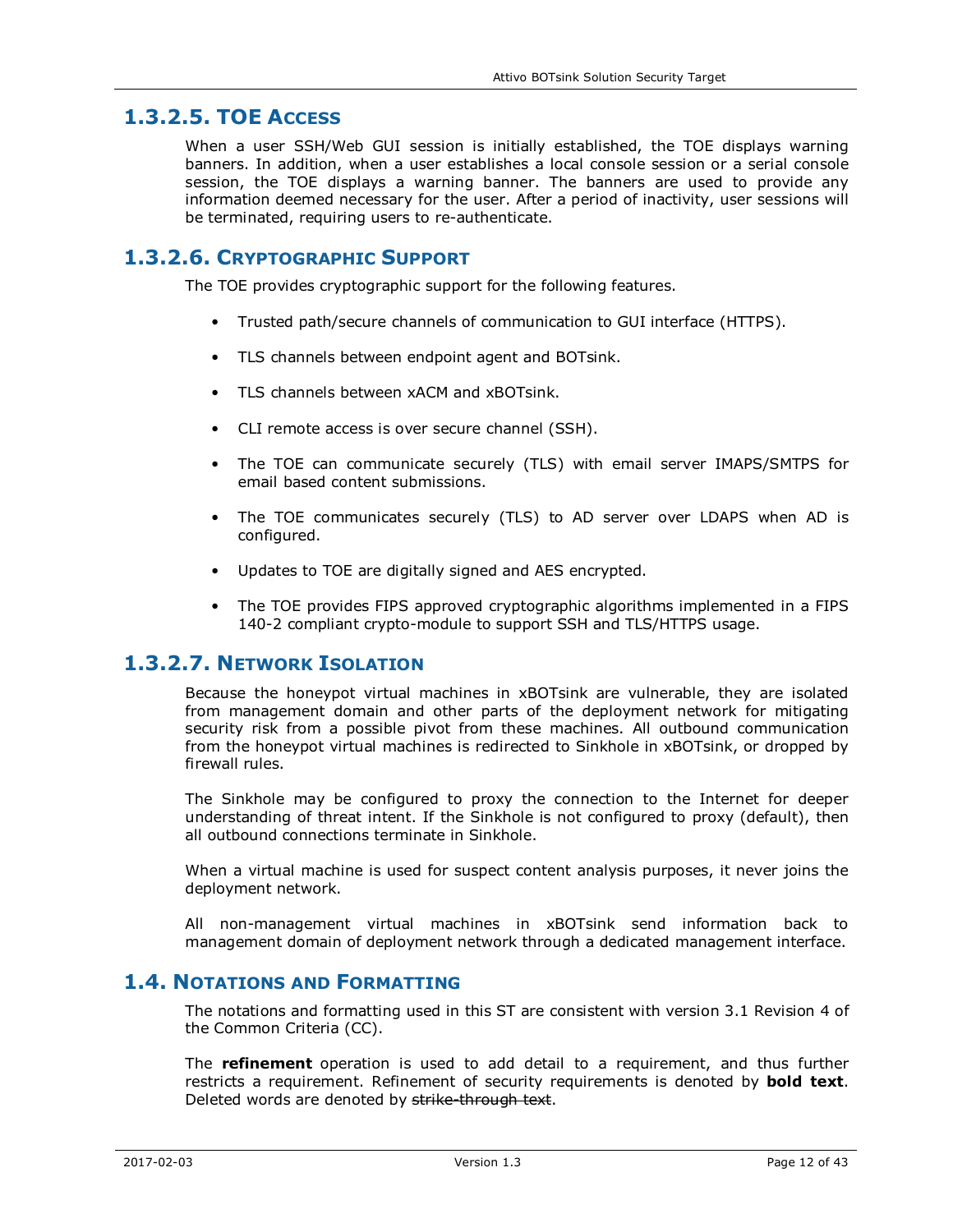## **1.3.2.5. TOE ACCESS**

When a user SSH/Web GUI session is initially established, the TOE displays warning banners. In addition, when a user establishes a local console session or a serial console session, the TOE displays a warning banner. The banners are used to provide any information deemed necessary for the user. After a period of inactivity, user sessions will be terminated, requiring users to re-authenticate.

### **1.3.2.6. CRYPTOGRAPHIC SUPPORT**

The TOE provides cryptographic support for the following features.

- Trusted path/secure channels of communication to GUI interface (HTTPS).
- TLS channels between endpoint agent and BOTsink.
- TLS channels between xACM and xBOTsink.
- CLI remote access is over secure channel (SSH).
- The TOE can communicate securely (TLS) with email server IMAPS/SMTPS for email based content submissions.
- The TOE communicates securely (TLS) to AD server over LDAPS when AD is configured.
- Updates to TOE are digitally signed and AES encrypted.
- The TOE provides FIPS approved cryptographic algorithms implemented in a FIPS 140-2 compliant crypto-module to support SSH and TLS/HTTPS usage.

### **1.3.2.7. NETWORK ISOLATION**

Because the honeypot virtual machines in xBOTsink are vulnerable, they are isolated from management domain and other parts of the deployment network for mitigating security risk from a possible pivot from these machines. All outbound communication from the honeypot virtual machines is redirected to Sinkhole in xBOTsink, or dropped by firewall rules.

The Sinkhole may be configured to proxy the connection to the Internet for deeper understanding of threat intent. If the Sinkhole is not configured to proxy (default), then all outbound connections terminate in Sinkhole.

When a virtual machine is used for suspect content analysis purposes, it never joins the deployment network.

All non-management virtual machines in xBOTsink send information back to management domain of deployment network through a dedicated management interface.

### **1.4. NOTATIONS AND FORMATTING**

The notations and formatting used in this ST are consistent with version 3.1 Revision 4 of the Common Criteria (CC).

The **refinement** operation is used to add detail to a requirement, and thus further restricts a requirement. Refinement of security requirements is denoted by **bold text**. Deleted words are denoted by strike-through text.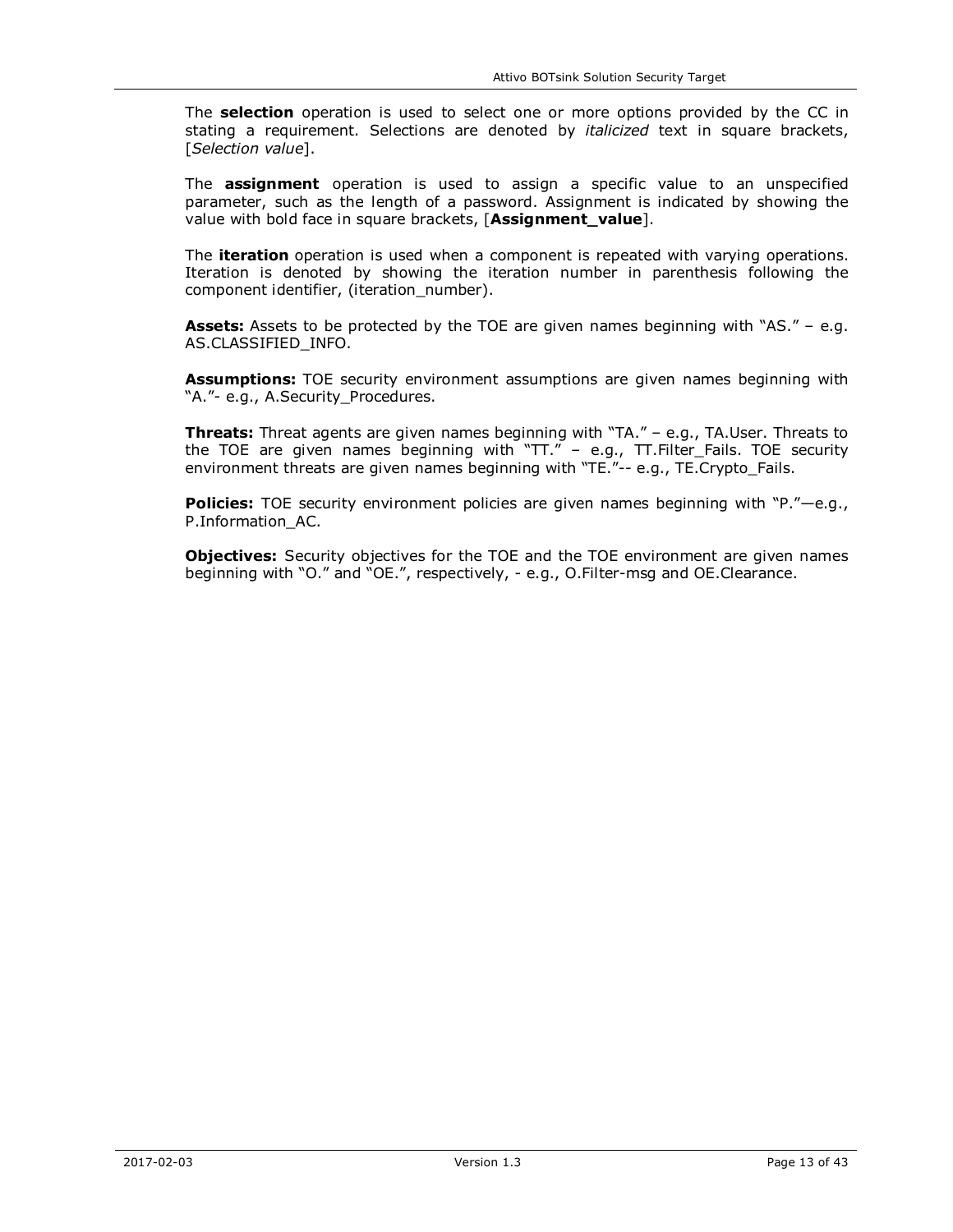The **selection** operation is used to select one or more options provided by the CC in stating a requirement. Selections are denoted by *italicized* text in square brackets, [*Selection value*].

The **assignment** operation is used to assign a specific value to an unspecified parameter, such as the length of a password. Assignment is indicated by showing the value with bold face in square brackets, [**Assignment\_value**].

The **iteration** operation is used when a component is repeated with varying operations. Iteration is denoted by showing the iteration number in parenthesis following the component identifier, (iteration\_number).

Assets: Assets to be protected by the TOE are given names beginning with "AS." - e.g. AS.CLASSIFIED\_INFO.

**Assumptions:** TOE security environment assumptions are given names beginning with "A."- e.g., A.Security Procedures.

**Threats:** Threat agents are given names beginning with "TA." – e.g., TA.User. Threats to the TOE are given names beginning with "TT." – e.g., TT.Filter\_Fails. TOE security environment threats are given names beginning with "TE."-- e.g., TE.Crypto\_Fails.

**Policies:** TOE security environment policies are given names beginning with "P."-e.g., P.Information\_AC.

**Objectives:** Security objectives for the TOE and the TOE environment are given names beginning with "O." and "OE.", respectively, - e.g., O.Filter-msg and OE.Clearance.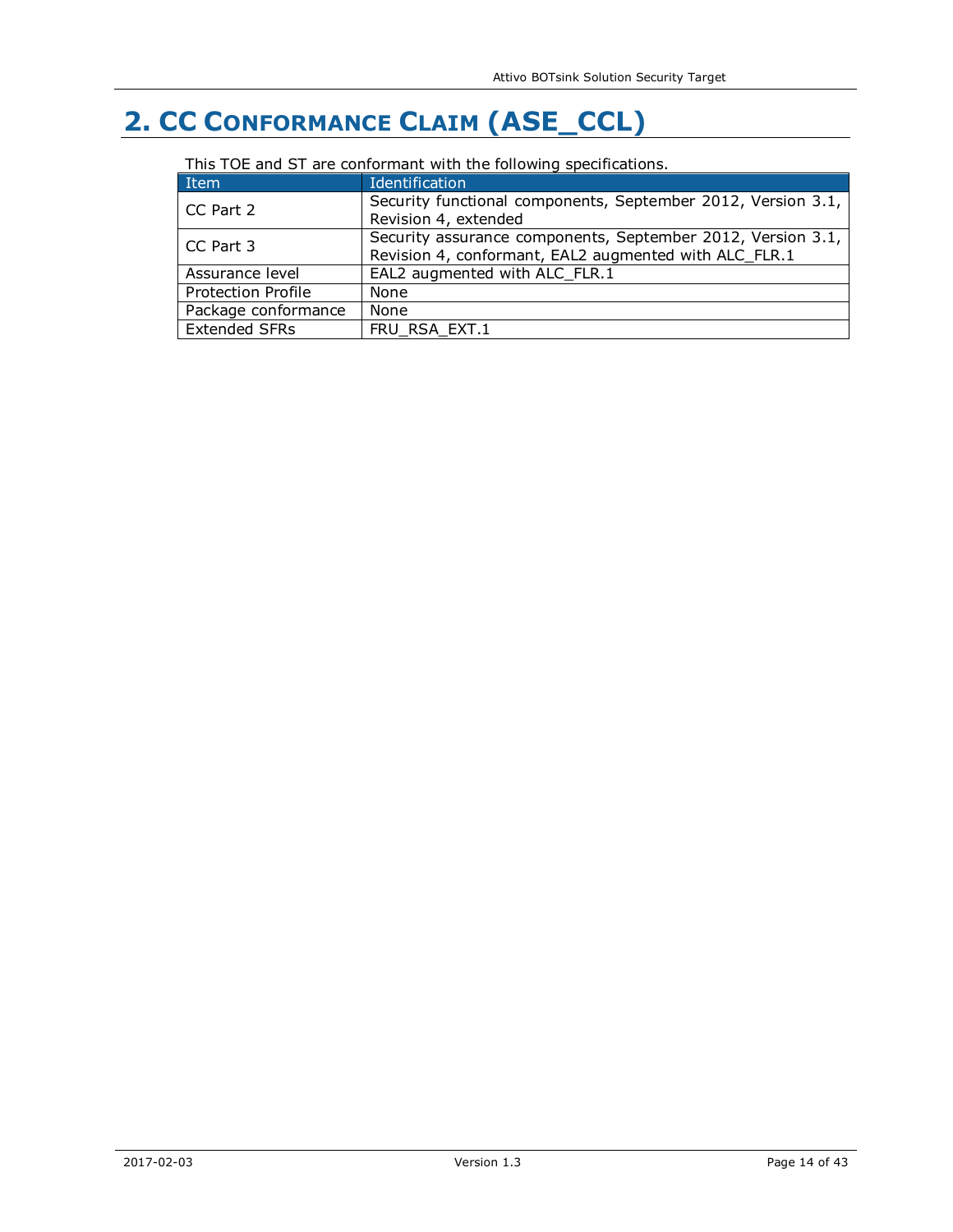# **2. CC CONFORMANCE CLAIM (ASE\_CCL)**

| This TOE and ST are comonium ment are rolloming specifications. |                                                                                                                      |
|-----------------------------------------------------------------|----------------------------------------------------------------------------------------------------------------------|
| Item                                                            | Identification                                                                                                       |
| CC Part 2                                                       | Security functional components, September 2012, Version 3.1,<br>Revision 4, extended                                 |
| CC Part 3                                                       | Security assurance components, September 2012, Version 3.1,<br>Revision 4, conformant, EAL2 augmented with ALC FLR.1 |
| Assurance level                                                 | EAL2 augmented with ALC FLR.1                                                                                        |
| <b>Protection Profile</b>                                       | None                                                                                                                 |
| Package conformance                                             | None                                                                                                                 |
| <b>Extended SFRs</b>                                            | FRU RSA EXT.1                                                                                                        |

#### This TOE and ST are conformant with the following specifications.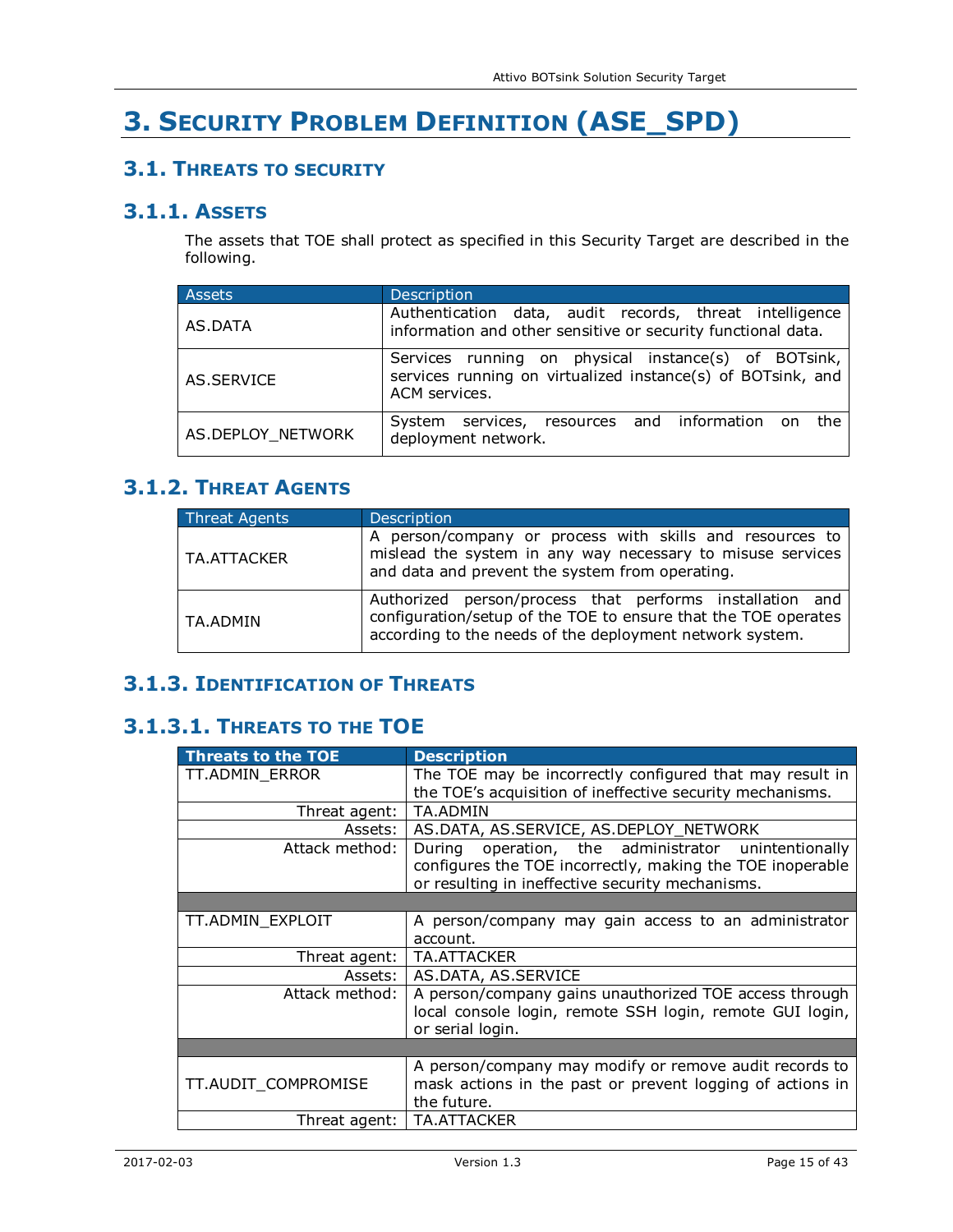# **3. SECURITY PROBLEM DEFINITION (ASE\_SPD)**

# **3.1. THREATS TO SECURITY**

## **3.1.1. ASSETS**

The assets that TOE shall protect as specified in this Security Target are described in the following.

| Assets            | Description                                                                                                                          |
|-------------------|--------------------------------------------------------------------------------------------------------------------------------------|
| AS.DATA           | Authentication data, audit records, threat intelligence<br>information and other sensitive or security functional data.              |
| AS.SERVICE        | Services running on physical instance(s) of BOTsink,<br>services running on virtualized instance(s) of BOTsink, and<br>ACM services. |
| AS.DEPLOY_NETWORK | System services, resources and information on the<br>deployment network.                                                             |

# **3.1.2. THREAT AGENTS**

| Threat Agents | <b>Description</b>                                                                                                                                                                     |
|---------------|----------------------------------------------------------------------------------------------------------------------------------------------------------------------------------------|
| l TA.ATTACKER | A person/company or process with skills and resources to<br>mislead the system in any way necessary to misuse services<br>and data and prevent the system from operating.              |
| l TA.ADMIN    | Authorized person/process that performs installation and<br>configuration/setup of the TOE to ensure that the TOE operates<br>according to the needs of the deployment network system. |

# **3.1.3. IDENTIFICATION OF THREATS**

# **3.1.3.1. THREATS TO THE TOE**

| <b>Threats to the TOE</b> | <b>Description</b>                                        |
|---------------------------|-----------------------------------------------------------|
| TT.ADMIN_ERROR            | The TOE may be incorrectly configured that may result in  |
|                           | the TOE's acquisition of ineffective security mechanisms. |
| Threat agent:             | <b>TA.ADMIN</b>                                           |
| Assets:                   | AS.DATA, AS.SERVICE, AS.DEPLOY_NETWORK                    |
| Attack method:            | operation, the administrator unintentionally<br>During    |
|                           | configures the TOE incorrectly, making the TOE inoperable |
|                           | or resulting in ineffective security mechanisms.          |
|                           |                                                           |
| TT.ADMIN_EXPLOIT          | A person/company may gain access to an administrator      |
|                           | account.                                                  |
| Threat agent:             | TA.ATTACKER                                               |
| Assets:                   | AS.DATA, AS.SERVICE                                       |
| Attack method:            | A person/company gains unauthorized TOE access through    |
|                           | local console login, remote SSH login, remote GUI login,  |
|                           | or serial login.                                          |
|                           |                                                           |
|                           | A person/company may modify or remove audit records to    |
| TT.AUDIT_COMPROMISE       | mask actions in the past or prevent logging of actions in |
|                           | the future.                                               |
| Threat agent:             | <b>TA.ATTACKER</b>                                        |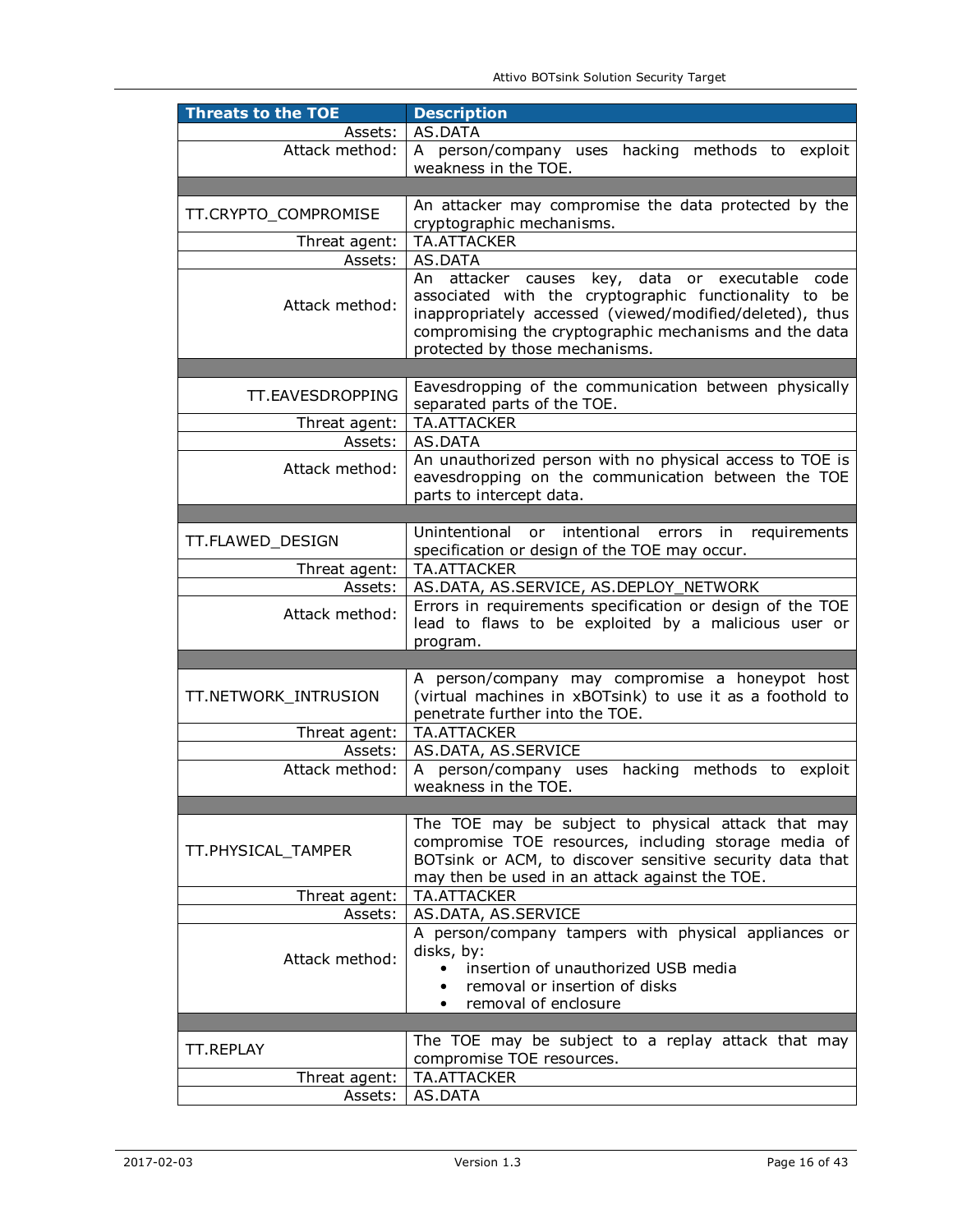| <b>Threats to the TOE</b> | <b>Description</b>                                                                                                                                                                                                                                                     |
|---------------------------|------------------------------------------------------------------------------------------------------------------------------------------------------------------------------------------------------------------------------------------------------------------------|
| Assets:                   | AS.DATA                                                                                                                                                                                                                                                                |
| Attack method:            | A person/company uses hacking methods to exploit<br>weakness in the TOE.                                                                                                                                                                                               |
|                           |                                                                                                                                                                                                                                                                        |
|                           | An attacker may compromise the data protected by the                                                                                                                                                                                                                   |
| TT.CRYPTO_COMPROMISE      | cryptographic mechanisms.                                                                                                                                                                                                                                              |
| Threat agent:             | <b>TA.ATTACKER</b>                                                                                                                                                                                                                                                     |
| Assets:                   | AS.DATA                                                                                                                                                                                                                                                                |
| Attack method:            | attacker<br>An<br>causes key, data or executable code<br>associated with the cryptographic functionality to be<br>inappropriately accessed (viewed/modified/deleted), thus<br>compromising the cryptographic mechanisms and the data<br>protected by those mechanisms. |
|                           |                                                                                                                                                                                                                                                                        |
| TT.EAVESDROPPING          | Eavesdropping of the communication between physically<br>separated parts of the TOE.                                                                                                                                                                                   |
| Threat agent:             | <b>TA.ATTACKER</b>                                                                                                                                                                                                                                                     |
| Assets:                   | AS.DATA                                                                                                                                                                                                                                                                |
| Attack method:            | An unauthorized person with no physical access to TOE is<br>eavesdropping on the communication between the TOE<br>parts to intercept data.                                                                                                                             |
|                           |                                                                                                                                                                                                                                                                        |
| TT.FLAWED_DESIGN          | Unintentional<br>or intentional<br>errors in<br>requirements<br>specification or design of the TOE may occur.                                                                                                                                                          |
| Threat agent:             | <b>TA.ATTACKER</b>                                                                                                                                                                                                                                                     |
| Assets:                   | AS.DATA, AS.SERVICE, AS.DEPLOY_NETWORK                                                                                                                                                                                                                                 |
| Attack method:            | Errors in requirements specification or design of the TOE<br>lead to flaws to be exploited by a malicious user or<br>program.                                                                                                                                          |
|                           |                                                                                                                                                                                                                                                                        |
| TT.NETWORK_INTRUSION      | A person/company may compromise a honeypot host<br>(virtual machines in xBOTsink) to use it as a foothold to<br>penetrate further into the TOE.                                                                                                                        |
| Threat agent:             | <b>TA.ATTACKER</b>                                                                                                                                                                                                                                                     |
| Assets:                   | AS.DATA, AS.SERVICE                                                                                                                                                                                                                                                    |
| Attack method:            | A person/company uses hacking methods to exploit<br>weakness in the TOE.                                                                                                                                                                                               |
|                           |                                                                                                                                                                                                                                                                        |
| TT.PHYSICAL_TAMPER        | The TOE may be subject to physical attack that may<br>compromise TOE resources, including storage media of<br>BOTsink or ACM, to discover sensitive security data that<br>may then be used in an attack against the TOE.                                               |
| Threat agent:             | <b>TA.ATTACKER</b>                                                                                                                                                                                                                                                     |
| Assets:                   | AS.DATA, AS.SERVICE                                                                                                                                                                                                                                                    |
| Attack method:            | A person/company tampers with physical appliances or<br>disks, by:<br>insertion of unauthorized USB media<br>$\bullet$<br>removal or insertion of disks<br>$\bullet$<br>removal of enclosure                                                                           |
|                           |                                                                                                                                                                                                                                                                        |
| <b>TT.REPLAY</b>          | The TOE may be subject to a replay attack that may                                                                                                                                                                                                                     |
|                           | compromise TOE resources.                                                                                                                                                                                                                                              |
| Threat agent:             | TA.ATTACKER<br>AS.DATA                                                                                                                                                                                                                                                 |
| Assets:                   |                                                                                                                                                                                                                                                                        |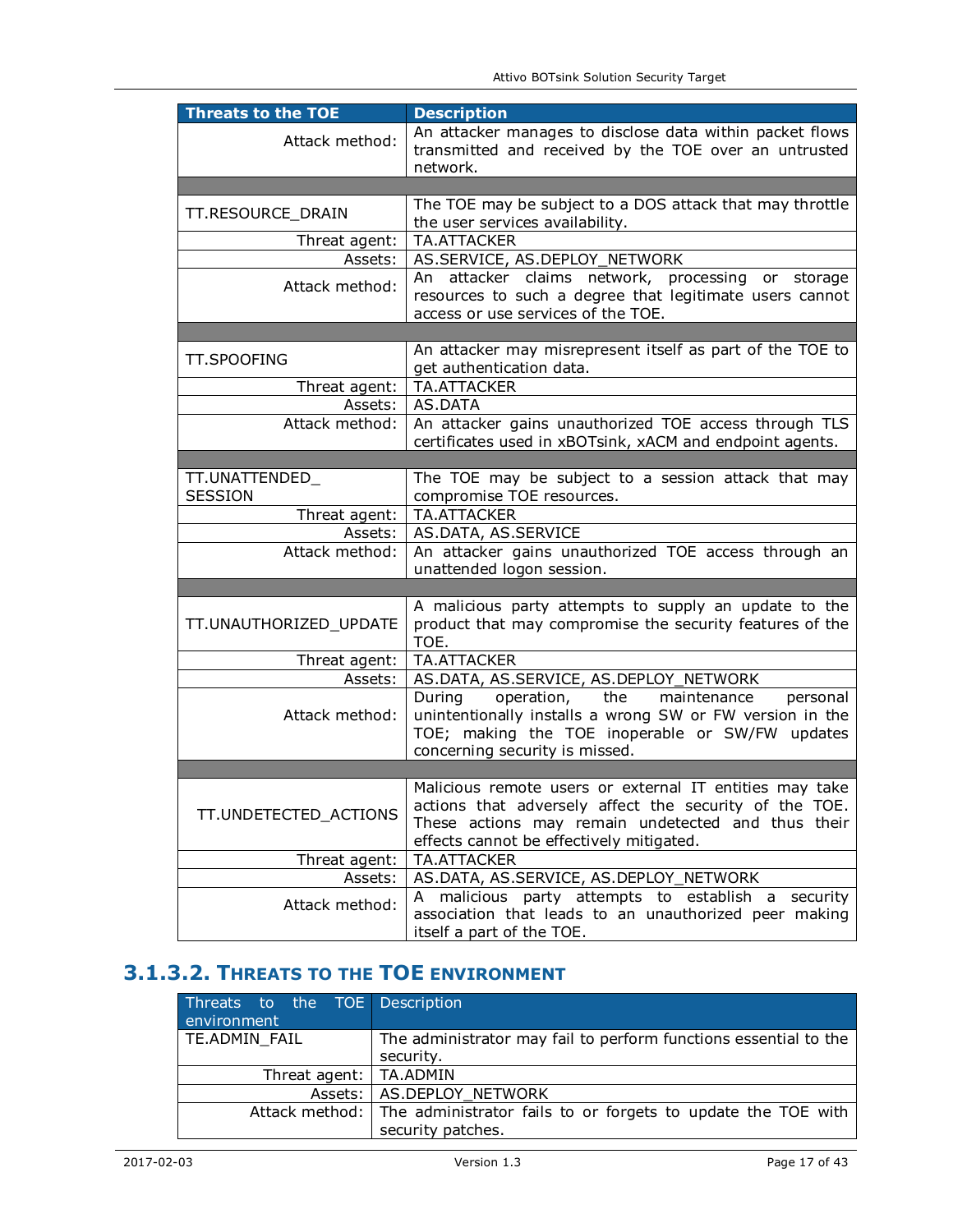| <b>Threats to the TOE</b> | <b>Description</b>                                        |
|---------------------------|-----------------------------------------------------------|
| Attack method:            | An attacker manages to disclose data within packet flows  |
|                           | transmitted and received by the TOE over an untrusted     |
|                           | network.                                                  |
|                           |                                                           |
|                           | The TOE may be subject to a DOS attack that may throttle  |
| TT.RESOURCE DRAIN         | the user services availability.                           |
| Threat agent:             | TA.ATTACKER                                               |
|                           |                                                           |
| Assets:                   | AS.SERVICE, AS.DEPLOY NETWORK                             |
| Attack method:            | attacker claims network, processing or storage<br>An      |
|                           | resources to such a degree that legitimate users cannot   |
|                           | access or use services of the TOE.                        |
|                           |                                                           |
|                           | An attacker may misrepresent itself as part of the TOE to |
| <b>TT.SPOOFING</b>        | get authentication data.                                  |
| Threat agent:             | <b>TA.ATTACKER</b>                                        |
| Assets:                   | AS.DATA                                                   |
| Attack method:            | An attacker gains unauthorized TOE access through TLS     |
|                           |                                                           |
|                           | certificates used in xBOTsink, xACM and endpoint agents.  |
|                           |                                                           |
| TT.UNATTENDED_            | The TOE may be subject to a session attack that may       |
| <b>SESSION</b>            | compromise TOE resources.                                 |
| Threat agent:             | TA.ATTACKER                                               |
| Assets:                   | AS.DATA, AS.SERVICE                                       |
| Attack method:            | An attacker gains unauthorized TOE access through an      |
|                           | unattended logon session.                                 |
|                           |                                                           |
|                           | A malicious party attempts to supply an update to the     |
| TT.UNAUTHORIZED_UPDATE    | product that may compromise the security features of the  |
|                           | TOE.                                                      |
| Threat agent:             | TA.ATTACKER                                               |
| Assets:                   | AS.DATA, AS.SERVICE, AS.DEPLOY_NETWORK                    |
|                           |                                                           |
|                           | operation,<br>the<br>maintenance<br>During<br>personal    |
| Attack method:            | unintentionally installs a wrong SW or FW version in the  |
|                           | TOE; making the TOE inoperable or SW/FW updates           |
|                           | concerning security is missed.                            |
|                           |                                                           |
|                           | Malicious remote users or external IT entities may take   |
|                           | actions that adversely affect the security of the TOE.    |
| TT.UNDETECTED_ACTIONS     | These actions may remain undetected and thus their        |
|                           | effects cannot be effectively mitigated.                  |
| Threat agent:             | <b>TA.ATTACKER</b>                                        |
| Assets:                   | AS.DATA, AS.SERVICE, AS.DEPLOY_NETWORK                    |
|                           |                                                           |
| Attack method:            | A malicious party attempts to establish a<br>security     |
|                           | association that leads to an unauthorized peer making     |
|                           | itself a part of the TOE.                                 |

# **3.1.3.2. THREATS TO THE TOE ENVIRONMENT**

| Threats to the TOE Description |                                                                             |
|--------------------------------|-----------------------------------------------------------------------------|
| environment                    |                                                                             |
| TE.ADMIN FAIL                  | The administrator may fail to perform functions essential to the            |
|                                | security.                                                                   |
| Threat agent:   TA.ADMIN       |                                                                             |
|                                | Assets:   AS.DEPLOY NETWORK                                                 |
|                                | Attack method: The administrator fails to or forgets to update the TOE with |
|                                | security patches.                                                           |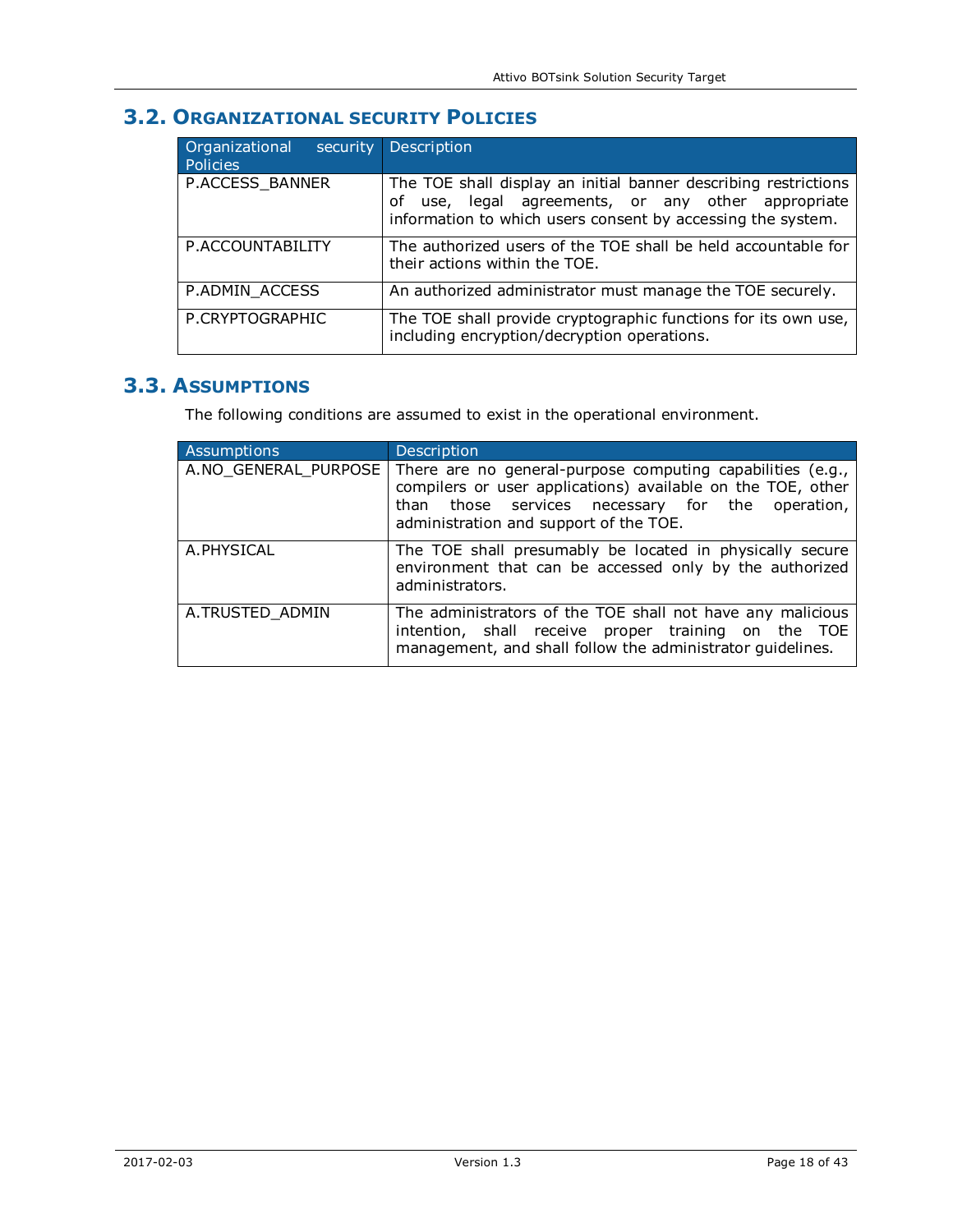# **3.2. ORGANIZATIONAL SECURITY POLICIES**

| Organizational<br>security<br>Policies | Description                                                                                                                                                                             |
|----------------------------------------|-----------------------------------------------------------------------------------------------------------------------------------------------------------------------------------------|
| P.ACCESS_BANNER                        | The TOE shall display an initial banner describing restrictions<br>use, legal agreements, or any other appropriate<br>of<br>information to which users consent by accessing the system. |
| P.ACCOUNTABILITY                       | The authorized users of the TOE shall be held accountable for<br>their actions within the TOE.                                                                                          |
| P.ADMIN_ACCESS                         | An authorized administrator must manage the TOE securely.                                                                                                                               |
| P.CRYPTOGRAPHIC                        | The TOE shall provide cryptographic functions for its own use,<br>including encryption/decryption operations.                                                                           |

## **3.3. ASSUMPTIONS**

The following conditions are assumed to exist in the operational environment.

| <b>Assumptions</b> | Description                                                                                                                                                                                                                                  |
|--------------------|----------------------------------------------------------------------------------------------------------------------------------------------------------------------------------------------------------------------------------------------|
|                    | A.NO GENERAL PURPOSE There are no general-purpose computing capabilities (e.g.,<br>compilers or user applications) available on the TOE, other<br>than those services necessary for the operation,<br>administration and support of the TOE. |
| A.PHYSICAL         | The TOE shall presumably be located in physically secure<br>environment that can be accessed only by the authorized<br>administrators.                                                                                                       |
| A.TRUSTED ADMIN    | The administrators of the TOE shall not have any malicious<br>intention, shall receive proper training on the TOE<br>management, and shall follow the administrator quidelines.                                                              |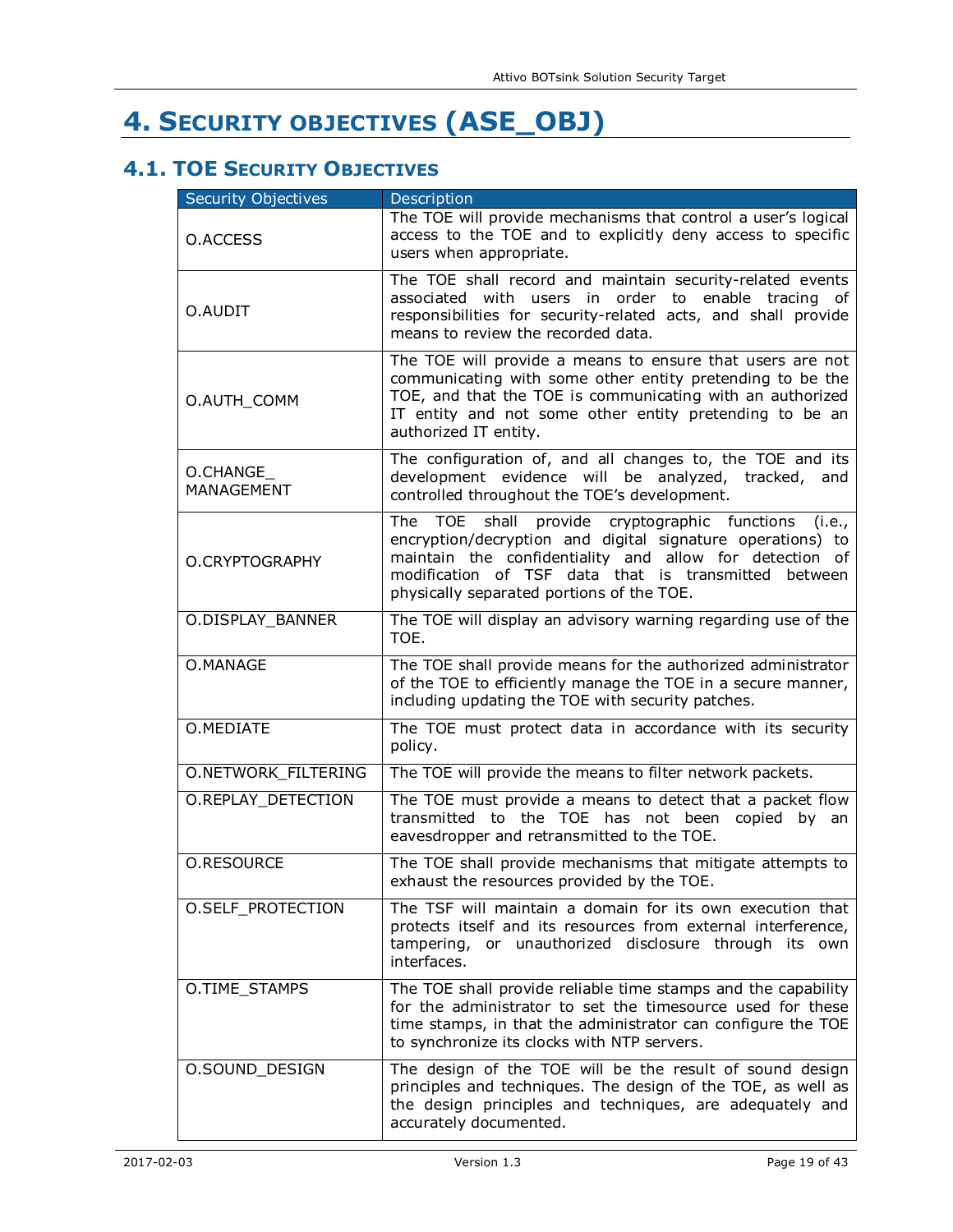# **4. SECURITY OBJECTIVES (ASE\_OBJ)**

# **4.1. TOE SECURITY OBJECTIVES**

| <b>Security Objectives</b> | <b>Description</b>                                                                                                                                                                                                                                                                    |
|----------------------------|---------------------------------------------------------------------------------------------------------------------------------------------------------------------------------------------------------------------------------------------------------------------------------------|
| O.ACCESS                   | The TOE will provide mechanisms that control a user's logical<br>access to the TOE and to explicitly deny access to specific<br>users when appropriate.                                                                                                                               |
| O.AUDIT                    | The TOE shall record and maintain security-related events<br>associated with users in order to enable tracing of<br>responsibilities for security-related acts, and shall provide<br>means to review the recorded data.                                                               |
| O.AUTH_COMM                | The TOE will provide a means to ensure that users are not<br>communicating with some other entity pretending to be the<br>TOE, and that the TOE is communicating with an authorized<br>IT entity and not some other entity pretending to be an<br>authorized IT entity.               |
| O.CHANGE<br>MANAGEMENT     | The configuration of, and all changes to, the TOE and its<br>development evidence will be analyzed, tracked, and<br>controlled throughout the TOE's development.                                                                                                                      |
| O.CRYPTOGRAPHY             | The TOE shall provide cryptographic functions<br>(i.e.,<br>encryption/decryption and digital signature operations) to<br>maintain the confidentiality and allow for detection of<br>modification of TSF data that is transmitted between<br>physically separated portions of the TOE. |
| O.DISPLAY_BANNER           | The TOE will display an advisory warning regarding use of the<br>TOE.                                                                                                                                                                                                                 |
| O.MANAGE                   | The TOE shall provide means for the authorized administrator<br>of the TOE to efficiently manage the TOE in a secure manner,<br>including updating the TOE with security patches.                                                                                                     |
| O.MEDIATE                  | The TOE must protect data in accordance with its security<br>policy.                                                                                                                                                                                                                  |
| O.NETWORK_FILTERING        | The TOE will provide the means to filter network packets.                                                                                                                                                                                                                             |
| O.REPLAY_DETECTION         | The TOE must provide a means to detect that a packet flow<br>transmitted to the TOE has not been copied by an<br>eavesdropper and retransmitted to the TOE.                                                                                                                           |
| <b>O.RESOURCE</b>          | The TOE shall provide mechanisms that mitigate attempts to<br>exhaust the resources provided by the TOE.                                                                                                                                                                              |
| O.SELF_PROTECTION          | The TSF will maintain a domain for its own execution that<br>protects itself and its resources from external interference,<br>tampering, or unauthorized disclosure through its own<br>interfaces.                                                                                    |
| O.TIME_STAMPS              | The TOE shall provide reliable time stamps and the capability<br>for the administrator to set the timesource used for these<br>time stamps, in that the administrator can configure the TOE<br>to synchronize its clocks with NTP servers.                                            |
| O.SOUND_DESIGN             | The design of the TOE will be the result of sound design<br>principles and techniques. The design of the TOE, as well as<br>the design principles and techniques, are adequately and<br>accurately documented.                                                                        |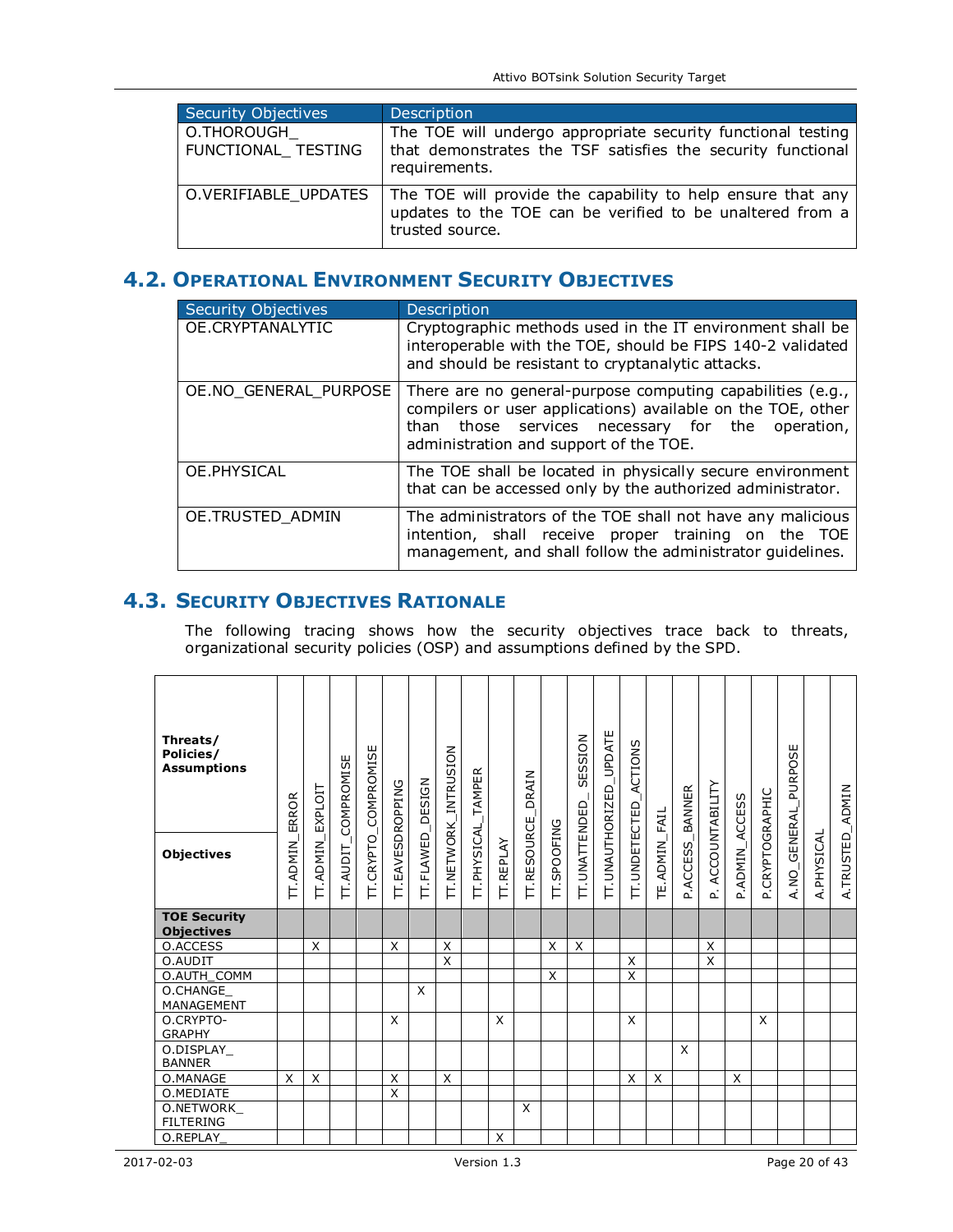| Security Objectives              | Description                                                                                                                                                        |
|----------------------------------|--------------------------------------------------------------------------------------------------------------------------------------------------------------------|
| O.THOROUGH<br>FUNCTIONAL TESTING | The TOE will undergo appropriate security functional testing<br>that demonstrates the TSF satisfies the security functional<br>requirements.                       |
|                                  | O.VERIFIABLE_UPDATES   The TOE will provide the capability to help ensure that any<br>updates to the TOE can be verified to be unaltered from a<br>trusted source. |

# **4.2. OPERATIONAL ENVIRONMENT SECURITY OBJECTIVES**

| <b>Security Objectives</b> | Description                                                                                                                                                                                                             |
|----------------------------|-------------------------------------------------------------------------------------------------------------------------------------------------------------------------------------------------------------------------|
| OE.CRYPTANALYTIC           | Cryptographic methods used in the IT environment shall be<br>interoperable with the TOE, should be FIPS 140-2 validated<br>and should be resistant to cryptanalytic attacks.                                            |
| OE.NO GENERAL PURPOSE      | There are no general-purpose computing capabilities (e.g.,<br>compilers or user applications) available on the TOE, other<br>than those services necessary for the operation,<br>administration and support of the TOE. |
| OE.PHYSICAL                | The TOE shall be located in physically secure environment<br>that can be accessed only by the authorized administrator.                                                                                                 |
| OE.TRUSTED_ADMIN           | The administrators of the TOE shall not have any malicious<br>intention, shall receive proper training on the TOE<br>management, and shall follow the administrator quidelines.                                         |

## **4.3. SECURITY OBJECTIVES RATIONALE**

The following tracing shows how the security objectives trace back to threats, organizational security policies (OSP) and assumptions defined by the SPD.

| Threats/<br>Policies/<br><b>Assumptions</b><br><b>Objectives</b> | ERROR<br><b>TT.ADMIN</b> | <b>EXPLOIT</b><br><b>TT.ADMIN</b> | COMPROMISE<br>TT.AUDIT_ | <b>TT.CRYPTO_COMPROMISE</b> | TT.EAVESDROPPING | DESIGN<br><b>TT.FLAWED</b> | <b>TT.NETWORK_INTRUSION</b> | _TAMPER<br>TT.PHYSICAL | <b>TT.REPLAY</b> | DRAIN<br><b>TT.RESOURCE</b> | TT.SPOOFING | SESSION<br><b>TT.UNATTENDED</b> | TT.UNAUTHORIZED_UPDATE | ACTIONS<br><b>IT.UNDETECTED</b> | TE. ADMIN_FAIL | BANNER<br>P.ACCESS | ACCOUNTABILITY<br>ρÎ. | P.ADMIN_ACCESS | P.CRYPTOGRAPHIC | A. NO_GENERAL_PURPOSE | A.PHYSICAL | A.TRUSTED_ADMIN |
|------------------------------------------------------------------|--------------------------|-----------------------------------|-------------------------|-----------------------------|------------------|----------------------------|-----------------------------|------------------------|------------------|-----------------------------|-------------|---------------------------------|------------------------|---------------------------------|----------------|--------------------|-----------------------|----------------|-----------------|-----------------------|------------|-----------------|
| <b>TOE Security</b><br><b>Objectives</b>                         |                          |                                   |                         |                             |                  |                            |                             |                        |                  |                             |             |                                 |                        |                                 |                |                    |                       |                |                 |                       |            |                 |
| O.ACCESS                                                         |                          | X                                 |                         |                             | X                |                            | X                           |                        |                  |                             | X           | $\times$                        |                        |                                 |                |                    | X                     |                |                 |                       |            |                 |
| O.AUDIT                                                          |                          |                                   |                         |                             |                  |                            | X                           |                        |                  |                             |             |                                 |                        | X                               |                |                    | X                     |                |                 |                       |            |                 |
| O.AUTH_COMM                                                      |                          |                                   |                         |                             |                  |                            |                             |                        |                  |                             | X           |                                 |                        | X                               |                |                    |                       |                |                 |                       |            |                 |
| O.CHANGE<br>MANAGEMENT                                           |                          |                                   |                         |                             |                  | X                          |                             |                        |                  |                             |             |                                 |                        |                                 |                |                    |                       |                |                 |                       |            |                 |
| O.CRYPTO-<br><b>GRAPHY</b>                                       |                          |                                   |                         |                             | X                |                            |                             |                        | X                |                             |             |                                 |                        | X                               |                |                    |                       |                | X               |                       |            |                 |
| O.DISPLAY<br><b>BANNER</b>                                       |                          |                                   |                         |                             |                  |                            |                             |                        |                  |                             |             |                                 |                        |                                 |                | X                  |                       |                |                 |                       |            |                 |
| O.MANAGE                                                         | X                        | X                                 |                         |                             | X                |                            | X                           |                        |                  |                             |             |                                 |                        | X                               | X              |                    |                       | X              |                 |                       |            |                 |
| O.MEDIATE                                                        |                          |                                   |                         |                             | $\times$         |                            |                             |                        |                  |                             |             |                                 |                        |                                 |                |                    |                       |                |                 |                       |            |                 |
| O.NETWORK                                                        |                          |                                   |                         |                             |                  |                            |                             |                        |                  | X                           |             |                                 |                        |                                 |                |                    |                       |                |                 |                       |            |                 |
| <b>FILTERING</b>                                                 |                          |                                   |                         |                             |                  |                            |                             |                        |                  |                             |             |                                 |                        |                                 |                |                    |                       |                |                 |                       |            |                 |
| O.REPLAY                                                         |                          |                                   |                         |                             |                  |                            |                             |                        | X                |                             |             |                                 |                        |                                 |                |                    |                       |                |                 |                       |            |                 |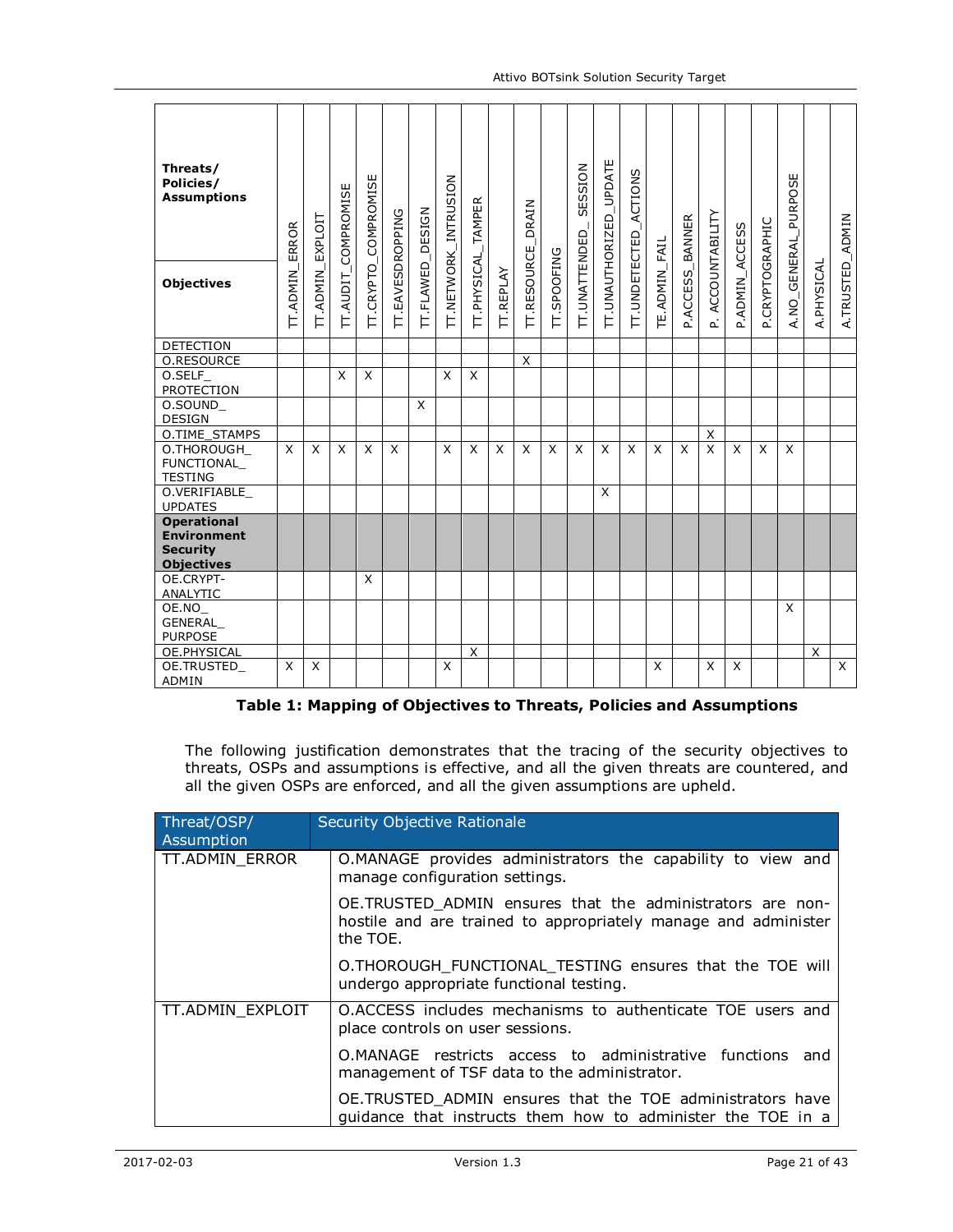| Threats/<br>Policies/<br><b>Assumptions</b>                                      | ERROR           | EXPLOIT         | <b>IT.AUDIT_COMPROMISE</b> | COMPROMISE   |                         | DESIGN    | TT.NETWORK_INTRUSION | IT.PHYSICAL_TAMPER |                  | DRAIN       |             | SESSION       | TT.UNAUTHORIZED_UPDATE | ACTIONS       |               | <b>BANNER</b> | <b>ACCOUNTABILITY</b> |                |                 | A. NO_GENERAL_PURPOSE |            |                 |
|----------------------------------------------------------------------------------|-----------------|-----------------|----------------------------|--------------|-------------------------|-----------|----------------------|--------------------|------------------|-------------|-------------|---------------|------------------------|---------------|---------------|---------------|-----------------------|----------------|-----------------|-----------------------|------------|-----------------|
| <b>Objectives</b>                                                                | <b>IT.ADMIN</b> | <b>IT.ADMIN</b> |                            | IT.CRYPTO    | <b>TT.EAVESDROPPING</b> | IT.FLAWED |                      |                    | <b>IT.REPLAY</b> | TT.RESOURCE | TT.SPOOFING | IT.UNATTENDED |                        | IT.UNDETECTED | TE.ADMIN_FAIL | P.ACCESS      | L                     | P.ADMIN_ACCESS | P.CRYPTOGRAPHIC |                       | A.PHYSICAL | A.TRUSTED_ADMIN |
| DETECTION                                                                        |                 |                 |                            |              |                         |           |                      |                    |                  |             |             |               |                        |               |               |               |                       |                |                 |                       |            |                 |
| O.RESOURCE                                                                       |                 |                 |                            |              |                         |           |                      |                    |                  | X           |             |               |                        |               |               |               |                       |                |                 |                       |            |                 |
| $0.$ SELF_<br><b>PROTECTION</b>                                                  |                 |                 | X                          | X            |                         |           | X                    | X                  |                  |             |             |               |                        |               |               |               |                       |                |                 |                       |            |                 |
| O.SOUND<br>DESIGN                                                                |                 |                 |                            |              |                         | X         |                      |                    |                  |             |             |               |                        |               |               |               |                       |                |                 |                       |            |                 |
| O.TIME_STAMPS                                                                    |                 |                 |                            |              |                         |           |                      |                    |                  |             |             |               |                        |               |               |               | X                     |                |                 |                       |            |                 |
| O.THOROUGH<br><b>FUNCTIONAL</b><br><b>TESTING</b>                                | X               | X               | X                          | X            | X                       |           | X                    | X                  | X                | X           | X           | X             | X                      | X             | X             | X             | X                     | X              | X               | X                     |            |                 |
| O.VERIFIABLE<br><b>UPDATES</b>                                                   |                 |                 |                            |              |                         |           |                      |                    |                  |             |             |               | X                      |               |               |               |                       |                |                 |                       |            |                 |
| <b>Operational</b><br><b>Environment</b><br><b>Security</b><br><b>Objectives</b> |                 |                 |                            |              |                         |           |                      |                    |                  |             |             |               |                        |               |               |               |                       |                |                 |                       |            |                 |
| OE.CRYPT-<br>ANALYTIC                                                            |                 |                 |                            | $\mathsf{x}$ |                         |           |                      |                    |                  |             |             |               |                        |               |               |               |                       |                |                 |                       |            |                 |
| OE.NO_                                                                           |                 |                 |                            |              |                         |           |                      |                    |                  |             |             |               |                        |               |               |               |                       |                |                 | $\mathsf{x}$          |            |                 |
| GENERAL<br><b>PURPOSE</b>                                                        |                 |                 |                            |              |                         |           |                      |                    |                  |             |             |               |                        |               |               |               |                       |                |                 |                       |            |                 |
| OE.PHYSICAL                                                                      |                 |                 |                            |              |                         |           |                      | X                  |                  |             |             |               |                        |               |               |               |                       |                |                 |                       | X          |                 |
| OE.TRUSTED_<br>ADMIN                                                             | X               | X               |                            |              |                         |           | X                    |                    |                  |             |             |               |                        |               | X             |               | X                     | X              |                 |                       |            | $\mathsf{X}$    |

#### **Table 1: Mapping of Objectives to Threats, Policies and Assumptions**

The following justification demonstrates that the tracing of the security objectives to threats, OSPs and assumptions is effective, and all the given threats are countered, and all the given OSPs are enforced, and all the given assumptions are upheld.

| Threat/OSP/<br>Assumption | Security Objective Rationale                                                                                                            |  |  |  |  |  |  |  |  |  |  |
|---------------------------|-----------------------------------------------------------------------------------------------------------------------------------------|--|--|--|--|--|--|--|--|--|--|
| TT.ADMIN ERROR            | O.MANAGE provides administrators the capability to view and<br>manage configuration settings.                                           |  |  |  |  |  |  |  |  |  |  |
|                           | OE.TRUSTED ADMIN ensures that the administrators are non-<br>hostile and are trained to appropriately manage and administer<br>the TOE. |  |  |  |  |  |  |  |  |  |  |
|                           | O.THOROUGH FUNCTIONAL TESTING ensures that the TOE will<br>undergo appropriate functional testing.                                      |  |  |  |  |  |  |  |  |  |  |
| TT.ADMIN EXPLOIT          | O.ACCESS includes mechanisms to authenticate TOE users and<br>place controls on user sessions.                                          |  |  |  |  |  |  |  |  |  |  |
|                           | O.MANAGE restricts access to administrative functions and<br>management of TSF data to the administrator.                               |  |  |  |  |  |  |  |  |  |  |
|                           | OE.TRUSTED ADMIN ensures that the TOE administrators have<br>quidance that instructs them how to administer the TOE in a                |  |  |  |  |  |  |  |  |  |  |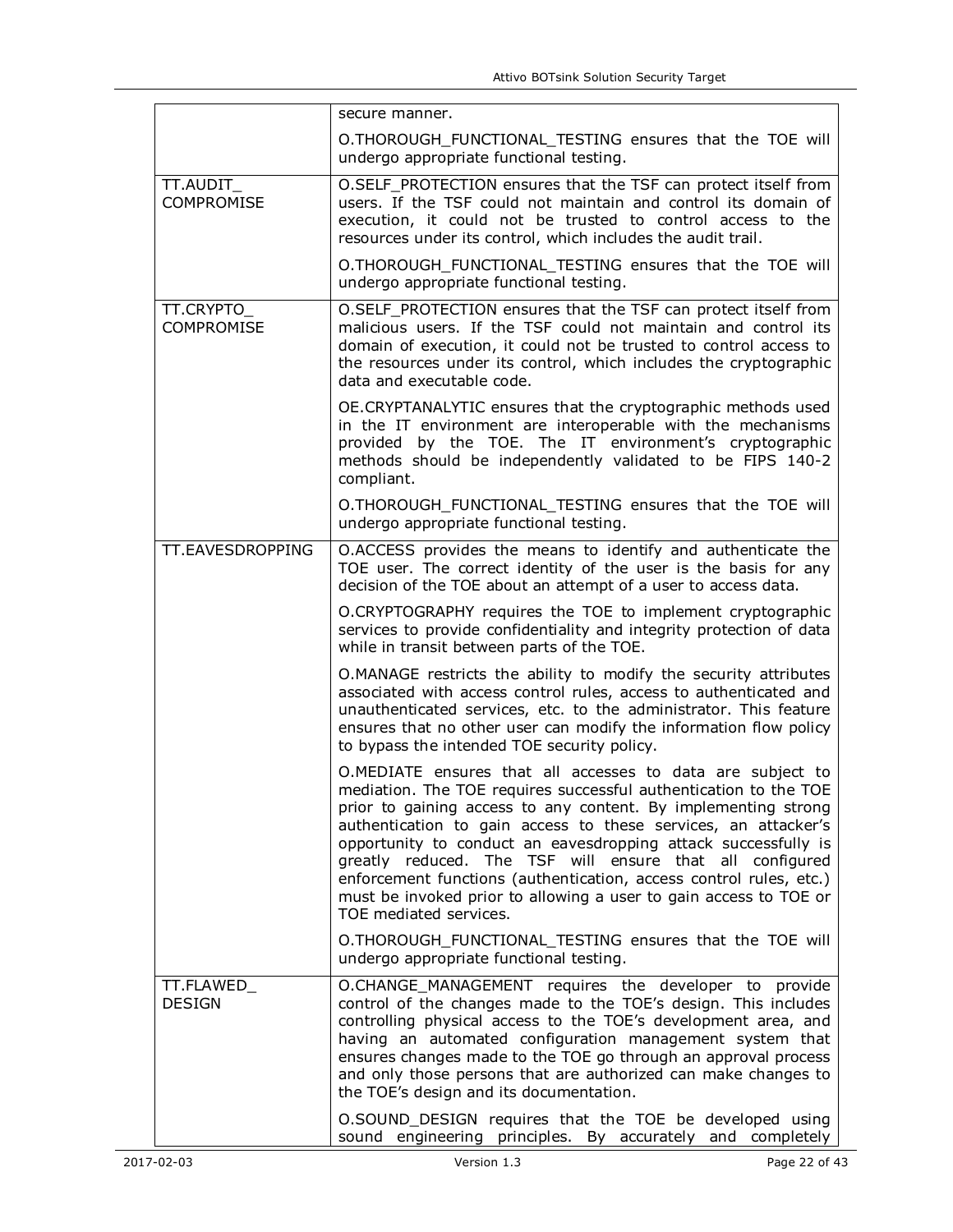|                                 | secure manner.                                                                                                                                                                                                                                                                                                                                                                                                                                                                                                                                                        |
|---------------------------------|-----------------------------------------------------------------------------------------------------------------------------------------------------------------------------------------------------------------------------------------------------------------------------------------------------------------------------------------------------------------------------------------------------------------------------------------------------------------------------------------------------------------------------------------------------------------------|
|                                 | O.THOROUGH_FUNCTIONAL_TESTING ensures that the TOE will<br>undergo appropriate functional testing.                                                                                                                                                                                                                                                                                                                                                                                                                                                                    |
| TT.AUDIT<br><b>COMPROMISE</b>   | O.SELF PROTECTION ensures that the TSF can protect itself from<br>users. If the TSF could not maintain and control its domain of<br>execution, it could not be trusted to control access to the<br>resources under its control, which includes the audit trail.                                                                                                                                                                                                                                                                                                       |
|                                 | O.THOROUGH_FUNCTIONAL_TESTING ensures that the TOE will<br>undergo appropriate functional testing.                                                                                                                                                                                                                                                                                                                                                                                                                                                                    |
| TT.CRYPTO_<br><b>COMPROMISE</b> | O.SELF_PROTECTION ensures that the TSF can protect itself from<br>malicious users. If the TSF could not maintain and control its<br>domain of execution, it could not be trusted to control access to<br>the resources under its control, which includes the cryptographic<br>data and executable code.                                                                                                                                                                                                                                                               |
|                                 | OE.CRYPTANALYTIC ensures that the cryptographic methods used<br>in the IT environment are interoperable with the mechanisms<br>provided by the TOE. The IT environment's cryptographic<br>methods should be independently validated to be FIPS 140-2<br>compliant.                                                                                                                                                                                                                                                                                                    |
|                                 | O.THOROUGH FUNCTIONAL TESTING ensures that the TOE will<br>undergo appropriate functional testing.                                                                                                                                                                                                                                                                                                                                                                                                                                                                    |
| TT.EAVESDROPPING                | O.ACCESS provides the means to identify and authenticate the<br>TOE user. The correct identity of the user is the basis for any<br>decision of the TOE about an attempt of a user to access data.                                                                                                                                                                                                                                                                                                                                                                     |
|                                 | O.CRYPTOGRAPHY requires the TOE to implement cryptographic<br>services to provide confidentiality and integrity protection of data<br>while in transit between parts of the TOE.                                                                                                                                                                                                                                                                                                                                                                                      |
|                                 | O.MANAGE restricts the ability to modify the security attributes<br>associated with access control rules, access to authenticated and<br>unauthenticated services, etc. to the administrator. This feature<br>ensures that no other user can modify the information flow policy<br>to bypass the intended TOE security policy.                                                                                                                                                                                                                                        |
|                                 | O.MEDIATE ensures that all accesses to data are subject to<br>mediation. The TOE requires successful authentication to the TOE<br>prior to gaining access to any content. By implementing strong<br>authentication to gain access to these services, an attacker's<br>opportunity to conduct an eavesdropping attack successfully is<br>greatly reduced. The TSF will ensure that all configured<br>enforcement functions (authentication, access control rules, etc.)<br>must be invoked prior to allowing a user to gain access to TOE or<br>TOE mediated services. |
|                                 | O.THOROUGH_FUNCTIONAL_TESTING ensures that the TOE will<br>undergo appropriate functional testing.                                                                                                                                                                                                                                                                                                                                                                                                                                                                    |
| TT.FLAWED_<br><b>DESIGN</b>     | O.CHANGE_MANAGEMENT requires the developer to<br>provide<br>control of the changes made to the TOE's design. This includes<br>controlling physical access to the TOE's development area, and<br>having an automated configuration management system that<br>ensures changes made to the TOE go through an approval process<br>and only those persons that are authorized can make changes to<br>the TOE's design and its documentation.                                                                                                                               |
|                                 | O.SOUND_DESIGN requires that the TOE be developed using<br>sound engineering principles. By accurately and completely                                                                                                                                                                                                                                                                                                                                                                                                                                                 |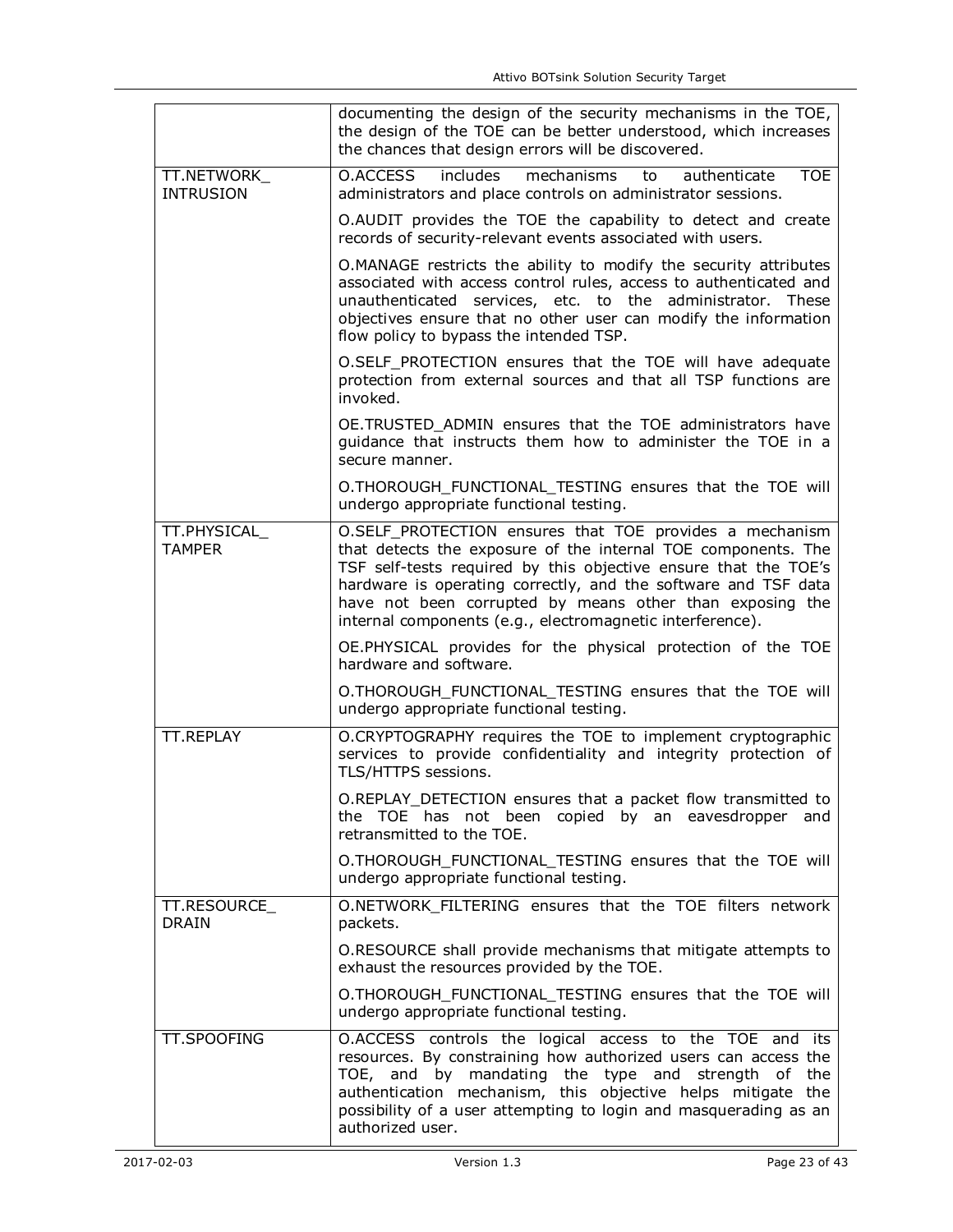|                                 | documenting the design of the security mechanisms in the TOE,<br>the design of the TOE can be better understood, which increases<br>the chances that design errors will be discovered.                                                                                                                                                                                                 |
|---------------------------------|----------------------------------------------------------------------------------------------------------------------------------------------------------------------------------------------------------------------------------------------------------------------------------------------------------------------------------------------------------------------------------------|
| TT.NETWORK_<br><b>INTRUSION</b> | O.ACCESS<br>includes<br>mechanisms<br><b>TOE</b><br>authenticate<br>to<br>administrators and place controls on administrator sessions.                                                                                                                                                                                                                                                 |
|                                 | O.AUDIT provides the TOE the capability to detect and create<br>records of security-relevant events associated with users.                                                                                                                                                                                                                                                             |
|                                 | O.MANAGE restricts the ability to modify the security attributes<br>associated with access control rules, access to authenticated and<br>unauthenticated services, etc. to the administrator. These<br>objectives ensure that no other user can modify the information<br>flow policy to bypass the intended TSP.                                                                      |
|                                 | O.SELF_PROTECTION ensures that the TOE will have adequate<br>protection from external sources and that all TSP functions are<br>invoked.                                                                                                                                                                                                                                               |
|                                 | OE.TRUSTED ADMIN ensures that the TOE administrators have<br>guidance that instructs them how to administer the TOE in a<br>secure manner.                                                                                                                                                                                                                                             |
|                                 | O.THOROUGH_FUNCTIONAL_TESTING ensures that the TOE will<br>undergo appropriate functional testing.                                                                                                                                                                                                                                                                                     |
| TT.PHYSICAL<br><b>TAMPFR</b>    | O.SELF_PROTECTION ensures that TOE provides a mechanism<br>that detects the exposure of the internal TOE components. The<br>TSF self-tests required by this objective ensure that the TOE's<br>hardware is operating correctly, and the software and TSF data<br>have not been corrupted by means other than exposing the<br>internal components (e.g., electromagnetic interference). |
|                                 | OE.PHYSICAL provides for the physical protection of the TOE<br>hardware and software.                                                                                                                                                                                                                                                                                                  |
|                                 | O.THOROUGH_FUNCTIONAL_TESTING ensures that the TOE will<br>undergo appropriate functional testing.                                                                                                                                                                                                                                                                                     |
| TT.REPLAY                       | O.CRYPTOGRAPHY requires the TOE to implement cryptographic<br>services to provide confidentiality and integrity protection of<br>TLS/HTTPS sessions.                                                                                                                                                                                                                                   |
|                                 | O.REPLAY_DETECTION ensures that a packet flow transmitted to<br>the TOE has not been copied by an eavesdropper and<br>retransmitted to the TOE.                                                                                                                                                                                                                                        |
|                                 | O.THOROUGH_FUNCTIONAL_TESTING ensures that the TOE will<br>undergo appropriate functional testing.                                                                                                                                                                                                                                                                                     |
| TT.RESOURCE<br><b>DRAIN</b>     | O.NETWORK_FILTERING ensures that the TOE filters network<br>packets.                                                                                                                                                                                                                                                                                                                   |
|                                 | O.RESOURCE shall provide mechanisms that mitigate attempts to<br>exhaust the resources provided by the TOE.                                                                                                                                                                                                                                                                            |
|                                 | O.THOROUGH_FUNCTIONAL_TESTING ensures that the TOE will<br>undergo appropriate functional testing.                                                                                                                                                                                                                                                                                     |
| <b>TT.SPOOFING</b>              | O.ACCESS controls the logical access to the TOE and its<br>resources. By constraining how authorized users can access the<br>TOE, and by mandating the type and strength of the<br>authentication mechanism, this objective helps mitigate the<br>possibility of a user attempting to login and masquerading as an<br>authorized user.                                                 |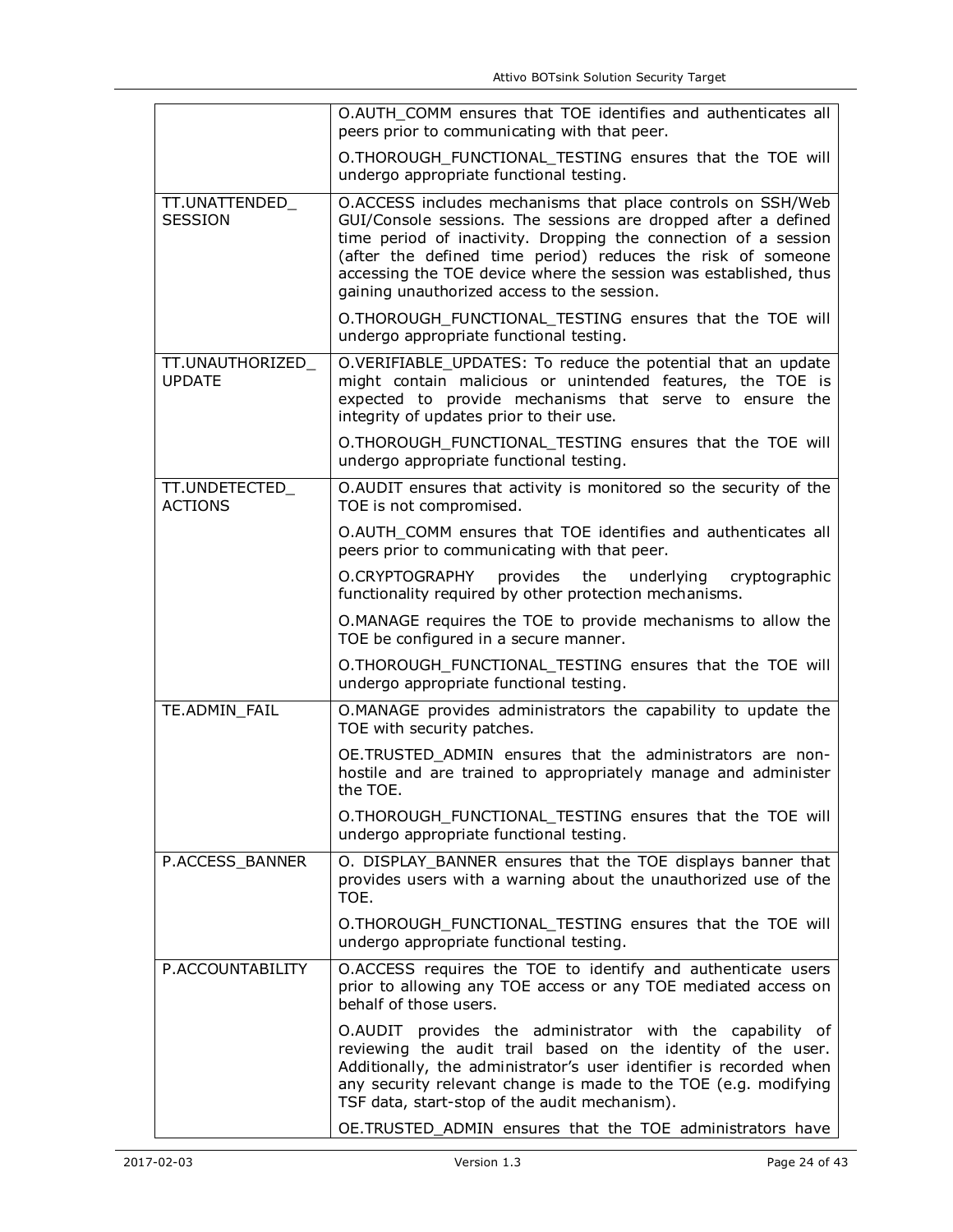|                                   | O.AUTH COMM ensures that TOE identifies and authenticates all<br>peers prior to communicating with that peer.                                                                                                                                                                                                                                                                      |
|-----------------------------------|------------------------------------------------------------------------------------------------------------------------------------------------------------------------------------------------------------------------------------------------------------------------------------------------------------------------------------------------------------------------------------|
|                                   | O.THOROUGH_FUNCTIONAL_TESTING ensures that the TOE will<br>undergo appropriate functional testing.                                                                                                                                                                                                                                                                                 |
| TT.UNATTENDED<br><b>SESSION</b>   | O.ACCESS includes mechanisms that place controls on SSH/Web<br>GUI/Console sessions. The sessions are dropped after a defined<br>time period of inactivity. Dropping the connection of a session<br>(after the defined time period) reduces the risk of someone<br>accessing the TOE device where the session was established, thus<br>gaining unauthorized access to the session. |
|                                   | O.THOROUGH_FUNCTIONAL_TESTING ensures that the TOE will<br>undergo appropriate functional testing.                                                                                                                                                                                                                                                                                 |
| TT.UNAUTHORIZED_<br><b>UPDATE</b> | O.VERIFIABLE_UPDATES: To reduce the potential that an update<br>might contain malicious or unintended features, the TOE is<br>expected to provide mechanisms that serve to ensure the<br>integrity of updates prior to their use.                                                                                                                                                  |
|                                   | O.THOROUGH FUNCTIONAL TESTING ensures that the TOE will<br>undergo appropriate functional testing.                                                                                                                                                                                                                                                                                 |
| TT.UNDETECTED_<br><b>ACTIONS</b>  | O.AUDIT ensures that activity is monitored so the security of the<br>TOE is not compromised.                                                                                                                                                                                                                                                                                       |
|                                   | O.AUTH COMM ensures that TOE identifies and authenticates all<br>peers prior to communicating with that peer.                                                                                                                                                                                                                                                                      |
|                                   | O.CRYPTOGRAPHY<br>provides<br>the<br>underlying<br>cryptographic<br>functionality required by other protection mechanisms.                                                                                                                                                                                                                                                         |
|                                   | O.MANAGE requires the TOE to provide mechanisms to allow the<br>TOE be configured in a secure manner.                                                                                                                                                                                                                                                                              |
|                                   | O.THOROUGH_FUNCTIONAL_TESTING ensures that the TOE will<br>undergo appropriate functional testing.                                                                                                                                                                                                                                                                                 |
| TE.ADMIN_FAIL                     | O.MANAGE provides administrators the capability to update the<br>TOE with security patches.                                                                                                                                                                                                                                                                                        |
|                                   | OE.TRUSTED ADMIN ensures that the administrators are non-<br>hostile and are trained to appropriately manage and administer<br>the TOE.                                                                                                                                                                                                                                            |
|                                   | O.THOROUGH_FUNCTIONAL_TESTING ensures that the TOE will<br>undergo appropriate functional testing.                                                                                                                                                                                                                                                                                 |
| P.ACCESS_BANNER                   | O. DISPLAY_BANNER ensures that the TOE displays banner that<br>provides users with a warning about the unauthorized use of the<br>TOE.                                                                                                                                                                                                                                             |
|                                   | O.THOROUGH FUNCTIONAL TESTING ensures that the TOE will<br>undergo appropriate functional testing.                                                                                                                                                                                                                                                                                 |
| P.ACCOUNTABILITY                  | O.ACCESS requires the TOE to identify and authenticate users<br>prior to allowing any TOE access or any TOE mediated access on<br>behalf of those users.                                                                                                                                                                                                                           |
|                                   | O.AUDIT provides the administrator with the capability of<br>reviewing the audit trail based on the identity of the user.<br>Additionally, the administrator's user identifier is recorded when<br>any security relevant change is made to the TOE (e.g. modifying<br>TSF data, start-stop of the audit mechanism).                                                                |
|                                   | OE.TRUSTED_ADMIN ensures that the TOE administrators have                                                                                                                                                                                                                                                                                                                          |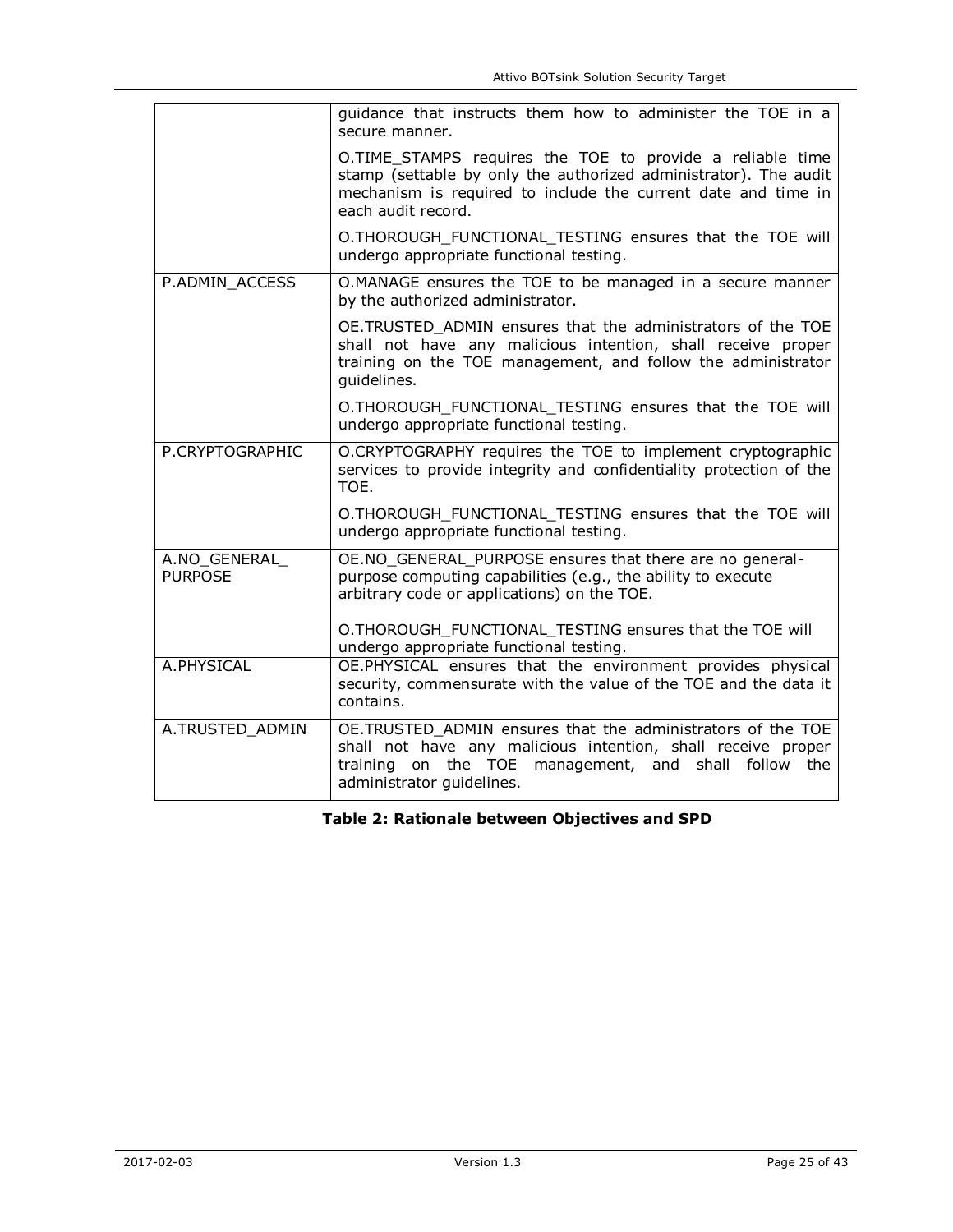|                                | guidance that instructs them how to administer the TOE in a<br>secure manner.                                                                                                                                        |
|--------------------------------|----------------------------------------------------------------------------------------------------------------------------------------------------------------------------------------------------------------------|
|                                | O.TIME_STAMPS requires the TOE to provide a reliable time<br>stamp (settable by only the authorized administrator). The audit<br>mechanism is required to include the current date and time in<br>each audit record. |
|                                | O.THOROUGH_FUNCTIONAL_TESTING ensures that the TOE will<br>undergo appropriate functional testing.                                                                                                                   |
| P.ADMIN ACCESS                 | O.MANAGE ensures the TOE to be managed in a secure manner<br>by the authorized administrator.                                                                                                                        |
|                                | OE.TRUSTED_ADMIN ensures that the administrators of the TOE<br>shall not have any malicious intention, shall receive proper<br>training on the TOE management, and follow the administrator<br>quidelines.           |
|                                | O.THOROUGH FUNCTIONAL TESTING ensures that the TOE will<br>undergo appropriate functional testing.                                                                                                                   |
| P.CRYPTOGRAPHIC                | O.CRYPTOGRAPHY requires the TOE to implement cryptographic<br>services to provide integrity and confidentiality protection of the<br>TOE.                                                                            |
|                                | O.THOROUGH_FUNCTIONAL_TESTING ensures that the TOE will<br>undergo appropriate functional testing.                                                                                                                   |
| A.NO_GENERAL<br><b>PURPOSE</b> | OE.NO_GENERAL_PURPOSE ensures that there are no general-<br>purpose computing capabilities (e.g., the ability to execute<br>arbitrary code or applications) on the TOE.                                              |
|                                | O.THOROUGH FUNCTIONAL TESTING ensures that the TOE will<br>undergo appropriate functional testing.                                                                                                                   |
| A.PHYSICAL                     | OE.PHYSICAL ensures that the environment provides physical<br>security, commensurate with the value of the TOE and the data it<br>contains.                                                                          |
| A.TRUSTED ADMIN                | OE.TRUSTED ADMIN ensures that the administrators of the TOE<br>shall not have any malicious intention, shall receive proper<br>training on the TOE management, and shall follow the<br>administrator guidelines.     |

**Table 2: Rationale between Objectives and SPD**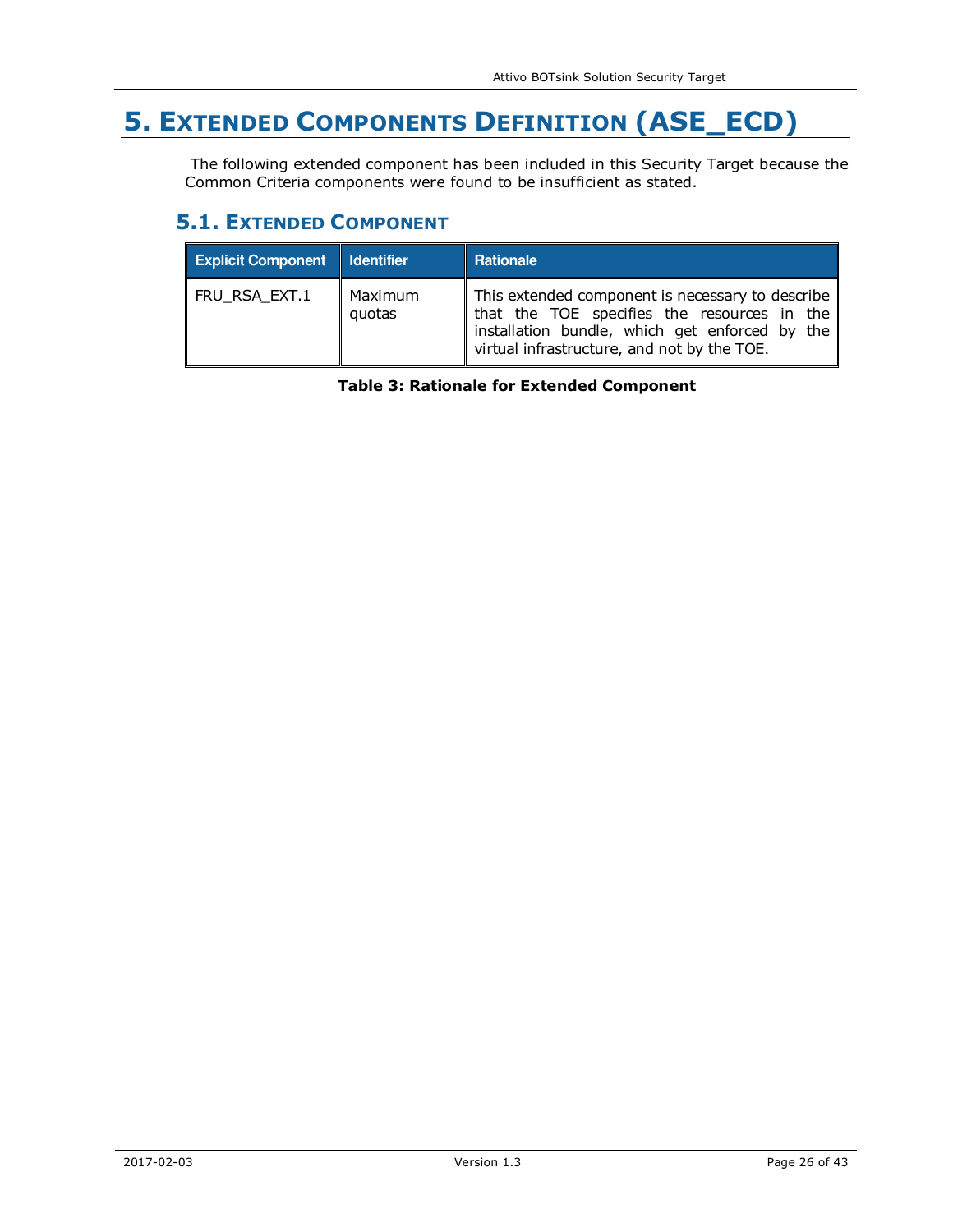# **5. EXTENDED COMPONENTS DEFINITION (ASE\_ECD)**

 The following extended component has been included in this Security Target because the Common Criteria components were found to be insufficient as stated.

## **5.1. EXTENDED COMPONENT**

| <b>Explicit Component   Identifier</b> |                   | <b>Rationale</b>                                                                                                                                                                                 |
|----------------------------------------|-------------------|--------------------------------------------------------------------------------------------------------------------------------------------------------------------------------------------------|
| FRU_RSA_EXT.1                          | Maximum<br>quotas | This extended component is necessary to describe<br>that the TOE specifies the resources in the<br>installation bundle, which get enforced by the<br>virtual infrastructure, and not by the TOE. |

**Table 3: Rationale for Extended Component**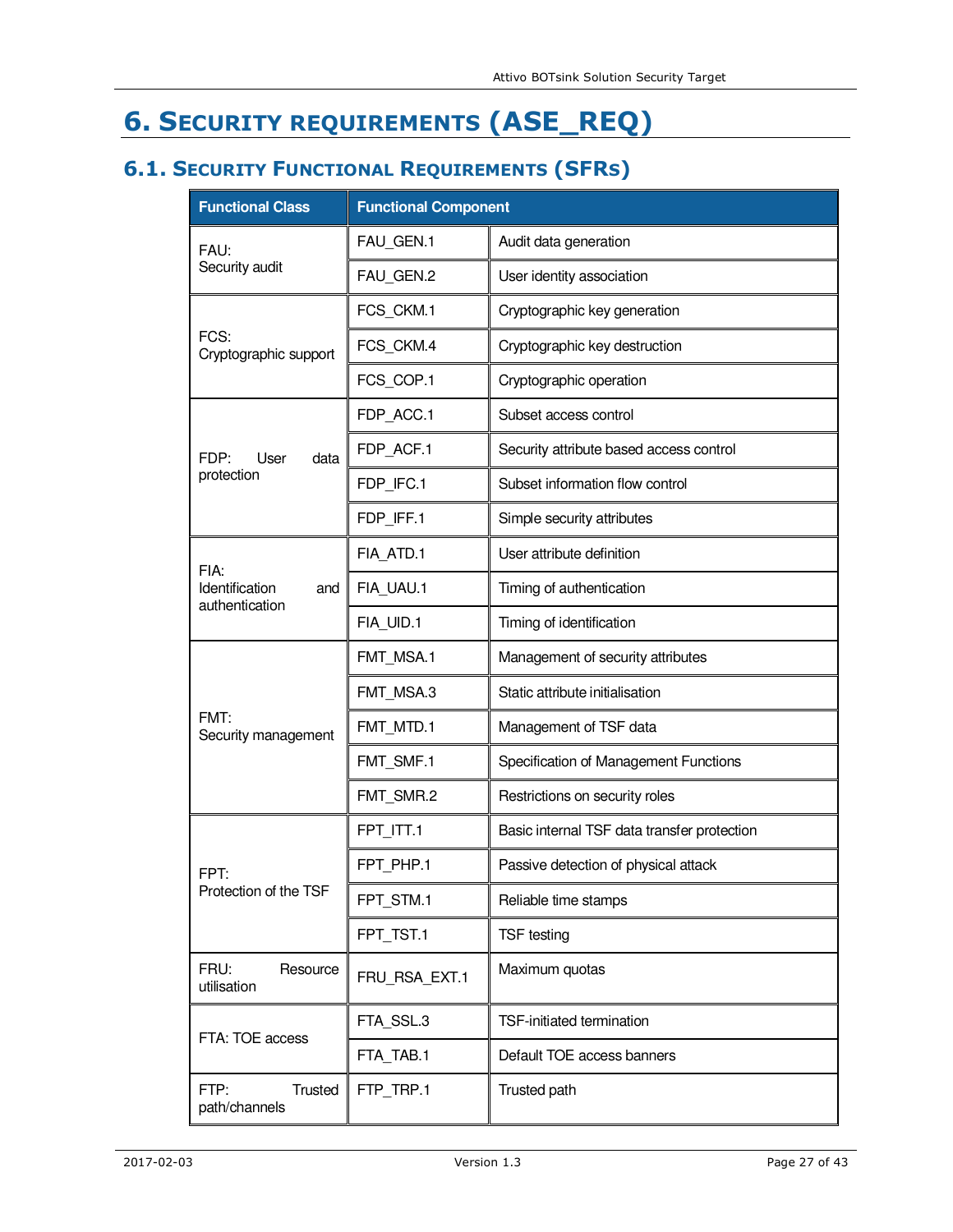# **6. SECURITY REQUIREMENTS (ASE\_REQ)**

# **6.1. SECURITY FUNCTIONAL REQUIREMENTS (SFRS)**

| <b>Functional Class</b>                 | <b>Functional Component</b> |                                             |  |  |  |  |  |  |  |  |
|-----------------------------------------|-----------------------------|---------------------------------------------|--|--|--|--|--|--|--|--|
| FAU:                                    | FAU_GEN.1                   | Audit data generation                       |  |  |  |  |  |  |  |  |
| Security audit                          | FAU GEN.2                   | User identity association                   |  |  |  |  |  |  |  |  |
|                                         | FCS_CKM.1                   | Cryptographic key generation                |  |  |  |  |  |  |  |  |
| FCS:<br>Cryptographic support           | FCS_CKM.4                   | Cryptographic key destruction               |  |  |  |  |  |  |  |  |
|                                         | FCS_COP.1                   | Cryptographic operation                     |  |  |  |  |  |  |  |  |
|                                         | FDP_ACC.1                   | Subset access control                       |  |  |  |  |  |  |  |  |
| FDP:<br>User<br>data                    | FDP_ACF.1                   | Security attribute based access control     |  |  |  |  |  |  |  |  |
| protection                              | FDP_IFC.1                   | Subset information flow control             |  |  |  |  |  |  |  |  |
|                                         | FDP IFF.1                   | Simple security attributes                  |  |  |  |  |  |  |  |  |
| FIA:                                    | FIA ATD.1                   | User attribute definition                   |  |  |  |  |  |  |  |  |
| Identification<br>and<br>authentication | FIA_UAU.1                   | Timing of authentication                    |  |  |  |  |  |  |  |  |
|                                         | FIA UID.1                   | Timing of identification                    |  |  |  |  |  |  |  |  |
|                                         | FMT_MSA.1                   | Management of security attributes           |  |  |  |  |  |  |  |  |
|                                         | FMT MSA.3                   | Static attribute initialisation             |  |  |  |  |  |  |  |  |
| FMT:<br>Security management             | FMT_MTD.1                   | Management of TSF data                      |  |  |  |  |  |  |  |  |
|                                         | FMT SMF.1                   | Specification of Management Functions       |  |  |  |  |  |  |  |  |
|                                         | FMT_SMR.2                   | Restrictions on security roles              |  |  |  |  |  |  |  |  |
|                                         | FPT ITT.1                   | Basic internal TSF data transfer protection |  |  |  |  |  |  |  |  |
| FPT:                                    | FPT PHP.1                   | Passive detection of physical attack        |  |  |  |  |  |  |  |  |
| Protection of the TSF                   | FPT STM.1                   | Reliable time stamps                        |  |  |  |  |  |  |  |  |
|                                         | FPT TST.1                   | <b>TSF</b> testing                          |  |  |  |  |  |  |  |  |
| FRU:<br>Resource<br>utilisation         | FRU RSA EXT.1               | Maximum quotas                              |  |  |  |  |  |  |  |  |
| FTA: TOE access                         | FTA SSL.3                   | TSF-initiated termination                   |  |  |  |  |  |  |  |  |
|                                         | FTA TAB.1                   | Default TOE access banners                  |  |  |  |  |  |  |  |  |
| Trusted<br>FTP:<br>path/channels        | FTP TRP.1                   | Trusted path                                |  |  |  |  |  |  |  |  |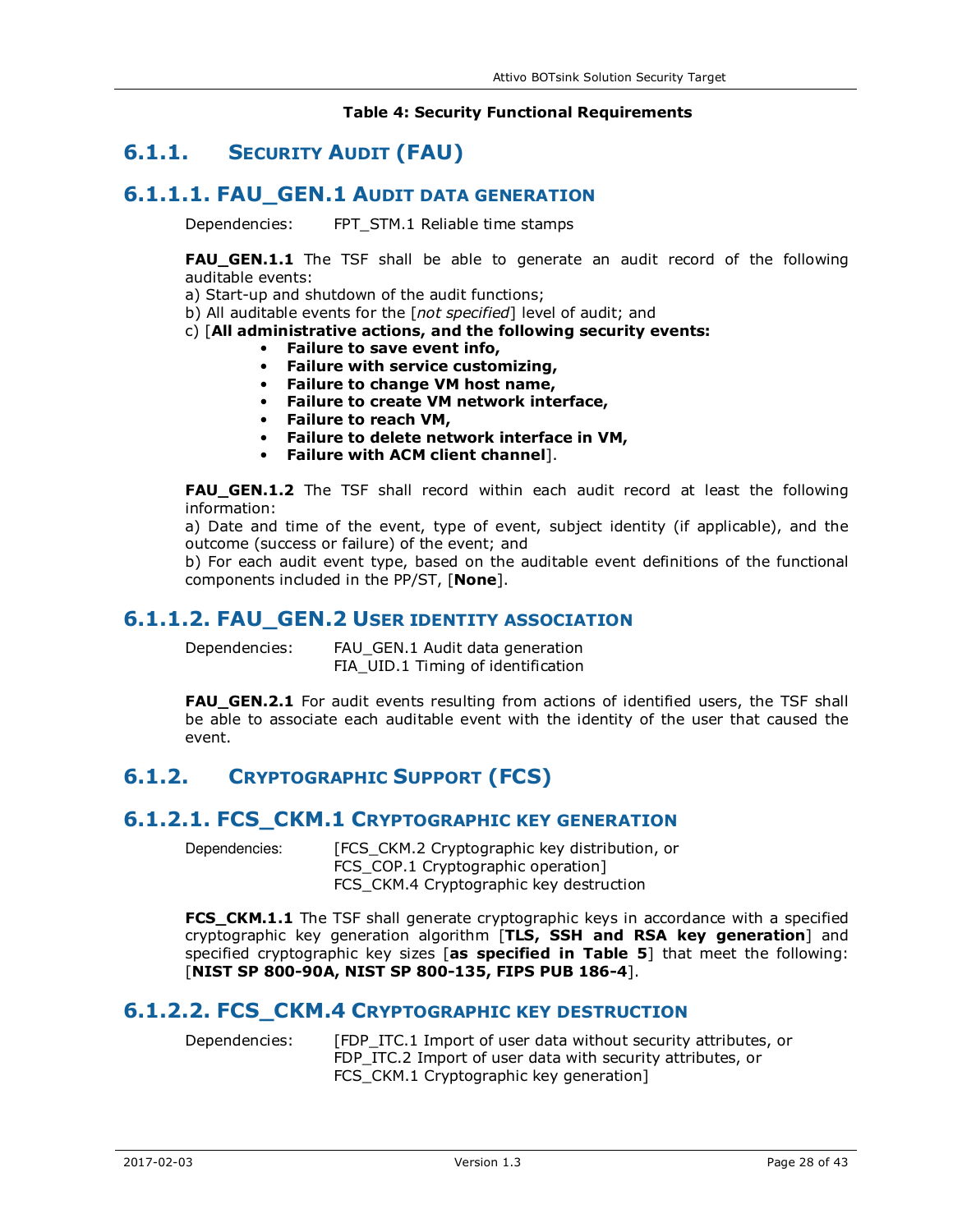#### **Table 4: Security Functional Requirements**

# **6.1.1. SECURITY AUDIT (FAU)**

### **6.1.1.1. FAU\_GEN.1 AUDIT DATA GENERATION**

Dependencies: FPT\_STM.1 Reliable time stamps

**FAU\_GEN.1.1** The TSF shall be able to generate an audit record of the following auditable events:

a) Start-up and shutdown of the audit functions;

b) All auditable events for the [*not specified*] level of audit; and

c) [**All administrative actions, and the following security events:** 

- **Failure to save event info,** 
	- **Failure with service customizing,**
- **Failure to change VM host name,**
- **Failure to create VM network interface,**
- **Failure to reach VM,**
- **Failure to delete network interface in VM,**
- **Failure with ACM client channel**].

**FAU\_GEN.1.2** The TSF shall record within each audit record at least the following information:

a) Date and time of the event, type of event, subject identity (if applicable), and the outcome (success or failure) of the event; and

b) For each audit event type, based on the auditable event definitions of the functional components included in the PP/ST, [**None**].

#### **6.1.1.2. FAU GEN.2 USER IDENTITY ASSOCIATION**

Dependencies: FAU\_GEN.1 Audit data generation FIA\_UID.1 Timing of identification

**FAU\_GEN.2.1** For audit events resulting from actions of identified users, the TSF shall be able to associate each auditable event with the identity of the user that caused the event.

# **6.1.2. CRYPTOGRAPHIC SUPPORT (FCS)**

#### **6.1.2.1. FCS\_CKM.1 CRYPTOGRAPHIC KEY GENERATION**

Dependencies: [FCS CKM.2 Cryptographic key distribution, or FCS COP.1 Cryptographic operation] FCS\_CKM.4 Cryptographic key destruction

**FCS CKM.1.1** The TSF shall generate cryptographic keys in accordance with a specified cryptographic key generation algorithm [**TLS, SSH and RSA key generation**] and specified cryptographic key sizes [**as specified in Table 5**] that meet the following: [**NIST SP 800-90A, NIST SP 800-135, FIPS PUB 186-4**].

#### **6.1.2.2. FCS\_CKM.4 CRYPTOGRAPHIC KEY DESTRUCTION**

Dependencies: [FDP\_ITC.1 Import of user data without security attributes, or FDP ITC.2 Import of user data with security attributes, or FCS\_CKM.1 Cryptographic key generation]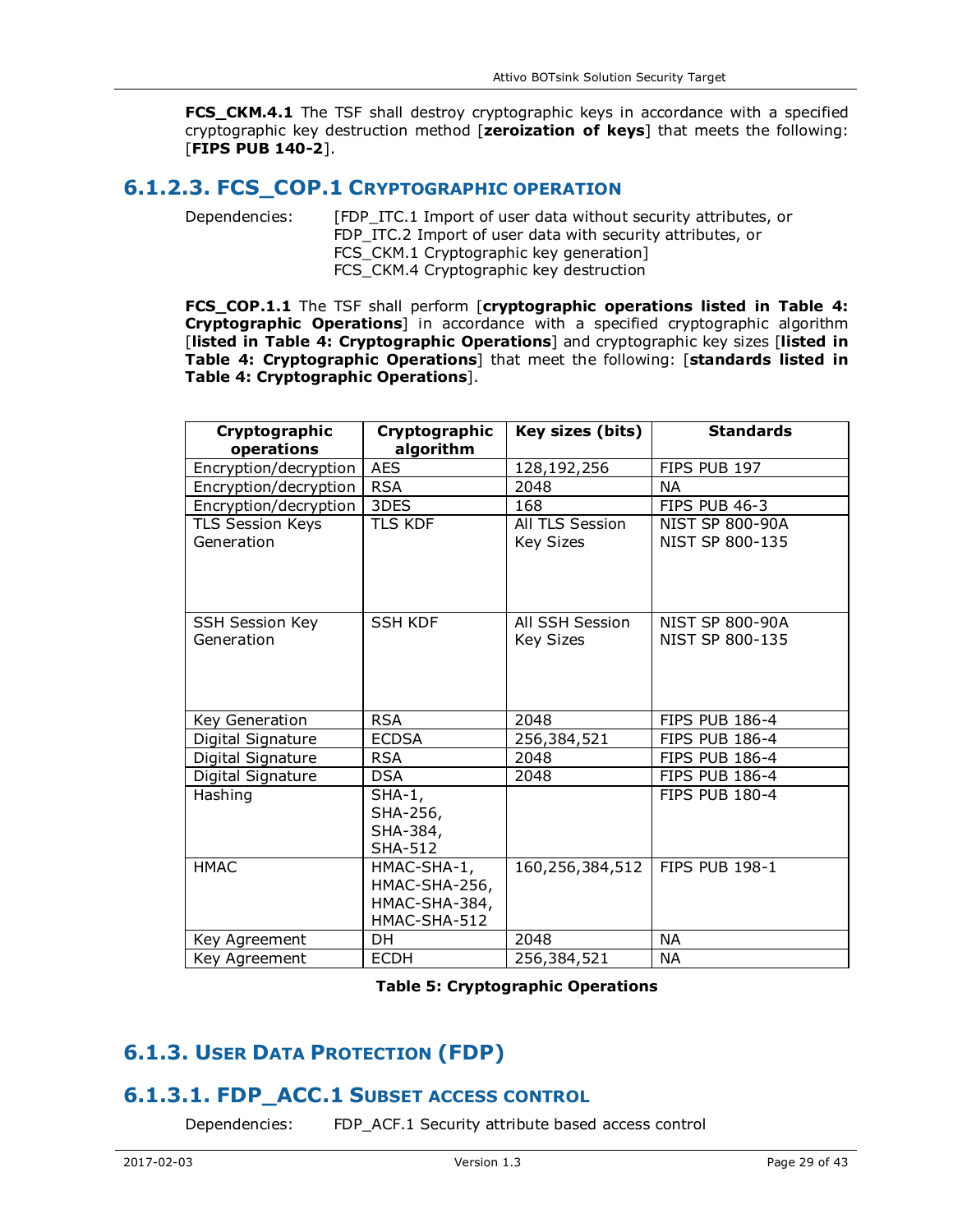**FCS\_CKM.4.1** The TSF shall destroy cryptographic keys in accordance with a specified cryptographic key destruction method [**zeroization of keys**] that meets the following: [**FIPS PUB 140-2**].

### **6.1.2.3. FCS\_COP.1 CRYPTOGRAPHIC OPERATION**

Dependencies: [FDP\_ITC.1 Import of user data without security attributes, or FDP ITC.2 Import of user data with security attributes, or FCS\_CKM.1 Cryptographic key generation] FCS CKM.4 Cryptographic key destruction

**FCS\_COP.1.1** The TSF shall perform [**cryptographic operations listed in Table 4: Cryptographic Operations**] in accordance with a specified cryptographic algorithm [**listed in Table 4: Cryptographic Operations**] and cryptographic key sizes [**listed in Table 4: Cryptographic Operations**] that meet the following: [**standards listed in Table 4: Cryptographic Operations**].

| Cryptographic<br>operations           | Cryptographic<br>algorithm                                    | Key sizes (bits)                    | <b>Standards</b>                          |
|---------------------------------------|---------------------------------------------------------------|-------------------------------------|-------------------------------------------|
| Encryption/decryption                 | <b>AES</b>                                                    | 128,192,256                         | FIPS PUB 197                              |
| Encryption/decryption                 | <b>RSA</b>                                                    | 2048                                | <b>NA</b>                                 |
| Encryption/decryption                 | 3DES                                                          | 168                                 | FIPS PUB 46-3                             |
| <b>TLS Session Keys</b><br>Generation | <b>TLS KDF</b>                                                | All TLS Session<br><b>Key Sizes</b> | <b>NIST SP 800-90A</b><br>NIST SP 800-135 |
| <b>SSH Session Key</b><br>Generation  | <b>SSH KDF</b>                                                | All SSH Session<br><b>Key Sizes</b> | <b>NIST SP 800-90A</b><br>NIST SP 800-135 |
| Key Generation                        | <b>RSA</b>                                                    | 2048                                | <b>FIPS PUB 186-4</b>                     |
| Digital Signature                     | <b>ECDSA</b>                                                  | 256,384,521                         | <b>FIPS PUB 186-4</b>                     |
| Digital Signature                     | <b>RSA</b>                                                    | 2048                                | <b>FIPS PUB 186-4</b>                     |
| Digital Signature                     | <b>DSA</b>                                                    | 2048                                | <b>FIPS PUB 186-4</b>                     |
| Hashing                               | $SHA-1,$<br>SHA-256,<br>SHA-384,<br><b>SHA-512</b>            |                                     | <b>FIPS PUB 180-4</b>                     |
| <b>HMAC</b>                           | HMAC-SHA-1,<br>HMAC-SHA-256,<br>HMAC-SHA-384,<br>HMAC-SHA-512 | 160,256,384,512                     | <b>FIPS PUB 198-1</b>                     |
| Key Agreement                         | DH.                                                           | 2048                                | <b>NA</b>                                 |
| Key Agreement                         | <b>ECDH</b>                                                   | 256,384,521                         | NА                                        |

**Table 5: Cryptographic Operations** 

# **6.1.3. USER DATA PROTECTION (FDP)**

## **6.1.3.1. FDP\_ACC.1 SUBSET ACCESS CONTROL**

Dependencies: FDP\_ACF.1 Security attribute based access control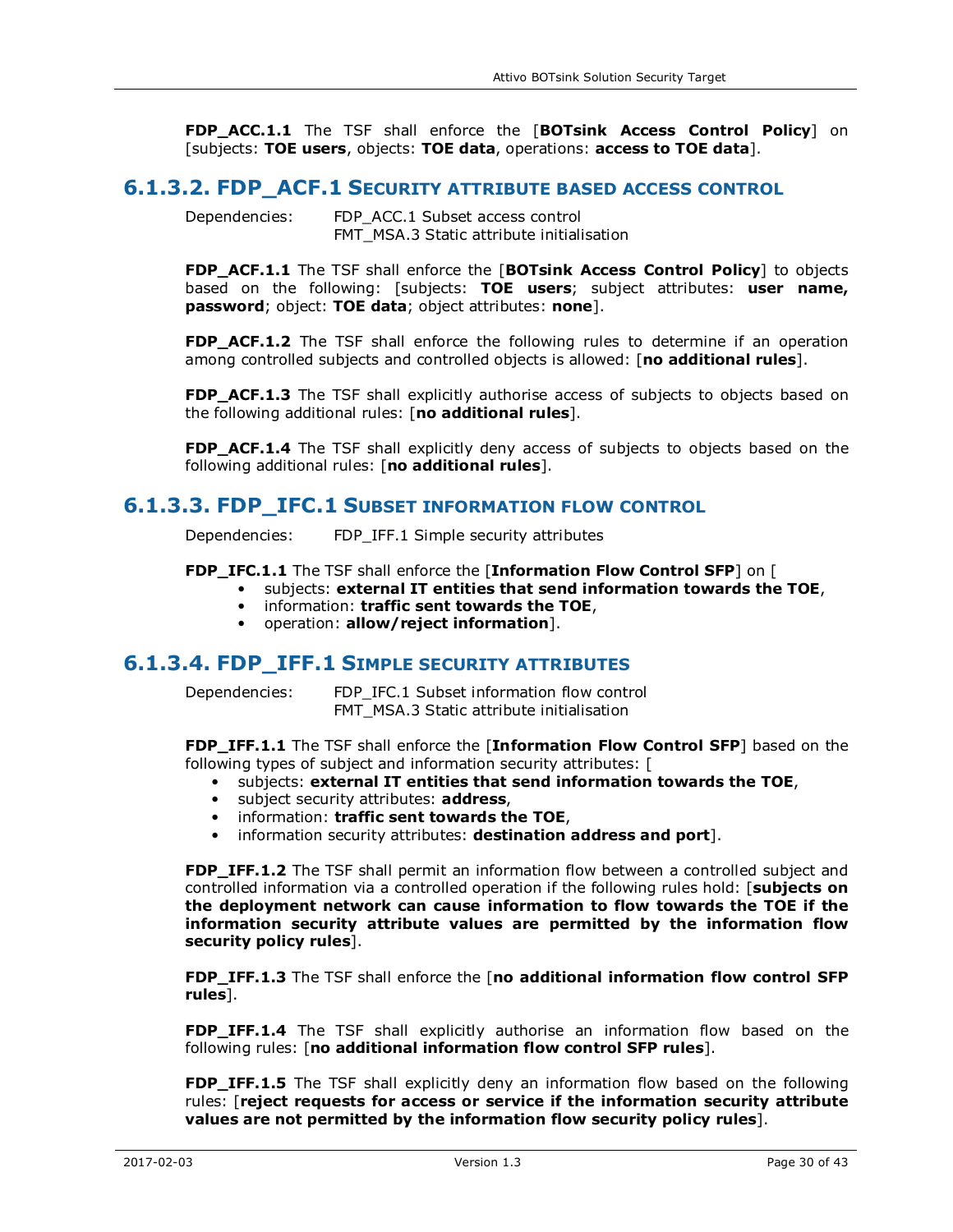**FDP\_ACC.1.1** The TSF shall enforce the [**BOTsink Access Control Policy**] on [subjects: **TOE users**, objects: **TOE data**, operations: **access to TOE data**].

#### **6.1.3.2. FDP\_ACF.1 SECURITY ATTRIBUTE BASED ACCESS CONTROL**

Dependencies: FDP\_ACC.1 Subset access control FMT\_MSA.3 Static attribute initialisation

**FDP\_ACF.1.1** The TSF shall enforce the [**BOTsink Access Control Policy**] to objects based on the following: [subjects: **TOE users**; subject attributes: **user name, password**; object: **TOE data**; object attributes: **none**].

FDP\_ACF.1.2 The TSF shall enforce the following rules to determine if an operation among controlled subjects and controlled objects is allowed: [**no additional rules**].

**FDP\_ACF.1.3** The TSF shall explicitly authorise access of subjects to objects based on the following additional rules: [**no additional rules**].

**FDP\_ACF.1.4** The TSF shall explicitly deny access of subjects to objects based on the following additional rules: [**no additional rules**].

#### **6.1.3.3. FDP\_IFC.1 SUBSET INFORMATION FLOW CONTROL**

Dependencies: FDP\_IFF.1 Simple security attributes

**FDP\_IFC.1.1** The TSF shall enforce the [**Information Flow Control SFP**] on [

- subjects: **external IT entities that send information towards the TOE**,
	- information: **traffic sent towards the TOE**,
	- operation: **allow/reject information**].

#### **6.1.3.4. FDP\_IFF.1 SIMPLE SECURITY ATTRIBUTES**

Dependencies: FDP\_IFC.1 Subset information flow control FMT\_MSA.3 Static attribute initialisation

**FDP\_IFF.1.1** The TSF shall enforce the [**Information Flow Control SFP**] based on the following types of subject and information security attributes: [

- subjects: **external IT entities that send information towards the TOE**,
- subject security attributes: **address**,
- information: **traffic sent towards the TOE**,
- information security attributes: **destination address and port**].

**FDP\_IFF.1.2** The TSF shall permit an information flow between a controlled subject and controlled information via a controlled operation if the following rules hold: [**subjects on the deployment network can cause information to flow towards the TOE if the information security attribute values are permitted by the information flow security policy rules**].

**FDP\_IFF.1.3** The TSF shall enforce the [**no additional information flow control SFP rules**].

**FDP IFF.1.4** The TSF shall explicitly authorise an information flow based on the following rules: [**no additional information flow control SFP rules**].

**FDP IFF.1.5** The TSF shall explicitly deny an information flow based on the following rules: [**reject requests for access or service if the information security attribute values are not permitted by the information flow security policy rules**].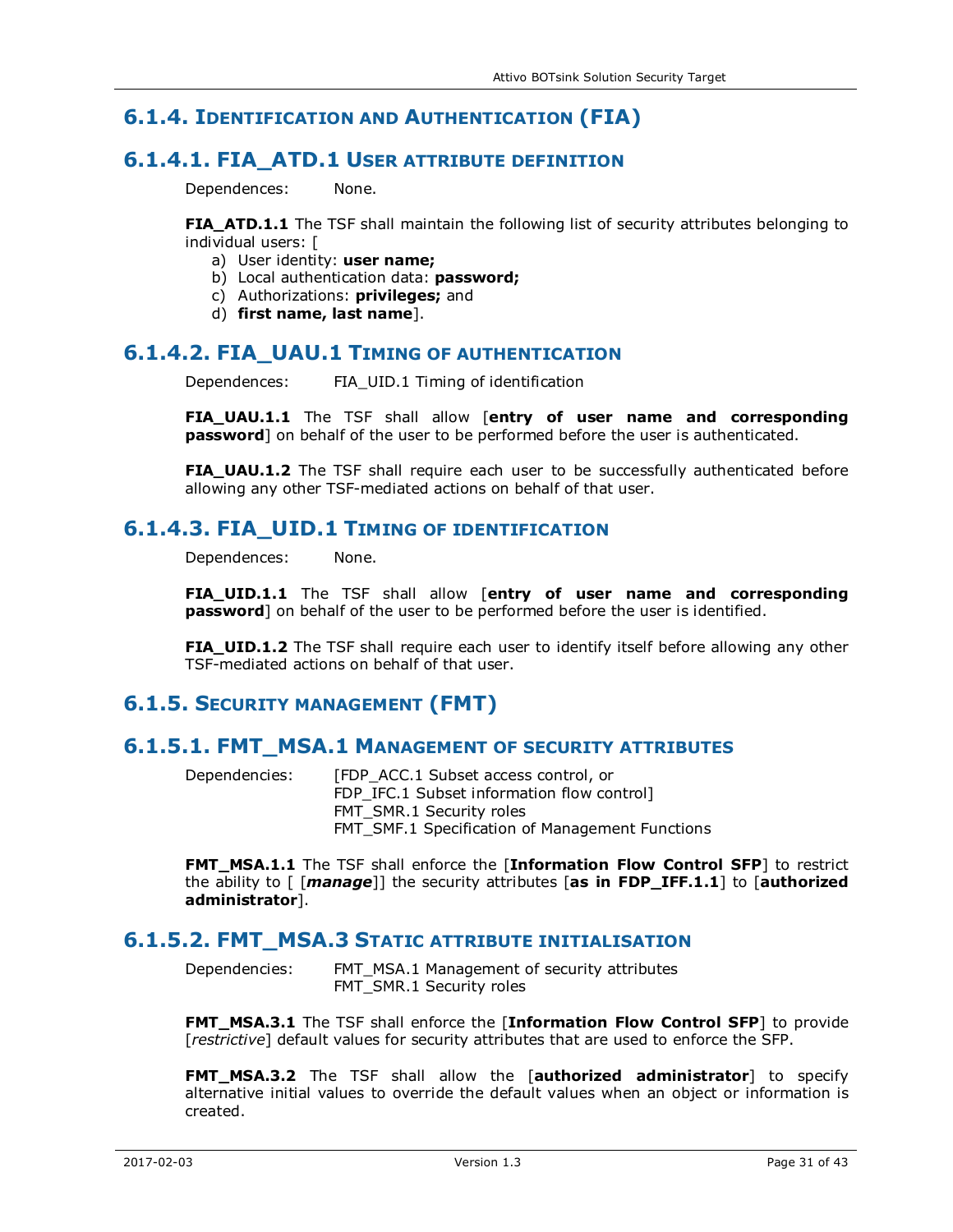# **6.1.4. IDENTIFICATION AND AUTHENTICATION (FIA)**

## **6.1.4.1. FIA\_ATD.1 USER ATTRIBUTE DEFINITION**

Dependences: None.

**FIA\_ATD.1.1** The TSF shall maintain the following list of security attributes belonging to individual users: [

- a) User identity: **user name;**
- b) Local authentication data: **password;**
- c) Authorizations: **privileges;** and
- d) **first name, last name**].

### **6.1.4.2. FIA\_UAU.1 TIMING OF AUTHENTICATION**

Dependences: FIA UID.1 Timing of identification

**FIA\_UAU.1.1** The TSF shall allow [**entry of user name and corresponding password**] on behalf of the user to be performed before the user is authenticated.

**FIA\_UAU.1.2** The TSF shall require each user to be successfully authenticated before allowing any other TSF-mediated actions on behalf of that user.

### **6.1.4.3. FIA\_UID.1 TIMING OF IDENTIFICATION**

Dependences: None.

**FIA\_UID.1.1** The TSF shall allow [**entry of user name and corresponding password**] on behalf of the user to be performed before the user is identified.

**FIA\_UID.1.2** The TSF shall require each user to identify itself before allowing any other TSF-mediated actions on behalf of that user.

## **6.1.5. SECURITY MANAGEMENT (FMT)**

#### **6.1.5.1. FMT\_MSA.1 MANAGEMENT OF SECURITY ATTRIBUTES**

Dependencies: [FDP\_ACC.1 Subset access control, or FDP IFC.1 Subset information flow control] FMT\_SMR.1 Security roles FMT\_SMF.1 Specification of Management Functions

**FMT\_MSA.1.1** The TSF shall enforce the [**Information Flow Control SFP**] to restrict the ability to [ [*manage*]] the security attributes [**as in FDP\_IFF.1.1**] to [**authorized administrator**].

### **6.1.5.2. FMT\_MSA.3 STATIC ATTRIBUTE INITIALISATION**

Dependencies: FMT\_MSA.1 Management of security attributes FMT\_SMR.1 Security roles

**FMT\_MSA.3.1** The TSF shall enforce the [**Information Flow Control SFP**] to provide [*restrictive*] default values for security attributes that are used to enforce the SFP.

**FMT\_MSA.3.2** The TSF shall allow the [**authorized administrator**] to specify alternative initial values to override the default values when an object or information is created.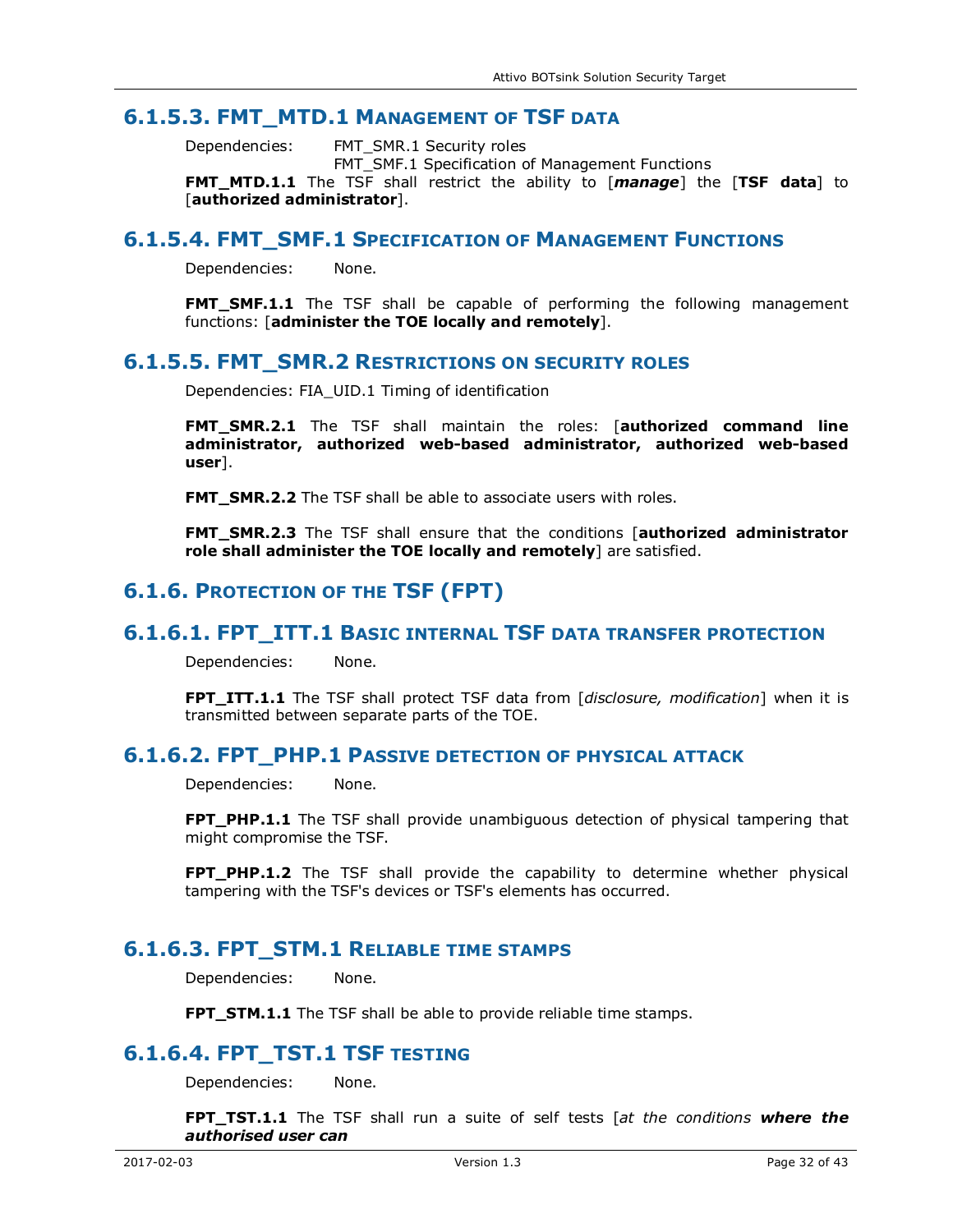#### **6.1.5.3. FMT\_MTD.1 MANAGEMENT OF TSF DATA**

Dependencies: FMT\_SMR.1 Security roles

FMT\_SMF.1 Specification of Management Functions

**FMT\_MTD.1.1** The TSF shall restrict the ability to [*manage*] the [**TSF data**] to [**authorized administrator**].

#### **6.1.5.4. FMT\_SMF.1 SPECIFICATION OF MANAGEMENT FUNCTIONS**

Dependencies: None.

**FMT SMF.1.1** The TSF shall be capable of performing the following management functions: [**administer the TOE locally and remotely**].

#### **6.1.5.5. FMT\_SMR.2 RESTRICTIONS ON SECURITY ROLES**

Dependencies: FIA\_UID.1 Timing of identification

**FMT\_SMR.2.1** The TSF shall maintain the roles: [**authorized command line administrator, authorized web-based administrator, authorized web-based user**].

**FMT\_SMR.2.2** The TSF shall be able to associate users with roles.

**FMT\_SMR.2.3** The TSF shall ensure that the conditions [**authorized administrator role shall administer the TOE locally and remotely**] are satisfied.

### **6.1.6. PROTECTION OF THE TSF (FPT)**

#### **6.1.6.1. FPT\_ITT.1 BASIC INTERNAL TSF DATA TRANSFER PROTECTION**

Dependencies: None.

**FPT\_ITT.1.1** The TSF shall protect TSF data from [*disclosure, modification*] when it is transmitted between separate parts of the TOE.

### **6.1.6.2. FPT\_PHP.1 PASSIVE DETECTION OF PHYSICAL ATTACK**

Dependencies: None.

**FPT\_PHP.1.1** The TSF shall provide unambiguous detection of physical tampering that might compromise the TSF.

**FPT\_PHP.1.2** The TSF shall provide the capability to determine whether physical tampering with the TSF's devices or TSF's elements has occurred.

#### **6.1.6.3. FPT\_STM.1 RELIABLE TIME STAMPS**

Dependencies: None.

**FPT STM.1.1** The TSF shall be able to provide reliable time stamps.

## **6.1.6.4. FPT\_TST.1 TSF TESTING**

Dependencies: None.

**FPT\_TST.1.1** The TSF shall run a suite of self tests [*at the conditions where the authorised user can*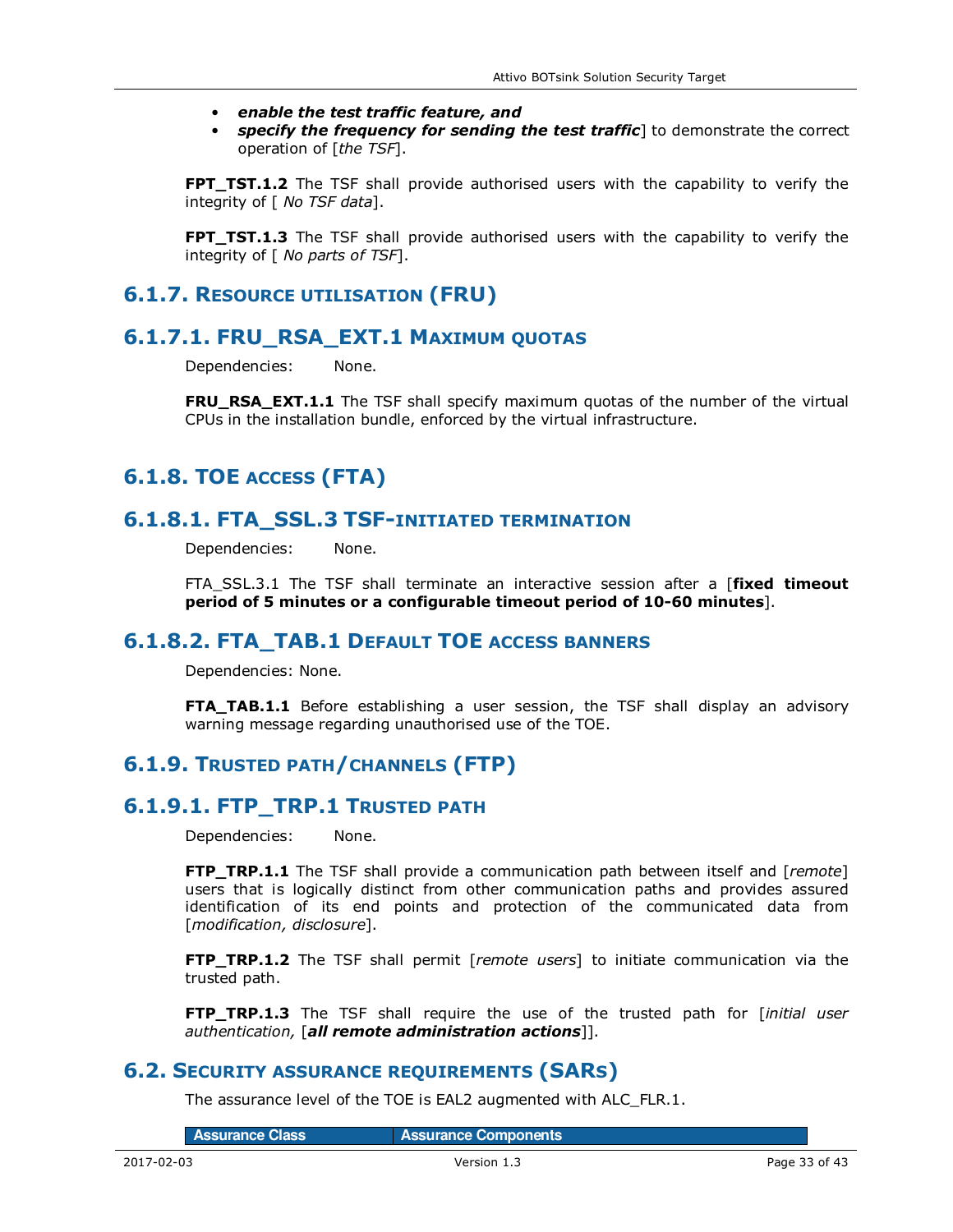- *enable the test traffic feature, and*
- *specify the frequency for sending the test traffic*] to demonstrate the correct operation of [*the TSF*].

**FPT\_TST.1.2** The TSF shall provide authorised users with the capability to verify the integrity of [ *No TSF data*].

**FPT\_TST.1.3** The TSF shall provide authorised users with the capability to verify the integrity of [ *No parts of TSF*].

### **6.1.7. RESOURCE UTILISATION (FRU)**

### **6.1.7.1. FRU\_RSA\_EXT.1 MAXIMUM QUOTAS**

Dependencies: None.

**FRU\_RSA\_EXT.1.1** The TSF shall specify maximum quotas of the number of the virtual CPUs in the installation bundle, enforced by the virtual infrastructure.

# **6.1.8. TOE ACCESS (FTA)**

### **6.1.8.1. FTA\_SSL.3 TSF-INITIATED TERMINATION**

Dependencies: None.

FTA\_SSL.3.1 The TSF shall terminate an interactive session after a [**fixed timeout period of 5 minutes or a configurable timeout period of 10-60 minutes**].

### **6.1.8.2. FTA\_TAB.1 DEFAULT TOE ACCESS BANNERS**

Dependencies: None.

**FTA\_TAB.1.1** Before establishing a user session, the TSF shall display an advisory warning message regarding unauthorised use of the TOE.

## **6.1.9. TRUSTED PATH/CHANNELS (FTP)**

### **6.1.9.1. FTP\_TRP.1 TRUSTED PATH**

Dependencies: None.

**FTP\_TRP.1.1** The TSF shall provide a communication path between itself and [*remote*] users that is logically distinct from other communication paths and provides assured identification of its end points and protection of the communicated data from [*modification, disclosure*].

**FTP\_TRP.1.2** The TSF shall permit [*remote users*] to initiate communication via the trusted path.

**FTP TRP.1.3** The TSF shall require the use of the trusted path for *[initial user authentication,* [*all remote administration actions*]].

### **6.2. SECURITY ASSURANCE REQUIREMENTS (SARS)**

The assurance level of the TOE is EAL2 augmented with ALC\_FLR.1.

Assurance Class **Assurance Components**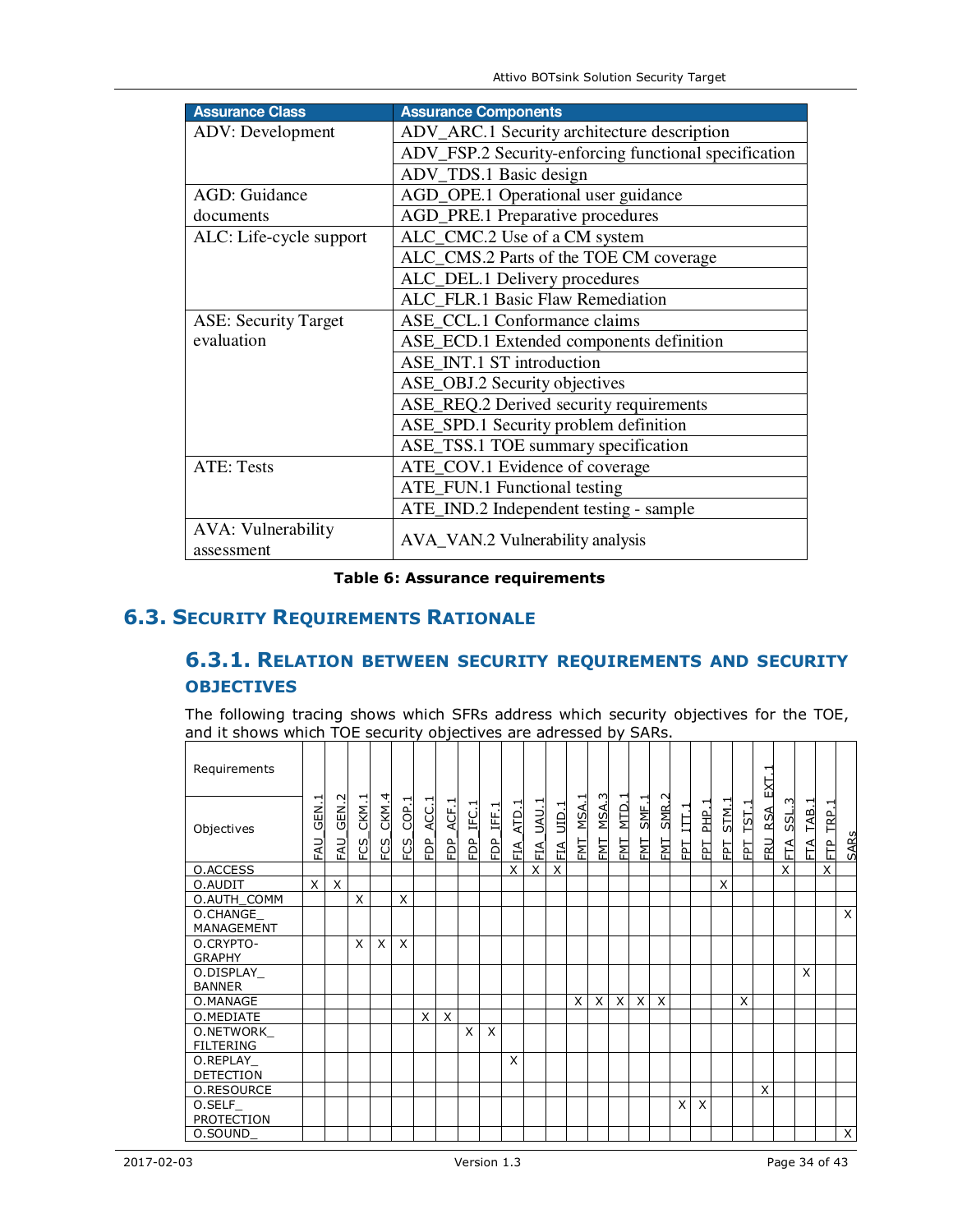Attivo BOTsink Solution Security Target

| <b>Assurance Class</b>                  | <b>Assurance Components</b>                           |
|-----------------------------------------|-------------------------------------------------------|
| <b>ADV</b> : Development                | ADV_ARC.1 Security architecture description           |
|                                         | ADV_FSP.2 Security-enforcing functional specification |
|                                         | ADV_TDS.1 Basic design                                |
| <b>AGD: Guidance</b>                    | AGD_OPE.1 Operational user guidance                   |
| documents                               | AGD_PRE.1 Preparative procedures                      |
| ALC: Life-cycle support                 | ALC_CMC.2 Use of a CM system                          |
|                                         | ALC_CMS.2 Parts of the TOE CM coverage                |
|                                         | ALC_DEL.1 Delivery procedures                         |
|                                         | ALC_FLR.1 Basic Flaw Remediation                      |
| <b>ASE: Security Target</b>             | ASE_CCL.1 Conformance claims                          |
| evaluation                              | ASE_ECD.1 Extended components definition              |
|                                         | ASE_INT.1 ST introduction                             |
|                                         | ASE_OBJ.2 Security objectives                         |
|                                         | ASE_REQ.2 Derived security requirements               |
|                                         | ASE_SPD.1 Security problem definition                 |
|                                         | ASE_TSS.1 TOE summary specification                   |
| <b>ATE: Tests</b>                       | ATE_COV.1 Evidence of coverage                        |
|                                         | ATE_FUN.1 Functional testing                          |
|                                         | ATE_IND.2 Independent testing - sample                |
| <b>AVA: Vulnerability</b><br>assessment | AVA_VAN.2 Vulnerability analysis                      |

#### **Table 6: Assurance requirements**

# **6.3. SECURITY REQUIREMENTS RATIONALE**

# **6.3.1. RELATION BETWEEN SECURITY REQUIREMENTS AND SECURITY OBJECTIVES**

The following tracing shows which SFRs address which security objectives for the TOE, and it shows which TOE security objectives are adressed by SARs.

| Requirements                  |             |                       |              |              |              |             |            |                   |                 |           |              |                   |                  |            |                  |                  |                       |            |               |           |          | EXT.1             |                |            |                      |             |
|-------------------------------|-------------|-----------------------|--------------|--------------|--------------|-------------|------------|-------------------|-----------------|-----------|--------------|-------------------|------------------|------------|------------------|------------------|-----------------------|------------|---------------|-----------|----------|-------------------|----------------|------------|----------------------|-------------|
| Objectives                    | GEN.<br>FAU | $\sim$<br>GEN<br>EAU. | CKM.1<br>FCS | CKM.4<br>FCS | COP.1<br>FCS | ن<br>ج<br>È | ACF.1<br>È | ⊣<br>IFC.<br>FDP. | IFF.1<br>인<br>모 | ATD.<br>덴 | UAU.1<br>EIA | <b>QID</b><br>FIA | −<br>MSA.<br>EMT | MSA.3<br>됩 | H<br>NTD.<br>FMT | ᅱ<br>SME.<br>FMT | $\sim$<br>SMR.<br>ENT | ITT.1<br>뉩 | ↽<br>휨<br>EPT | STM.<br>됩 | TST<br>뇝 | <b>RSA</b><br>ERU | S<br>SSL.<br>É | TAB.1<br>ħ | ΓRΡ.<br>$\mathbb{H}$ | <b>SARs</b> |
| O.ACCESS                      |             |                       |              |              |              |             |            |                   |                 | X         | X            | X                 |                  |            |                  |                  |                       |            |               |           |          |                   | X              |            | X                    |             |
| O.AUDIT                       | X           | X                     |              |              |              |             |            |                   |                 |           |              |                   |                  |            |                  |                  |                       |            |               | X         |          |                   |                |            |                      |             |
| O.AUTH_COMM                   |             |                       | X            |              | X            |             |            |                   |                 |           |              |                   |                  |            |                  |                  |                       |            |               |           |          |                   |                |            |                      |             |
| O.CHANGE<br>MANAGEMENT        |             |                       |              |              |              |             |            |                   |                 |           |              |                   |                  |            |                  |                  |                       |            |               |           |          |                   |                |            |                      | X           |
| O.CRYPTO-<br><b>GRAPHY</b>    |             |                       | X            | X.           | $\times$     |             |            |                   |                 |           |              |                   |                  |            |                  |                  |                       |            |               |           |          |                   |                |            |                      |             |
| O.DISPLAY<br><b>BANNER</b>    |             |                       |              |              |              |             |            |                   |                 |           |              |                   |                  |            |                  |                  |                       |            |               |           |          |                   |                | $\times$   |                      |             |
| O.MANAGE                      |             |                       |              |              |              |             |            |                   |                 |           |              |                   | X                | $\times$   | X                | X                | X                     |            |               |           | X        |                   |                |            |                      |             |
| O.MEDIATE                     |             |                       |              |              |              | X           | X          |                   |                 |           |              |                   |                  |            |                  |                  |                       |            |               |           |          |                   |                |            |                      |             |
| O.NETWORK<br><b>FILTERING</b> |             |                       |              |              |              |             |            | X                 | X               |           |              |                   |                  |            |                  |                  |                       |            |               |           |          |                   |                |            |                      |             |
| O.REPLAY_<br><b>DETECTION</b> |             |                       |              |              |              |             |            |                   |                 | X         |              |                   |                  |            |                  |                  |                       |            |               |           |          |                   |                |            |                      |             |
| <b>O.RESOURCE</b>             |             |                       |              |              |              |             |            |                   |                 |           |              |                   |                  |            |                  |                  |                       |            |               |           |          | X                 |                |            |                      |             |
| O.SELF<br><b>PROTECTION</b>   |             |                       |              |              |              |             |            |                   |                 |           |              |                   |                  |            |                  |                  |                       | X          | X             |           |          |                   |                |            |                      |             |
| 0.SOUND                       |             |                       |              |              |              |             |            |                   |                 |           |              |                   |                  |            |                  |                  |                       |            |               |           |          |                   |                |            |                      | X           |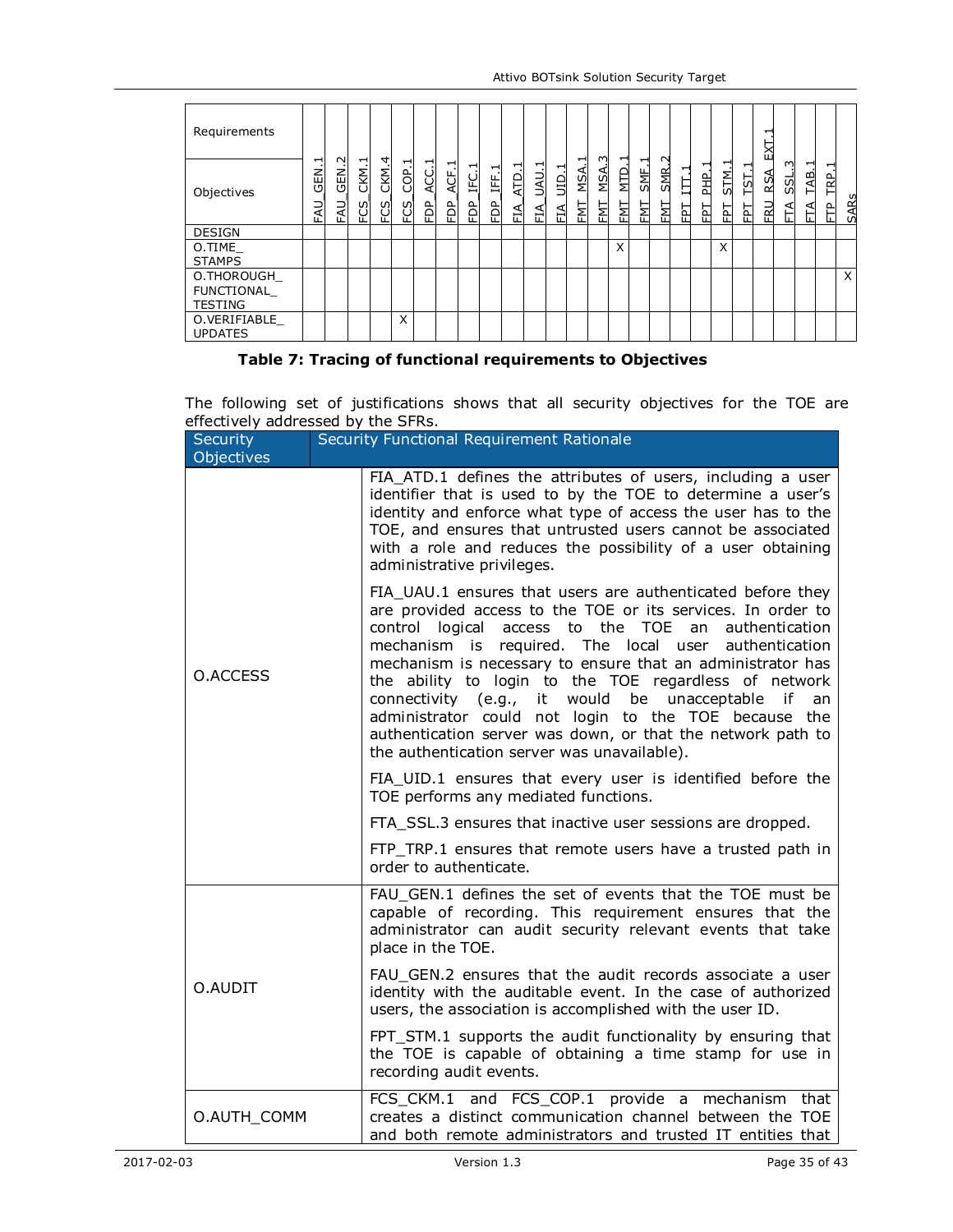| Requirements                               |                       |                                      |                                                                                          |                  |                  |                |                |                                                |            |                                        |                                         |                                          |                 |                |                  |             |                             |             |               |                      |           | ↽<br>EХ           |               |                  |                     |             |
|--------------------------------------------|-----------------------|--------------------------------------|------------------------------------------------------------------------------------------|------------------|------------------|----------------|----------------|------------------------------------------------|------------|----------------------------------------|-----------------------------------------|------------------------------------------|-----------------|----------------|------------------|-------------|-----------------------------|-------------|---------------|----------------------|-----------|-------------------|---------------|------------------|---------------------|-------------|
| Objectives                                 | ᆏ<br>.<br>동<br>₹<br>ш | $\sim$<br>.<br>동<br>FAU <sub>.</sub> | $\mathbf{\mathbf{\mathbf{\mathbf{\mathbf{\mathbf{\mathbf{\mathbf{H}}}}}}}$<br>CKM<br>FCS | 4<br>CKM.<br>FCS | ᆏ<br>COP.<br>FCS | ᆏ<br>ACC.<br>È | ⊣<br>ACF.<br>È | $\overline{\phantom{0}}$<br>С.<br>Ц<br>eg<br>F | IFF.1<br>È | $\overline{\phantom{0}}$<br>ATD<br>EIA | $\overline{\phantom{0}}$<br>UAU.<br>FIA | $\overline{\phantom{0}}$<br>$\Xi$<br>FIA | ⋖<br>ΜS.<br>FMT | 3<br>MSA.<br>턻 | ᆏ<br>MTD.<br>FMT | SME.<br>FMT | $\sim$<br><b>SMR</b><br>EМI | ⊣<br>耳<br>뇝 | ᆸ<br>울<br>FPT | ᅮ<br><b>STM</b><br>집 | TST.<br>됩 | <b>RSA</b><br>ERU | S<br>SSL<br>⋖ | ᅱ<br>TAB.<br>ETA | ᆏ<br><b>EP</b><br>白 | <b>SARs</b> |
| <b>DESIGN</b>                              |                       |                                      |                                                                                          |                  |                  |                |                |                                                |            |                                        |                                         |                                          |                 |                |                  |             |                             |             |               |                      |           |                   |               |                  |                     |             |
| O.TIME<br><b>STAMPS</b>                    |                       |                                      |                                                                                          |                  |                  |                |                |                                                |            |                                        |                                         |                                          |                 |                | X                |             |                             |             |               | X                    |           |                   |               |                  |                     |             |
| O.THOROUGH<br>FUNCTIONAL<br><b>TESTING</b> |                       |                                      |                                                                                          |                  |                  |                |                |                                                |            |                                        |                                         |                                          |                 |                |                  |             |                             |             |               |                      |           |                   |               |                  |                     | X           |
| O.VERIFIABLE<br><b>UPDATES</b>             |                       |                                      |                                                                                          |                  | X                |                |                |                                                |            |                                        |                                         |                                          |                 |                |                  |             |                             |             |               |                      |           |                   |               |                  |                     |             |

#### **Table 7: Tracing of functional requirements to Objectives**

The following set of justifications shows that all security objectives for the TOE are effectively addressed by the SFRs.

| <b>Security</b><br>Objectives | Security Functional Requirement Rationale                                                                                                                                                                                                                                                                                                                                                                                                                                                                                                                                                      |  |  |  |  |  |  |  |
|-------------------------------|------------------------------------------------------------------------------------------------------------------------------------------------------------------------------------------------------------------------------------------------------------------------------------------------------------------------------------------------------------------------------------------------------------------------------------------------------------------------------------------------------------------------------------------------------------------------------------------------|--|--|--|--|--|--|--|
|                               | FIA_ATD.1 defines the attributes of users, including a user<br>identifier that is used to by the TOE to determine a user's<br>identity and enforce what type of access the user has to the<br>TOE, and ensures that untrusted users cannot be associated<br>with a role and reduces the possibility of a user obtaining<br>administrative privileges.                                                                                                                                                                                                                                          |  |  |  |  |  |  |  |
| O.ACCESS                      | FIA_UAU.1 ensures that users are authenticated before they<br>are provided access to the TOE or its services. In order to<br>control logical access to the TOE an authentication<br>mechanism is required. The local user authentication<br>mechanism is necessary to ensure that an administrator has<br>the ability to login to the TOE regardless of network<br>connectivity (e.g., it would be unacceptable if<br>an<br>administrator could not login to the TOE because the<br>authentication server was down, or that the network path to<br>the authentication server was unavailable). |  |  |  |  |  |  |  |
|                               | FIA_UID.1 ensures that every user is identified before the<br>TOE performs any mediated functions.                                                                                                                                                                                                                                                                                                                                                                                                                                                                                             |  |  |  |  |  |  |  |
|                               | FTA_SSL.3 ensures that inactive user sessions are dropped.                                                                                                                                                                                                                                                                                                                                                                                                                                                                                                                                     |  |  |  |  |  |  |  |
|                               | FTP_TRP.1 ensures that remote users have a trusted path in<br>order to authenticate.                                                                                                                                                                                                                                                                                                                                                                                                                                                                                                           |  |  |  |  |  |  |  |
|                               | FAU_GEN.1 defines the set of events that the TOE must be<br>capable of recording. This requirement ensures that the<br>administrator can audit security relevant events that take<br>place in the TOE.                                                                                                                                                                                                                                                                                                                                                                                         |  |  |  |  |  |  |  |
| O.AUDIT                       | FAU GEN.2 ensures that the audit records associate a user<br>identity with the auditable event. In the case of authorized<br>users, the association is accomplished with the user ID.                                                                                                                                                                                                                                                                                                                                                                                                          |  |  |  |  |  |  |  |
|                               | FPT_STM.1 supports the audit functionality by ensuring that<br>the TOE is capable of obtaining a time stamp for use in<br>recording audit events.                                                                                                                                                                                                                                                                                                                                                                                                                                              |  |  |  |  |  |  |  |
| O.AUTH COMM                   | FCS_CKM.1 and FCS_COP.1 provide a mechanism that<br>creates a distinct communication channel between the TOE<br>and both remote administrators and trusted IT entities that                                                                                                                                                                                                                                                                                                                                                                                                                    |  |  |  |  |  |  |  |
| 2017-02-03                    | Version 1.3<br>Page 35 of 43                                                                                                                                                                                                                                                                                                                                                                                                                                                                                                                                                                   |  |  |  |  |  |  |  |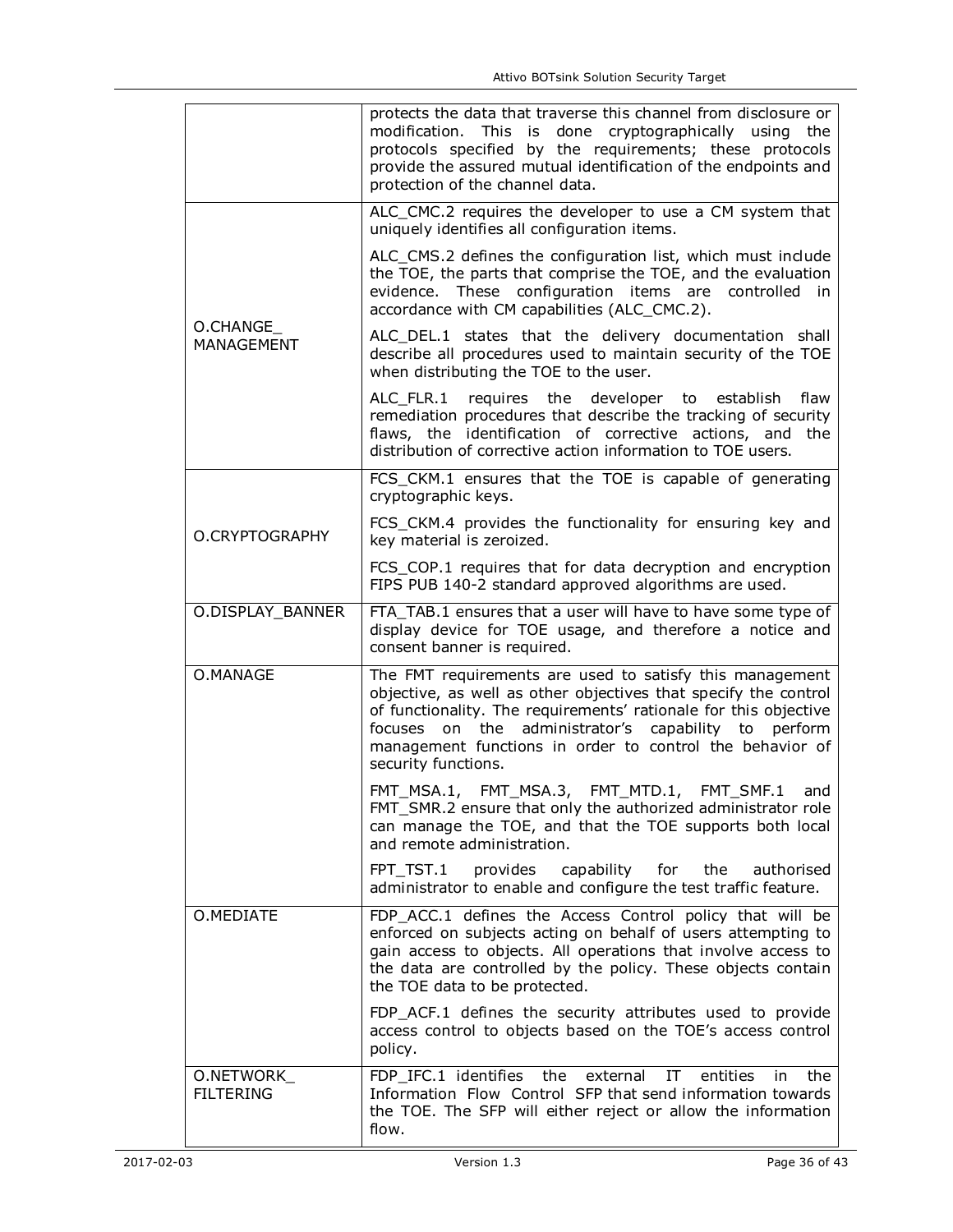|                                | protects the data that traverse this channel from disclosure or<br>modification. This is done cryptographically using the<br>protocols specified by the requirements; these protocols<br>provide the assured mutual identification of the endpoints and<br>protection of the channel data.                                                       |  |  |  |  |  |  |  |  |
|--------------------------------|--------------------------------------------------------------------------------------------------------------------------------------------------------------------------------------------------------------------------------------------------------------------------------------------------------------------------------------------------|--|--|--|--|--|--|--|--|
|                                | ALC_CMC.2 requires the developer to use a CM system that<br>uniquely identifies all configuration items.                                                                                                                                                                                                                                         |  |  |  |  |  |  |  |  |
|                                | ALC_CMS.2 defines the configuration list, which must include<br>the TOE, the parts that comprise the TOE, and the evaluation<br>evidence. These configuration items are controlled in<br>accordance with CM capabilities (ALC CMC.2).                                                                                                            |  |  |  |  |  |  |  |  |
| O.CHANGE<br>MANAGEMENT         | ALC_DEL.1 states that the delivery documentation shall<br>describe all procedures used to maintain security of the TOE<br>when distributing the TOE to the user.                                                                                                                                                                                 |  |  |  |  |  |  |  |  |
|                                | ALC_FLR.1 requires the developer to establish<br>flaw<br>remediation procedures that describe the tracking of security<br>flaws, the identification of corrective actions, and the<br>distribution of corrective action information to TOE users.                                                                                                |  |  |  |  |  |  |  |  |
|                                | FCS_CKM.1 ensures that the TOE is capable of generating<br>cryptographic keys.                                                                                                                                                                                                                                                                   |  |  |  |  |  |  |  |  |
| O.CRYPTOGRAPHY                 | FCS_CKM.4 provides the functionality for ensuring key and<br>key material is zeroized.                                                                                                                                                                                                                                                           |  |  |  |  |  |  |  |  |
|                                | FCS_COP.1 requires that for data decryption and encryption<br>FIPS PUB 140-2 standard approved algorithms are used.                                                                                                                                                                                                                              |  |  |  |  |  |  |  |  |
| O.DISPLAY_BANNER               | FTA_TAB.1 ensures that a user will have to have some type of<br>display device for TOE usage, and therefore a notice and<br>consent banner is required.                                                                                                                                                                                          |  |  |  |  |  |  |  |  |
| O.MANAGE                       | The FMT requirements are used to satisfy this management<br>objective, as well as other objectives that specify the control<br>of functionality. The requirements' rationale for this objective<br>on the administrator's capability to<br>focuses<br>perform<br>management functions in order to control the behavior of<br>security functions. |  |  |  |  |  |  |  |  |
|                                | FMT_MSA.1, FMT_MSA.3, FMT_MTD.1,<br>FMT SMF.1<br>and<br>FMT_SMR.2 ensure that only the authorized administrator role<br>can manage the TOE, and that the TOE supports both local<br>and remote administration.                                                                                                                                   |  |  |  |  |  |  |  |  |
|                                | FPT TST.1<br>capability<br>for<br>the<br>authorised<br>provides<br>administrator to enable and configure the test traffic feature.                                                                                                                                                                                                               |  |  |  |  |  |  |  |  |
| O.MEDIATE                      | FDP_ACC.1 defines the Access Control policy that will be<br>enforced on subjects acting on behalf of users attempting to<br>gain access to objects. All operations that involve access to<br>the data are controlled by the policy. These objects contain<br>the TOE data to be protected.                                                       |  |  |  |  |  |  |  |  |
|                                | FDP_ACF.1 defines the security attributes used to provide<br>access control to objects based on the TOE's access control<br>policy.                                                                                                                                                                                                              |  |  |  |  |  |  |  |  |
| O.NETWORK_<br><b>FILTERING</b> | FDP IFC.1 identifies<br>the<br>external<br>entities<br>IΤ<br>the<br>in<br>Information Flow Control SFP that send information towards<br>the TOE. The SFP will either reject or allow the information<br>flow.                                                                                                                                    |  |  |  |  |  |  |  |  |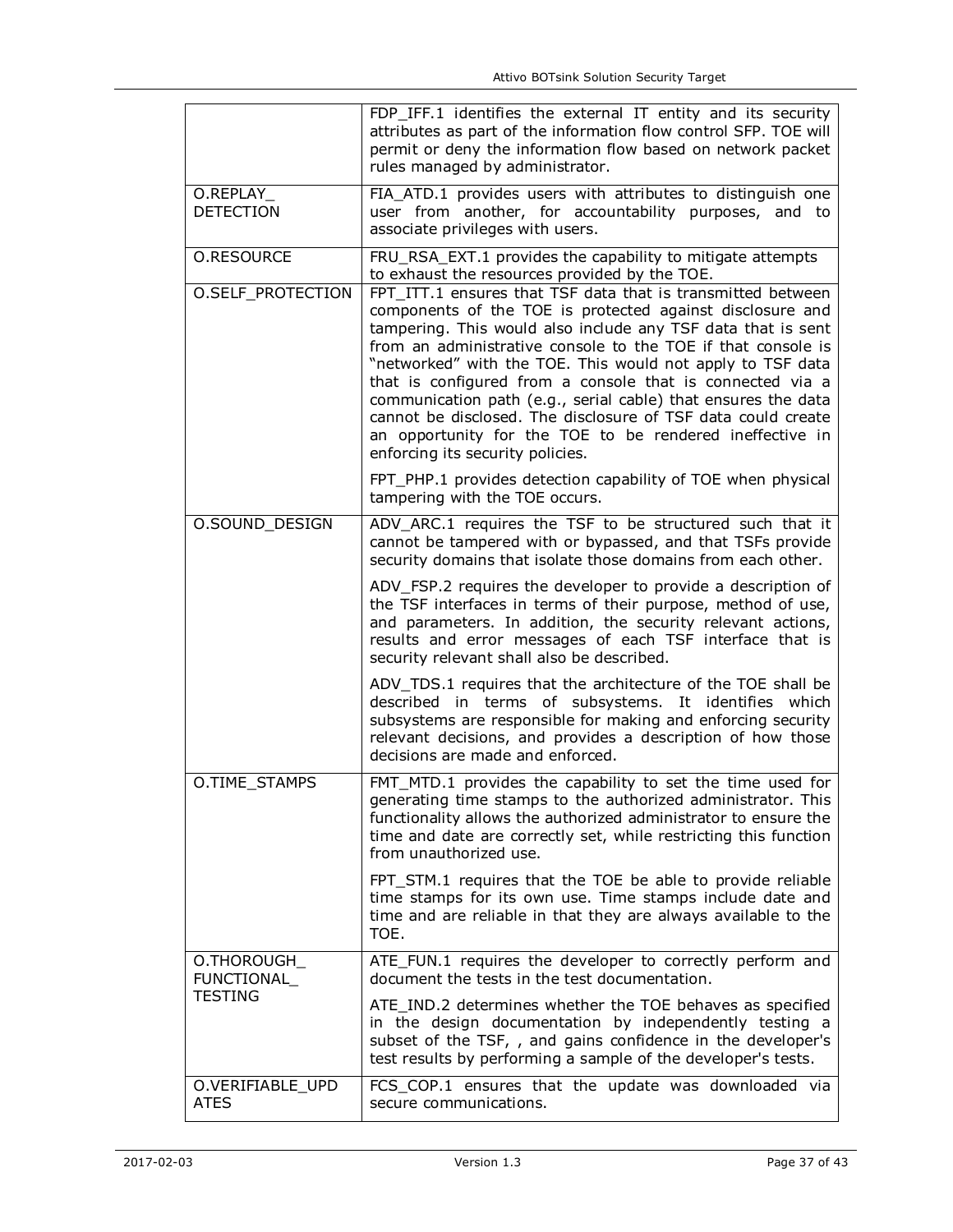|                                 | FDP_IFF.1 identifies the external IT entity and its security<br>attributes as part of the information flow control SFP. TOE will<br>permit or deny the information flow based on network packet<br>rules managed by administrator.                                                                                                                                                                                                                                                                                                                                                                                                                                                                                                  |
|---------------------------------|-------------------------------------------------------------------------------------------------------------------------------------------------------------------------------------------------------------------------------------------------------------------------------------------------------------------------------------------------------------------------------------------------------------------------------------------------------------------------------------------------------------------------------------------------------------------------------------------------------------------------------------------------------------------------------------------------------------------------------------|
| O.REPLAY<br><b>DETECTION</b>    | FIA_ATD.1 provides users with attributes to distinguish one<br>user from another, for accountability purposes, and to<br>associate privileges with users.                                                                                                                                                                                                                                                                                                                                                                                                                                                                                                                                                                           |
| O.RESOURCE<br>O.SELF_PROTECTION | FRU_RSA_EXT.1 provides the capability to mitigate attempts<br>to exhaust the resources provided by the TOE.<br>FPT ITT.1 ensures that TSF data that is transmitted between<br>components of the TOE is protected against disclosure and<br>tampering. This would also include any TSF data that is sent<br>from an administrative console to the TOE if that console is<br>"networked" with the TOE. This would not apply to TSF data<br>that is configured from a console that is connected via a<br>communication path (e.g., serial cable) that ensures the data<br>cannot be disclosed. The disclosure of TSF data could create<br>an opportunity for the TOE to be rendered ineffective in<br>enforcing its security policies. |
|                                 | FPT_PHP.1 provides detection capability of TOE when physical<br>tampering with the TOE occurs.                                                                                                                                                                                                                                                                                                                                                                                                                                                                                                                                                                                                                                      |
| O.SOUND_DESIGN                  | ADV_ARC.1 requires the TSF to be structured such that it<br>cannot be tampered with or bypassed, and that TSFs provide<br>security domains that isolate those domains from each other.                                                                                                                                                                                                                                                                                                                                                                                                                                                                                                                                              |
|                                 | ADV_FSP.2 requires the developer to provide a description of<br>the TSF interfaces in terms of their purpose, method of use,<br>and parameters. In addition, the security relevant actions,<br>results and error messages of each TSF interface that is<br>security relevant shall also be described.                                                                                                                                                                                                                                                                                                                                                                                                                               |
|                                 | ADV_TDS.1 requires that the architecture of the TOE shall be<br>described in terms of subsystems. It identifies which<br>subsystems are responsible for making and enforcing security<br>relevant decisions, and provides a description of how those<br>decisions are made and enforced.                                                                                                                                                                                                                                                                                                                                                                                                                                            |
| O.TIME_STAMPS                   | FMT_MTD.1 provides the capability to set the time used for<br>generating time stamps to the authorized administrator. This<br>functionality allows the authorized administrator to ensure the<br>time and date are correctly set, while restricting this function<br>from unauthorized use.                                                                                                                                                                                                                                                                                                                                                                                                                                         |
|                                 | FPT_STM.1 requires that the TOE be able to provide reliable<br>time stamps for its own use. Time stamps include date and<br>time and are reliable in that they are always available to the<br>TOE.                                                                                                                                                                                                                                                                                                                                                                                                                                                                                                                                  |
| O.THOROUGH_<br>FUNCTIONAL       | ATE_FUN.1 requires the developer to correctly perform and<br>document the tests in the test documentation.                                                                                                                                                                                                                                                                                                                                                                                                                                                                                                                                                                                                                          |
| <b>TESTING</b>                  | ATE_IND.2 determines whether the TOE behaves as specified<br>in the design documentation by independently testing a<br>subset of the TSF, , and gains confidence in the developer's<br>test results by performing a sample of the developer's tests.                                                                                                                                                                                                                                                                                                                                                                                                                                                                                |
| O.VERIFIABLE_UPD<br><b>ATES</b> | FCS_COP.1 ensures that the update was downloaded via<br>secure communications.                                                                                                                                                                                                                                                                                                                                                                                                                                                                                                                                                                                                                                                      |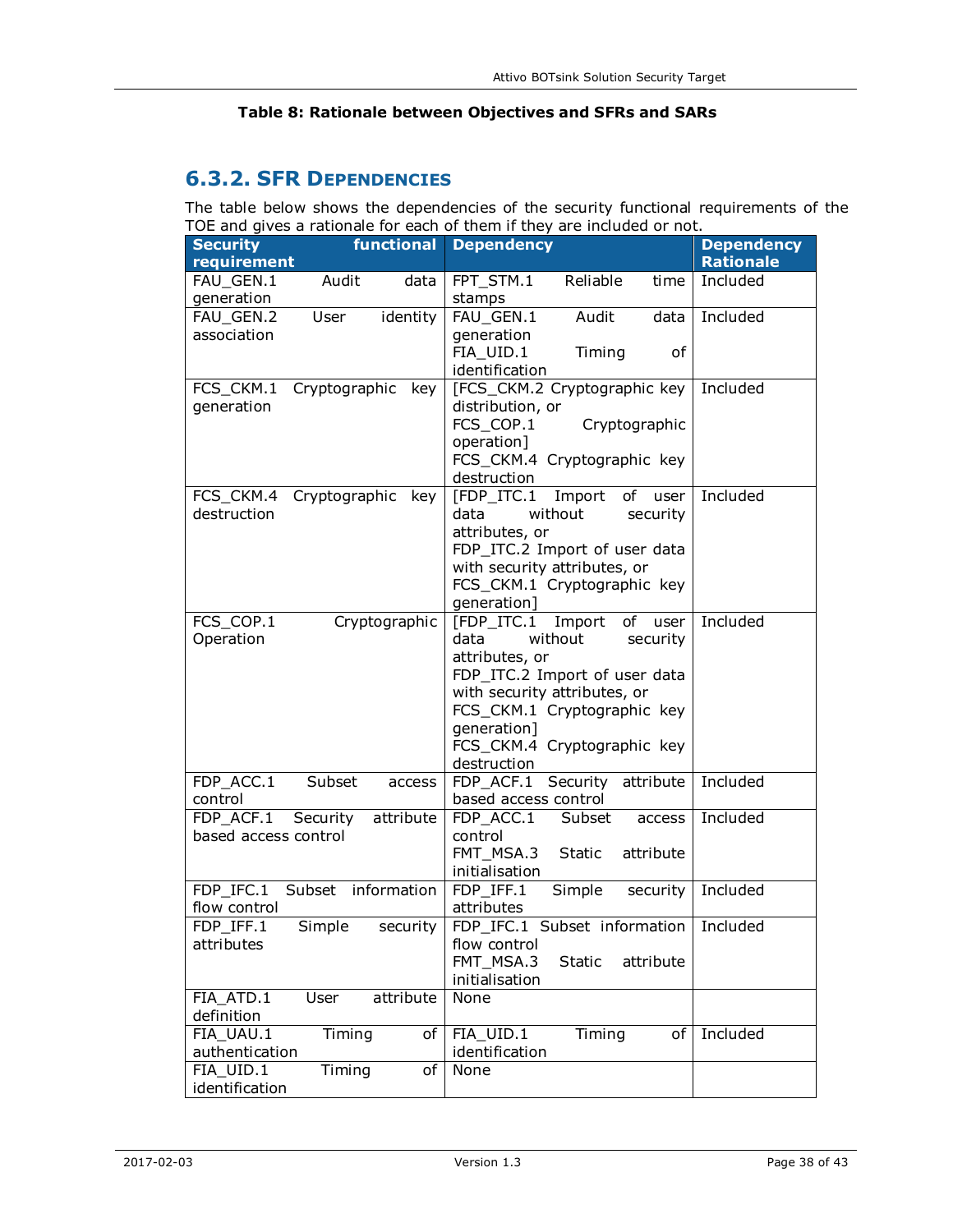#### **Table 8: Rationale between Objectives and SFRs and SARs**

# **6.3.2. SFR DEPENDENCIES**

The table below shows the dependencies of the security functional requirements of the TOE and gives a rationale for each of them if they are included or not.

| <b>Security</b>      | $5 - 2$ and gives a racionale for<br>functional | <b>Dependency</b>                       | <b>Dependency</b> |
|----------------------|-------------------------------------------------|-----------------------------------------|-------------------|
|                      |                                                 |                                         |                   |
| requirement          |                                                 |                                         | <b>Rationale</b>  |
| FAU_GEN.1            | Audit<br>data                                   | Reliable<br>FPT_STM.1<br>time           | Included          |
| generation           |                                                 | stamps                                  |                   |
| FAU GEN.2            | identity<br>User                                | FAU GEN.1<br>Audit<br>data              | Included          |
| association          |                                                 | generation                              |                   |
|                      |                                                 | FIA_UID.1<br>Timing<br>οf               |                   |
|                      |                                                 | identification                          |                   |
| FCS_CKM.1            | Cryptographic<br>key                            | [FCS_CKM.2 Cryptographic key            | Included          |
| generation           |                                                 | distribution, or                        |                   |
|                      |                                                 | FCS COP.1<br>Cryptographic              |                   |
|                      |                                                 | operation]                              |                   |
|                      |                                                 |                                         |                   |
|                      |                                                 | FCS_CKM.4 Cryptographic key             |                   |
|                      |                                                 | destruction                             |                   |
| FCS_CKM.4            | Cryptographic<br>key                            | [FDP ITC.1<br>Import<br>of<br>user      | Included          |
| destruction          |                                                 | data<br>without<br>security             |                   |
|                      |                                                 | attributes, or                          |                   |
|                      |                                                 | FDP_ITC.2 Import of user data           |                   |
|                      |                                                 | with security attributes, or            |                   |
|                      |                                                 | FCS_CKM.1 Cryptographic key             |                   |
|                      |                                                 | generation]                             |                   |
| FCS_COP.1            | Cryptographic                                   | [FDP_ITC.1 Import<br>of user            | Included          |
| Operation            |                                                 | data<br>without<br>security             |                   |
|                      |                                                 | attributes, or                          |                   |
|                      |                                                 | FDP_ITC.2 Import of user data           |                   |
|                      |                                                 | with security attributes, or            |                   |
|                      |                                                 | FCS_CKM.1 Cryptographic key             |                   |
|                      |                                                 | generation]                             |                   |
|                      |                                                 | FCS_CKM.4 Cryptographic key             |                   |
|                      |                                                 |                                         |                   |
|                      |                                                 | destruction                             |                   |
| FDP_ACC.1            | Subset<br>access                                | Security<br>FDP_ACF.1<br>attribute      | Included          |
| control              |                                                 | based access control                    |                   |
| FDP ACF.1            | Security<br>attribute                           | FDP_ACC.1<br>Subset<br>access           | Included          |
| based access control |                                                 | control                                 |                   |
|                      |                                                 | FMT_MSA.3<br><b>Static</b><br>attribute |                   |
|                      |                                                 | initialisation                          |                   |
| FDP IFC.1            | Subset information                              | FDP IFF.1<br>Simple<br>security         | Included          |
| flow control         |                                                 | attributes                              |                   |
| FDP_IFF.1            | Simple<br>security                              | FDP_IFC.1 Subset information   Included |                   |
| attributes           |                                                 | flow control                            |                   |
|                      |                                                 | FMT_MSA.3<br>Static<br>attribute        |                   |
|                      |                                                 | initialisation                          |                   |
| FIA ATD.1            | attribute<br>User                               | None                                    |                   |
| definition           |                                                 |                                         |                   |
| FIA UAU.1            | Timing<br>οf                                    | Timing<br>FIA_UID.1<br>of               | Included          |
| authentication       |                                                 | identification                          |                   |
| FIA_UID.1            | Timing<br>of                                    | None                                    |                   |
| identification       |                                                 |                                         |                   |
|                      |                                                 |                                         |                   |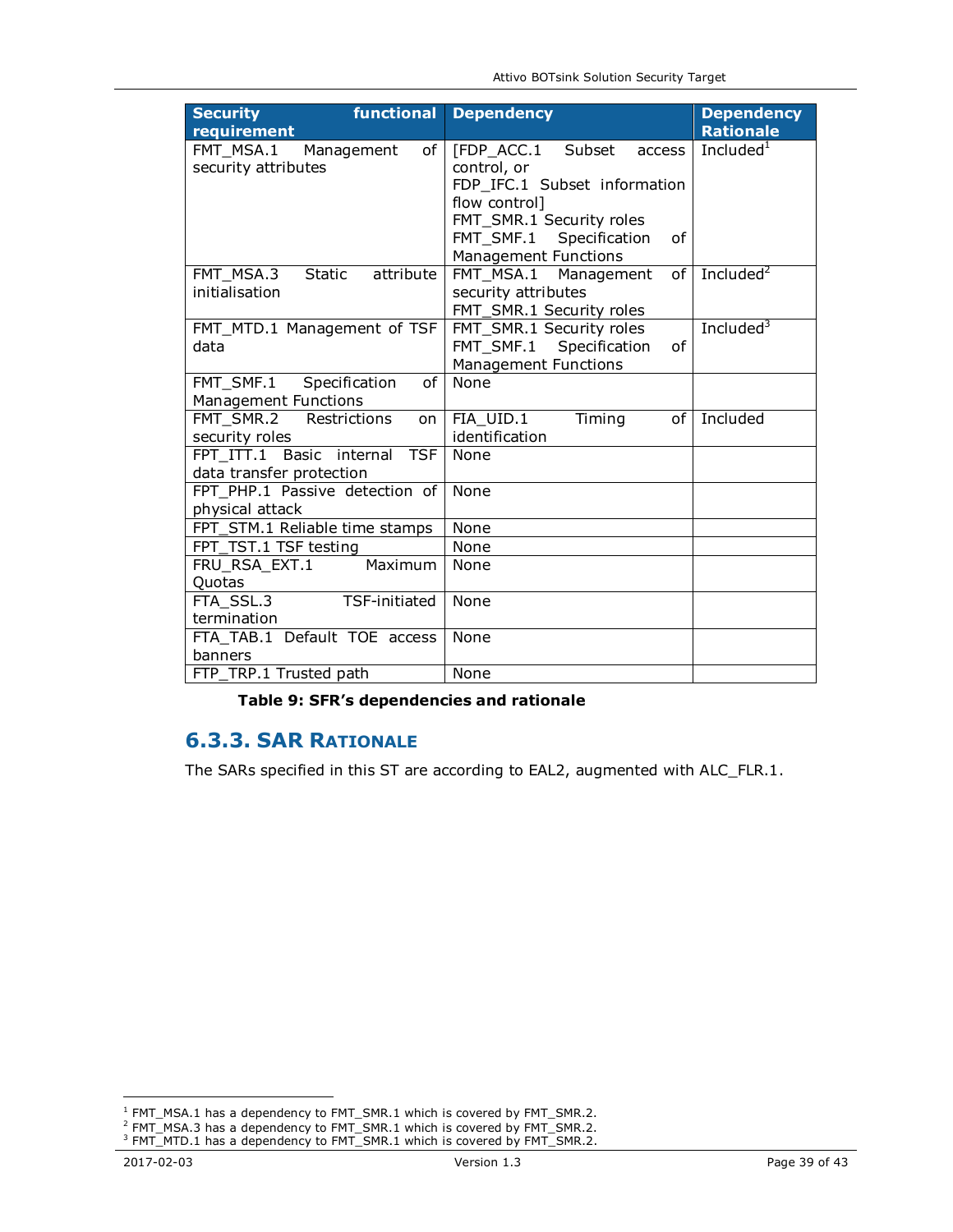| functional<br><b>Security</b><br>requirement | <b>Dependency</b>             | <b>Dependency</b><br><b>Rationale</b> |  |  |  |  |
|----------------------------------------------|-------------------------------|---------------------------------------|--|--|--|--|
|                                              |                               |                                       |  |  |  |  |
| FMT_MSA.1 Management<br>of I                 | [FDP ACC.1 Subset<br>access   | Included $1$                          |  |  |  |  |
| security attributes                          | control, or                   |                                       |  |  |  |  |
|                                              | FDP IFC.1 Subset information  |                                       |  |  |  |  |
|                                              | flow control]                 |                                       |  |  |  |  |
|                                              | FMT SMR.1 Security roles      |                                       |  |  |  |  |
|                                              | FMT SMF.1 Specification<br>оf |                                       |  |  |  |  |
|                                              | <b>Management Functions</b>   |                                       |  |  |  |  |
| attribute<br>FMT_MSA.3<br><b>Static</b>      | FMT_MSA.1 Management<br>of    | Included $2$                          |  |  |  |  |
| initialisation                               | security attributes           |                                       |  |  |  |  |
|                                              | FMT_SMR.1 Security roles      |                                       |  |  |  |  |
| FMT_MTD.1 Management of TSF                  | FMT SMR.1 Security roles      | Included $3$                          |  |  |  |  |
| data                                         | FMT SMF.1 Specification<br>of |                                       |  |  |  |  |
|                                              | <b>Management Functions</b>   |                                       |  |  |  |  |
| FMT_SMF.1 Specification<br>of                | None                          |                                       |  |  |  |  |
| Management Functions                         |                               |                                       |  |  |  |  |
| FMT SMR.2 Restrictions<br>on                 | FIA UID.1<br>of<br>Timing     | Included                              |  |  |  |  |
| security roles                               | identification                |                                       |  |  |  |  |
| FPT ITT.1 Basic internal<br><b>TSF</b>       | None                          |                                       |  |  |  |  |
| data transfer protection                     |                               |                                       |  |  |  |  |
| FPT PHP.1 Passive detection of               | None                          |                                       |  |  |  |  |
| physical attack                              |                               |                                       |  |  |  |  |
| FPT_STM.1 Reliable time stamps               | None                          |                                       |  |  |  |  |
| FPT_TST.1 TSF testing                        | None                          |                                       |  |  |  |  |
| FRU_RSA_EXT.1<br>Maximum                     | None                          |                                       |  |  |  |  |
| Quotas                                       |                               |                                       |  |  |  |  |
| $FTA_SSL3$<br><b>TSF-initiated</b>           | None                          |                                       |  |  |  |  |
| termination                                  |                               |                                       |  |  |  |  |
| FTA TAB.1 Default TOE access                 | None                          |                                       |  |  |  |  |
| banners                                      |                               |                                       |  |  |  |  |
| FTP TRP.1 Trusted path                       | None                          |                                       |  |  |  |  |

**Table 9: SFR's dependencies and rationale** 

# **6.3.3. SAR RATIONALE**

The SARs specified in this ST are according to EAL2, augmented with ALC\_FLR.1.

<sup>-&</sup>lt;br><sup>1</sup> FMT\_MSA.1 has a dependency to FMT\_SMR.1 which is covered by FMT\_SMR.2.<br><sup>2</sup> FMT\_MSA.3 has a dependency to FMT\_SMR.1 which is covered by FMT\_SMR.2.<br><sup>3</sup> FMT\_MTD.1 has a dependency to FMT\_SMR.1 which is covered by FMT\_SM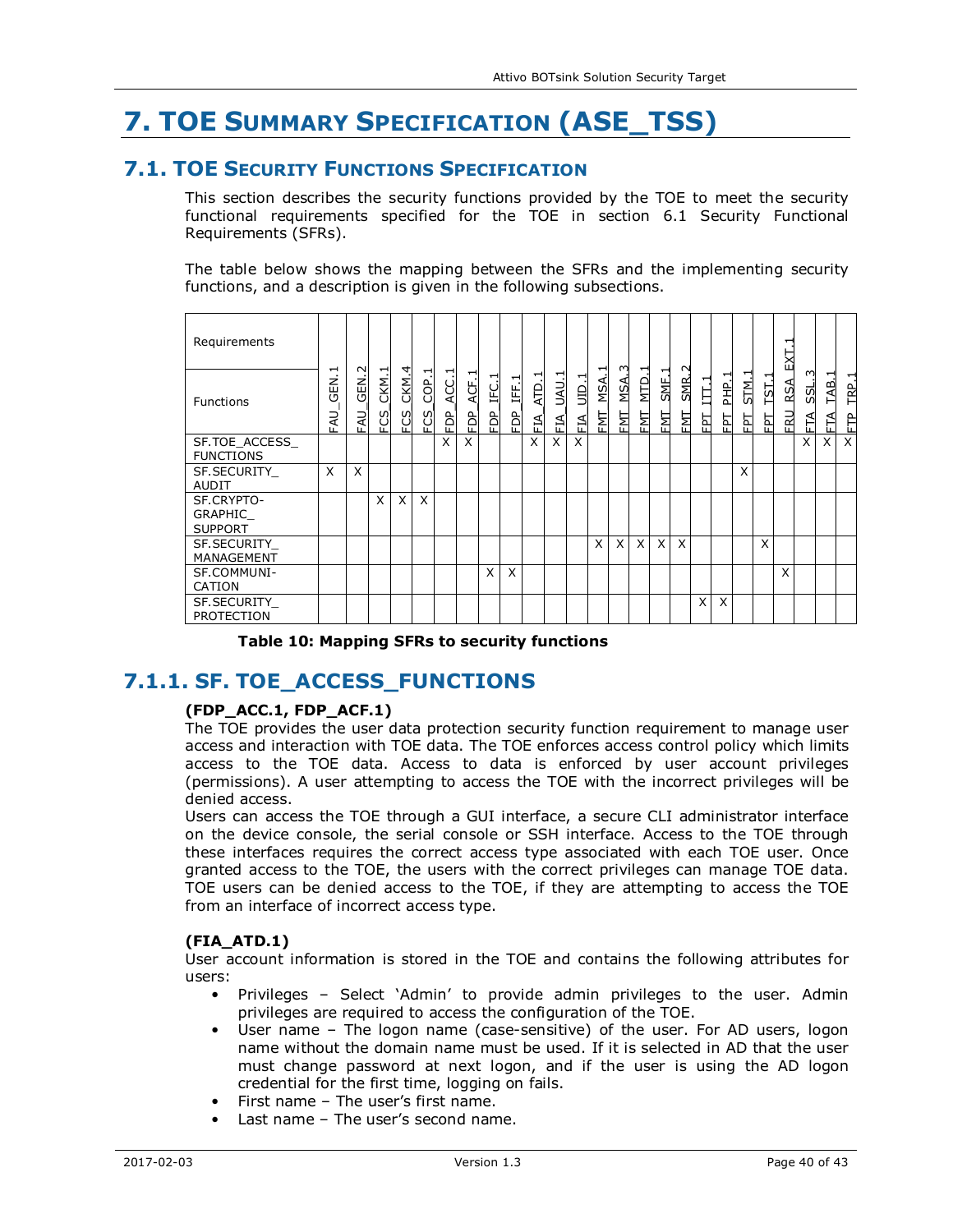# **7. TOE SUMMARY SPECIFICATION (ASE\_TSS)**

## **7.1. TOE SECURITY FUNCTIONS SPECIFICATION**

This section describes the security functions provided by the TOE to meet the security functional requirements specified for the TOE in section 6.1 Security Functional Requirements (SFRs).

The table below shows the mapping between the SFRs and the implementing security functions, and a description is given in the following subsections.

| Requirements                            |                         |                                |                  |              |                                         |                |                |            |                     |                 |                  |                   |                |                  |                                     |                        |                           |               |        |           |             | ⊣<br>ΣÄ                     |              |                 |              |
|-----------------------------------------|-------------------------|--------------------------------|------------------|--------------|-----------------------------------------|----------------|----------------|------------|---------------------|-----------------|------------------|-------------------|----------------|------------------|-------------------------------------|------------------------|---------------------------|---------------|--------|-----------|-------------|-----------------------------|--------------|-----------------|--------------|
| <b>Functions</b>                        | ⊣<br>GEN.<br><b>EAU</b> | $\sim$<br>.<br>이<br><b>EAU</b> | ᆏ<br>CKM.<br>FCS | CKM.4<br>FCS | $\overline{\phantom{0}}$<br>COP.<br>FCS | ⊣<br>ACC.<br>È | ᅱ<br>ACF.<br>à | IFC.1<br>읪 | ᅱ<br>Ë<br>eg<br>FDP | ⊣<br>ATD.<br>ξÉ | ⊣<br>UAU.<br>EIA | ᠇<br>$\Xi$<br>FIA | ᆨ<br>MSA.<br>뒙 | 3<br>MSA.<br>EMT | $\overline{ }$<br><u>итр</u><br>EMT | ᆏ<br><b>SME</b><br>EМI | $\sim$<br><b>SMR</b><br>툅 | ↽<br>Ę<br>EPT | 움<br>뇝 | STM.<br>집 | TST.<br>EPT | ⋖<br>RS <sub>i</sub><br>FRU | S<br>5S<br>Ħ | ⊣<br>TAB.<br>ÉÁ | ᆋ<br>요.<br>È |
| SF.TOE ACCESS<br><b>FUNCTIONS</b>       |                         |                                |                  |              |                                         | X              | X              |            |                     | X               | X                | X                 |                |                  |                                     |                        |                           |               |        |           |             |                             | X            | X               | X            |
| SF. SECURITY<br><b>AUDIT</b>            | X                       | X                              |                  |              |                                         |                |                |            |                     |                 |                  |                   |                |                  |                                     |                        |                           |               |        | X         |             |                             |              |                 |              |
| SF.CRYPTO-<br>GRAPHIC<br><b>SUPPORT</b> |                         |                                | Χ                | X.           | X                                       |                |                |            |                     |                 |                  |                   |                |                  |                                     |                        |                           |               |        |           |             |                             |              |                 |              |
| SF. SECURITY<br>MANAGEMENT              |                         |                                |                  |              |                                         |                |                |            |                     |                 |                  |                   | X              | X.               | X                                   | X                      | X                         |               |        |           | X           |                             |              |                 |              |
| SF.COMMUNI-<br><b>CATION</b>            |                         |                                |                  |              |                                         |                |                | X          | X                   |                 |                  |                   |                |                  |                                     |                        |                           |               |        |           |             | X                           |              |                 |              |
| SF. SECURITY<br><b>PROTECTION</b>       |                         |                                |                  |              |                                         |                |                |            |                     |                 |                  |                   |                |                  |                                     |                        |                           | X             | X      |           |             |                             |              |                 |              |

**Table 10: Mapping SFRs to security functions** 

# **7.1.1. SF. TOE\_ACCESS\_FUNCTIONS**

#### **(FDP\_ACC.1, FDP\_ACF.1)**

The TOE provides the user data protection security function requirement to manage user access and interaction with TOE data. The TOE enforces access control policy which limits access to the TOE data. Access to data is enforced by user account privileges (permissions). A user attempting to access the TOE with the incorrect privileges will be denied access.

Users can access the TOE through a GUI interface, a secure CLI administrator interface on the device console, the serial console or SSH interface. Access to the TOE through these interfaces requires the correct access type associated with each TOE user. Once granted access to the TOE, the users with the correct privileges can manage TOE data. TOE users can be denied access to the TOE, if they are attempting to access the TOE from an interface of incorrect access type.

#### **(FIA\_ATD.1)**

User account information is stored in the TOE and contains the following attributes for users:

- Privileges Select 'Admin' to provide admin privileges to the user. Admin privileges are required to access the configuration of the TOE.
- User name The logon name (case-sensitive) of the user. For AD users, logon name without the domain name must be used. If it is selected in AD that the user must change password at next logon, and if the user is using the AD logon credential for the first time, logging on fails.
- First name The user's first name.
- Last name The user's second name.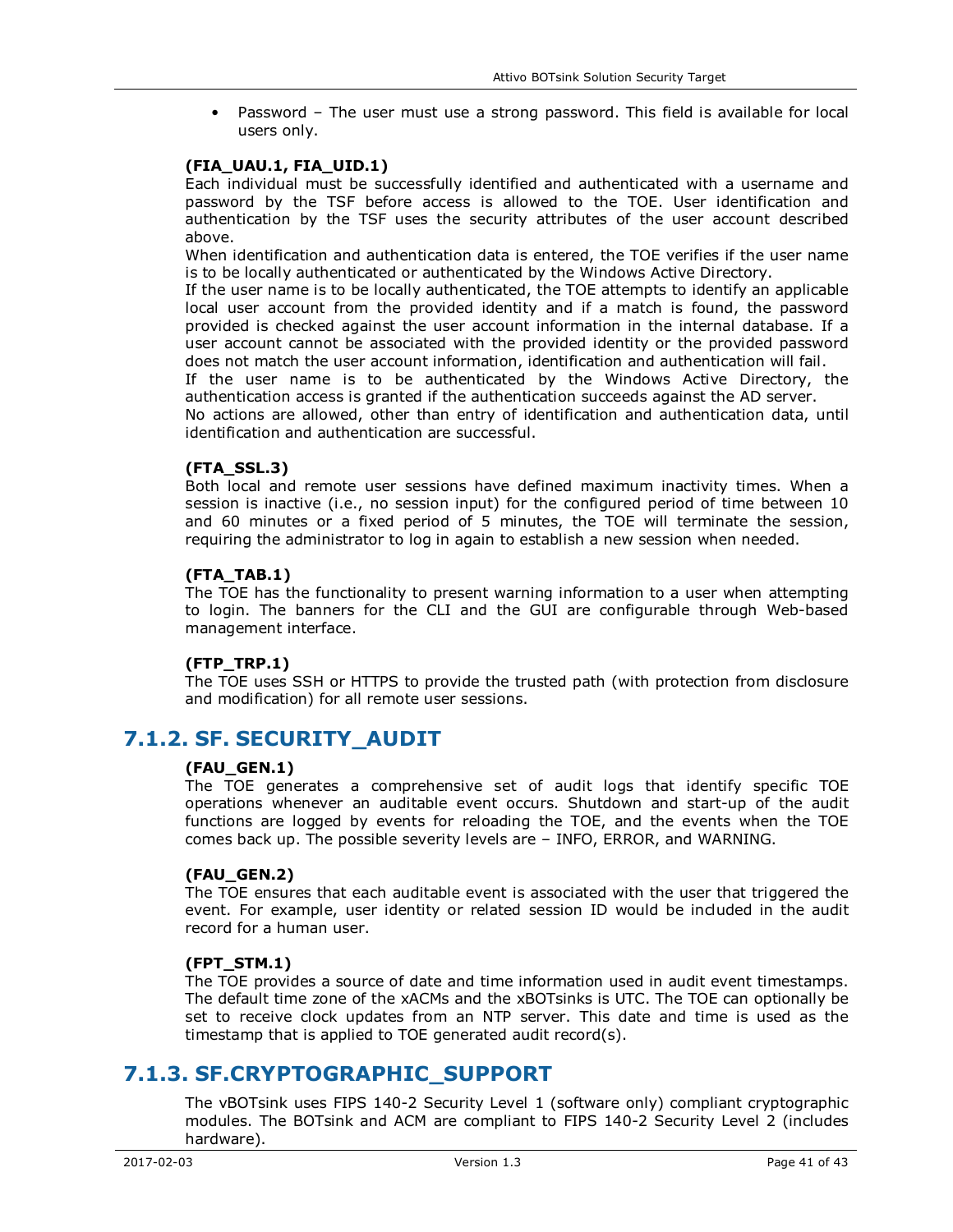• Password – The user must use a strong password. This field is available for local users only.

#### **(FIA\_UAU.1, FIA\_UID.1)**

Each individual must be successfully identified and authenticated with a username and password by the TSF before access is allowed to the TOE. User identification and authentication by the TSF uses the security attributes of the user account described above.

When identification and authentication data is entered, the TOE verifies if the user name is to be locally authenticated or authenticated by the Windows Active Directory.

If the user name is to be locally authenticated, the TOE attempts to identify an applicable local user account from the provided identity and if a match is found, the password provided is checked against the user account information in the internal database. If a user account cannot be associated with the provided identity or the provided password does not match the user account information, identification and authentication will fail.

If the user name is to be authenticated by the Windows Active Directory, the authentication access is granted if the authentication succeeds against the AD server.

No actions are allowed, other than entry of identification and authentication data, until identification and authentication are successful.

#### **(FTA\_SSL.3)**

Both local and remote user sessions have defined maximum inactivity times. When a session is inactive (i.e., no session input) for the configured period of time between 10 and 60 minutes or a fixed period of 5 minutes, the TOE will terminate the session, requiring the administrator to log in again to establish a new session when needed.

#### **(FTA\_TAB.1)**

The TOE has the functionality to present warning information to a user when attempting to login. The banners for the CLI and the GUI are configurable through Web-based management interface.

#### **(FTP\_TRP.1)**

The TOE uses SSH or HTTPS to provide the trusted path (with protection from disclosure and modification) for all remote user sessions.

### **7.1.2. SF. SECURITY\_AUDIT**

#### **(FAU\_GEN.1)**

The TOE generates a comprehensive set of audit logs that identify specific TOE operations whenever an auditable event occurs. Shutdown and start-up of the audit functions are logged by events for reloading the TOE, and the events when the TOE comes back up. The possible severity levels are – INFO, ERROR, and WARNING.

#### **(FAU\_GEN.2)**

The TOE ensures that each auditable event is associated with the user that triggered the event. For example, user identity or related session ID would be included in the audit record for a human user.

#### **(FPT\_STM.1)**

The TOE provides a source of date and time information used in audit event timestamps. The default time zone of the xACMs and the xBOTsinks is UTC. The TOE can optionally be set to receive clock updates from an NTP server. This date and time is used as the timestamp that is applied to TOE generated audit record(s).

### **7.1.3. SF.CRYPTOGRAPHIC\_SUPPORT**

The vBOTsink uses FIPS 140-2 Security Level 1 (software only) compliant cryptographic modules. The BOTsink and ACM are compliant to FIPS 140-2 Security Level 2 (includes hardware).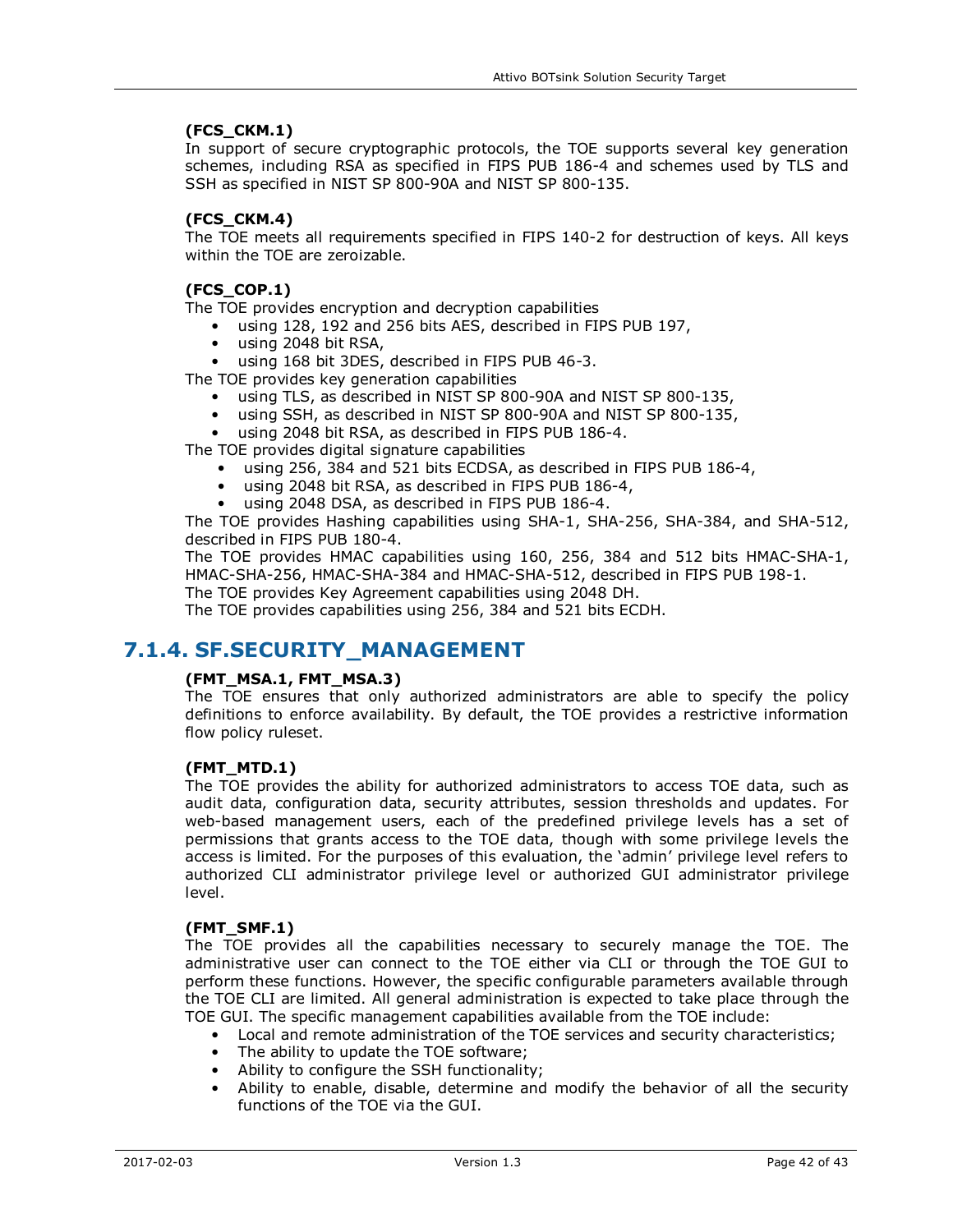#### **(FCS\_CKM.1)**

In support of secure cryptographic protocols, the TOE supports several key generation schemes, including RSA as specified in FIPS PUB 186-4 and schemes used by TLS and SSH as specified in NIST SP 800-90A and NIST SP 800-135.

#### **(FCS\_CKM.4)**

The TOE meets all requirements specified in FIPS 140-2 for destruction of keys. All keys within the TOE are zeroizable.

#### **(FCS\_COP.1)**

The TOE provides encryption and decryption capabilities

- using 128, 192 and 256 bits AES, described in FIPS PUB 197,
- using 2048 bit RSA,

using 168 bit 3DES, described in FIPS PUB 46-3.

The TOE provides key generation capabilities

- using TLS, as described in NIST SP 800-90A and NIST SP 800-135,
- using SSH, as described in NIST SP 800-90A and NIST SP 800-135,
- using 2048 bit RSA, as described in FIPS PUB 186-4.

The TOE provides digital signature capabilities

- using 256, 384 and 521 bits ECDSA, as described in FIPS PUB 186-4,
- using 2048 bit RSA, as described in FIPS PUB 186-4,
- using 2048 DSA, as described in FIPS PUB 186-4.

The TOE provides Hashing capabilities using SHA-1, SHA-256, SHA-384, and SHA-512, described in FIPS PUB 180-4.

The TOE provides HMAC capabilities using 160, 256, 384 and 512 bits HMAC-SHA-1, HMAC-SHA-256, HMAC-SHA-384 and HMAC-SHA-512, described in FIPS PUB 198-1.

The TOE provides Key Agreement capabilities using 2048 DH.

The TOE provides capabilities using 256, 384 and 521 bits ECDH.

## **7.1.4. SF.SECURITY\_MANAGEMENT**

#### **(FMT\_MSA.1, FMT\_MSA.3)**

The TOE ensures that only authorized administrators are able to specify the policy definitions to enforce availability. By default, the TOE provides a restrictive information flow policy ruleset.

#### **(FMT\_MTD.1)**

The TOE provides the ability for authorized administrators to access TOE data, such as audit data, configuration data, security attributes, session thresholds and updates. For web-based management users, each of the predefined privilege levels has a set of permissions that grants access to the TOE data, though with some privilege levels the access is limited. For the purposes of this evaluation, the 'admin' privilege level refers to authorized CLI administrator privilege level or authorized GUI administrator privilege level.

#### **(FMT\_SMF.1)**

The TOE provides all the capabilities necessary to securely manage the TOE. The administrative user can connect to the TOE either via CLI or through the TOE GUI to perform these functions. However, the specific configurable parameters available through the TOE CLI are limited. All general administration is expected to take place through the TOE GUI. The specific management capabilities available from the TOE include:

- Local and remote administration of the TOE services and security characteristics;
- The ability to update the TOE software;
- Ability to configure the SSH functionality;
- Ability to enable, disable, determine and modify the behavior of all the security functions of the TOE via the GUI.